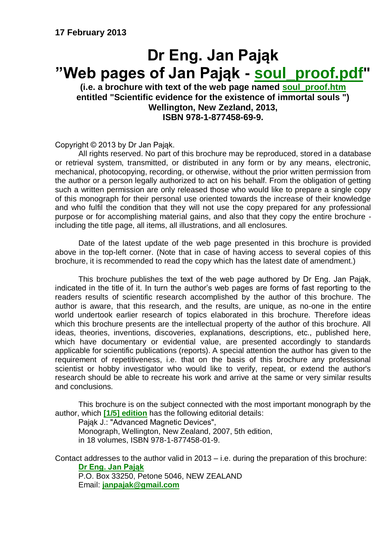# **Dr Eng. Jan Pająk "Web pages of Jan Pająk - [soul\\_proof.pdf"](http://tornado.zxq.net/free_energy_pl.pdf)**

**(i.e. a brochure with text of the web page named [soul\\_proof.htm](http://tornado.zxq.net/free_energy_pl.htm) entitled "Scientific evidence for the existence of immortal souls ") Wellington, New Zezland, 2013, ISBN 978-1-877458-69-9.**

Copyright © 2013 by Dr Jan Pająk.

All rights reserved. No part of this brochure may be reproduced, stored in a database or retrieval system, transmitted, or distributed in any form or by any means, electronic, mechanical, photocopying, recording, or otherwise, without the prior written permission from the author or a person legally authorized to act on his behalf. From the obligation of getting such a written permission are only released those who would like to prepare a single copy of this monograph for their personal use oriented towards the increase of their knowledge and who fulfil the condition that they will not use the copy prepared for any professional purpose or for accomplishing material gains, and also that they copy the entire brochure including the title page, all items, all illustrations, and all enclosures.

Date of the latest update of the web page presented in this brochure is provided above in the top-left corner. (Note that in case of having access to several copies of this brochure, it is recommended to read the copy which has the latest date of amendment.)

This brochure publishes the text of the web page authored by Dr Eng. Jan Pająk, indicated in the title of it. In turn the author's web pages are forms of fast reporting to the readers results of scientific research accomplished by the author of this brochure. The author is aware, that this research, and the results, are unique, as no-one in the entire world undertook earlier research of topics elaborated in this brochure. Therefore ideas which this brochure presents are the intellectual property of the author of this brochure. All ideas, theories, inventions, discoveries, explanations, descriptions, etc., published here, which have documentary or evidential value, are presented accordingly to standards applicable for scientific publications (reports). A special attention the author has given to the requirement of repetitiveness, i.e. that on the basis of this brochure any professional scientist or hobby investigator who would like to verify, repeat, or extend the author's research should be able to recreate his work and arrive at the same or very similar results and conclusions.

This brochure is on the subject connected with the most important monograph by the author, which **[\[1/5\] edition](http://tornado.zxq.net/text_1_5.htm)** has the following editorial details:

Pająk J.: "Advanced Magnetic Devices",

Monograph, Wellington, New Zealand, 2007, 5th edition, in 18 volumes, ISBN 978-1-877458-01-9.

Contact addresses to the author valid in 2013 – i.e. during the preparation of this brochure: **[Dr Eng. Jan Pająk](http://tornado.zxq.net/pajak_jan_uk.htm)**

P.O. Box 33250, Petone 5046, NEW ZEALAND Email: **[janpajak@gmail.com](mailto:%20janpajak@gmail.com)**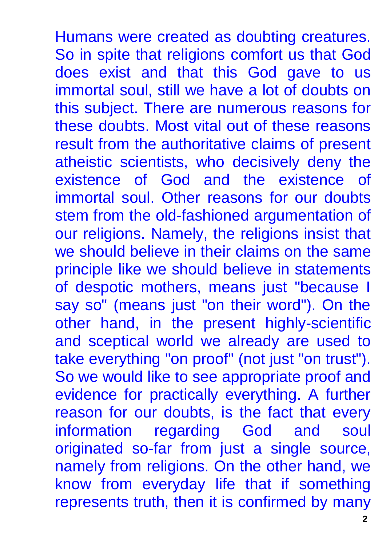Humans were created as doubting creatures. So in spite that religions comfort us that God does exist and that this God gave to us immortal soul, still we have a lot of doubts on this subject. There are numerous reasons for these doubts. Most vital out of these reasons result from the authoritative claims of present atheistic scientists, who decisively deny the existence of God and the existence of immortal soul. Other reasons for our doubts stem from the old-fashioned argumentation of our religions. Namely, the religions insist that we should believe in their claims on the same principle like we should believe in statements of despotic mothers, means just "because I say so" (means just "on their word"). On the other hand, in the present highly-scientific and sceptical world we already are used to take everything "on proof" (not just "on trust"). So we would like to see appropriate proof and evidence for practically everything. A further reason for our doubts, is the fact that every information regarding God and soul originated so-far from just a single source, namely from religions. On the other hand, we know from everyday life that if something represents truth, then it is confirmed by many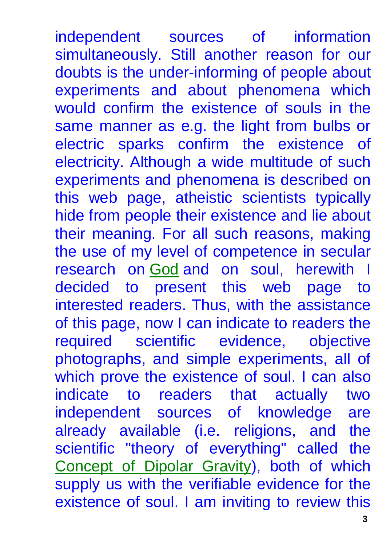independent sources of information simultaneously. Still another reason for our doubts is the under-informing of people about experiments and about phenomena which would confirm the existence of souls in the same manner as e.g. the light from bulbs or electric sparks confirm the existence of electricity. Although a wide multitude of such experiments and phenomena is described on this web page, atheistic scientists typically hide from people their existence and lie about their meaning. For all such reasons, making the use of my level of competence in secular research on [God](http://tornado.zxq.net/god.htm) and on soul, herewith I decided to present this web page to interested readers. Thus, with the assistance of this page, now I can indicate to readers the required scientific evidence, objective photographs, and simple experiments, all of which prove the existence of soul. I can also indicate to readers that actually two independent sources of knowledge are already available (i.e. religions, and the scientific "theory of everything" called the [Concept of Dipolar Gravity\)](http://tornado.zxq.net/dipolar_gravity.htm), both of which supply us with the verifiable evidence for the existence of soul. I am inviting to review this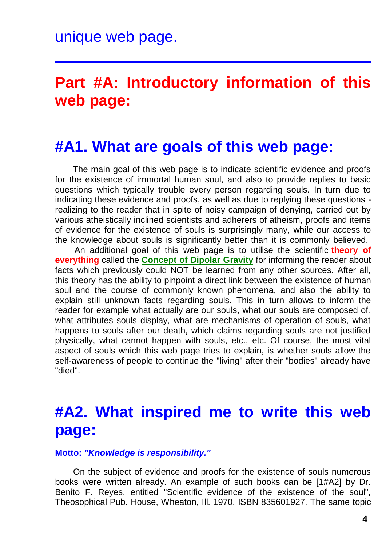# **Part #A: Introductory information of this web page:**

#### **#A1. What are goals of this web page:**

The main goal of this web page is to indicate scientific evidence and proofs for the existence of immortal human soul, and also to provide replies to basic questions which typically trouble every person regarding souls. In turn due to indicating these evidence and proofs, as well as due to replying these questions realizing to the reader that in spite of noisy campaign of denying, carried out by various atheistically inclined scientists and adherers of atheism, proofs and items of evidence for the existence of souls is surprisingly many, while our access to the knowledge about souls is significantly better than it is commonly believed.

An additional goal of this web page is to utilise the scientific **theory of everything** called the **[Concept of Dipolar Gravity](http://tornado.zxq.net/dipolar_gravity.htm)** for informing the reader about facts which previously could NOT be learned from any other sources. After all, this theory has the ability to pinpoint a direct link between the existence of human soul and the course of commonly known phenomena, and also the ability to explain still unknown facts regarding souls. This in turn allows to inform the reader for example what actually are our souls, what our souls are composed of, what attributes souls display, what are mechanisms of operation of souls, what happens to souls after our death, which claims regarding souls are not justified physically, what cannot happen with souls, etc., etc. Of course, the most vital aspect of souls which this web page tries to explain, is whether souls allow the self-awareness of people to continue the "living" after their "bodies" already have "died".

# **#A2. What inspired me to write this web page:**

#### **Motto:** *"Knowledge is responsibility."*

On the subject of evidence and proofs for the existence of souls numerous books were written already. An example of such books can be [1#A2] by Dr. Benito F. Reyes, entitled "Scientific evidence of the existence of the soul", Theosophical Pub. House, Wheaton, Ill. 1970, ISBN 835601927. The same topic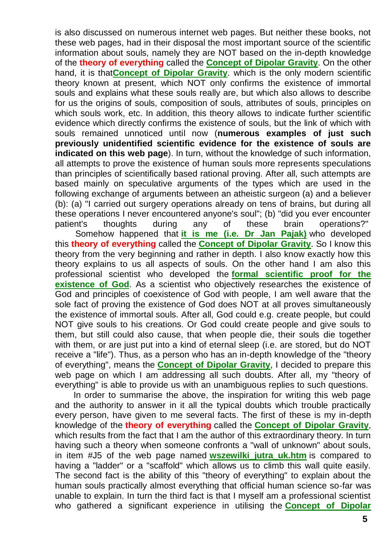is also discussed on numerous internet web pages. But neither these books, not these web pages, had in their disposal the most important source of the scientific information about souls, namely they are NOT based on the in-depth knowledge of the **theory of everything** called the **[Concept of Dipolar Gravity](http://tornado.zxq.net/dipolar_gravity.htm)**. On the other hand, it is that**[Concept of Dipolar Gravity](http://tornado.zxq.net/dipolar_gravity.htm)**. which is the only modern scientific theory known at present, which NOT only confirms the existence of immortal souls and explains what these souls really are, but which also allows to describe for us the origins of souls, composition of souls, attributes of souls, principles on which souls work, etc. In addition, this theory allows to indicate further scientific evidence which directly confirms the existence of souls, but the link of which with souls remained unnoticed until now (**numerous examples of just such previously unidentified scientific evidence for the existence of souls are indicated on this web page**). In turn, without the knowledge of such information, all attempts to prove the existence of human souls more represents speculations than principles of scientifically based rational proving. After all, such attempts are based mainly on speculative arguments of the types which are used in the following exchange of arguments between an atheistic surgeon (a) and a believer (b): (a) "I carried out surgery operations already on tens of brains, but during all these operations I never encountered anyone's soul"; (b) "did you ever encounter patient's thoughts during any of these brain operations?"

Somehow happened that **[it is me \(i.e. Dr Jan Pajak\)](http://tornado.zxq.net/pajak_jan_uk.htm)** who developed this **theory of everything** called the **[Concept of Dipolar Gravity](http://tornado.zxq.net/dipolar_gravity.htm)**. So I know this theory from the very beginning and rather in depth. I also know exactly how this theory explains to us all aspects of souls. On the other hand I am also this professional scientist who developed the **[formal scientific proof for the](http://tornado.zxq.net/god_proof.htm)  [existence of God](http://tornado.zxq.net/god_proof.htm)**. As a scientist who objectively researches the existence of God and principles of coexistence of God with people, I am well aware that the sole fact of proving the existence of God does NOT at all proves simultaneously the existence of immortal souls. After all, God could e.g. create people, but could NOT give souls to his creations. Or God could create people and give souls to them, but still could also cause, that when people die, their souls die together with them, or are just put into a kind of eternal sleep (i.e. are stored, but do NOT receive a "life"). Thus, as a person who has an in-depth knowledge of the "theory of everything", means the **[Concept of Dipolar Gravity](http://tornado.zxq.net/dipolar_gravity.htm)**, I decided to prepare this web page on which I am addressing all such doubts. After all, my "theory of everything" is able to provide us with an unambiguous replies to such questions.

In order to summarise the above, the inspiration for writing this web page and the authority to answer in it all the typical doubts which trouble practically every person, have given to me several facts. The first of these is my in-depth knowledge of the **theory of everything** called the **[Concept of Dipolar Gravity](http://tornado.zxq.net/dipolar_gravity.htm)**, which results from the fact that I am the author of this extraordinary theory. In turn having such a theory when someone confronts a "wall of unknown" about souls, in item #J5 of the web page named **[wszewilki\\_jutra\\_uk.htm](http://tornado.zxq.net/wszewilki_jutra_uk.htm)** is compared to having a "ladder" or a "scaffold" which allows us to climb this wall quite easily. The second fact is the ability of this "theory of everything" to explain about the human souls practically almost everything that official human science so-far was unable to explain. In turn the third fact is that I myself am a professional scientist who gathered a significant experience in utilising the **[Concept of Dipolar](http://tornado.zxq.net/dipolar_gravity.htm)**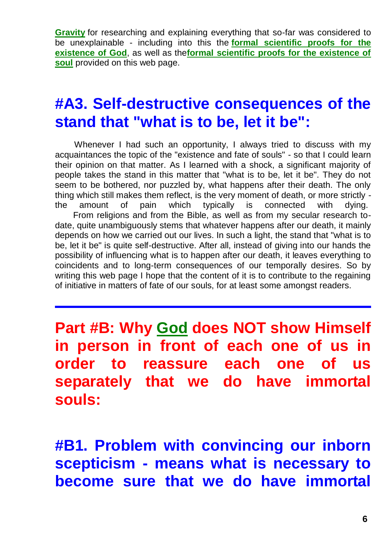**[Gravity](http://tornado.zxq.net/dipolar_gravity.htm)** for researching and explaining everything that so-far was considered to be unexplainable - including into this the **[formal scientific proofs for the](http://tornado.zxq.net/god_proof.htm)  [existence of God](http://tornado.zxq.net/god_proof.htm)**, as well as the**[formal scientific proofs for the existence of](http://tornado.zxq.net/soul_proof.htm)  [soul](http://tornado.zxq.net/soul_proof.htm)** provided on this web page.

#### **#A3. Self-destructive consequences of the stand that "what is to be, let it be":**

Whenever I had such an opportunity, I always tried to discuss with my acquaintances the topic of the "existence and fate of souls" - so that I could learn their opinion on that matter. As I learned with a shock, a significant majority of people takes the stand in this matter that "what is to be, let it be". They do not seem to be bothered, nor puzzled by, what happens after their death. The only thing which still makes them reflect, is the very moment of death, or more strictly the amount of pain which typically is connected with dying. From religions and from the Bible, as well as from my secular research todate, quite unambiguously stems that whatever happens after our death, it mainly depends on how we carried out our lives. In such a light, the stand that "what is to be, let it be" is quite self-destructive. After all, instead of giving into our hands the possibility of influencing what is to happen after our death, it leaves everything to coincidents and to long-term consequences of our temporally desires. So by writing this web page I hope that the content of it is to contribute to the regaining of initiative in matters of fate of our souls, for at least some amongst readers.

**Part #B: Why [God](http://tornado.zxq.net/god.htm) does NOT show Himself in person in front of each one of us in order to reassure each one of us separately that we do have immortal souls:**

**#B1. Problem with convincing our inborn scepticism - means what is necessary to become sure that we do have immortal**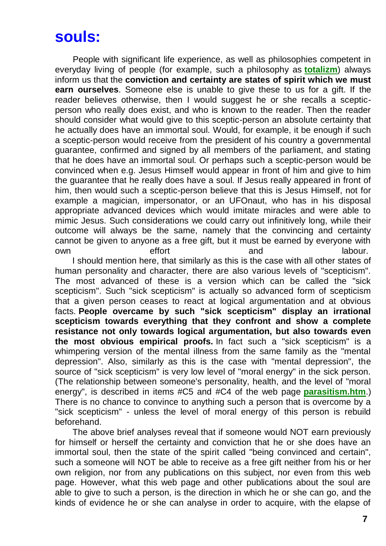## **souls:**

People with significant life experience, as well as philosophies competent in everyday living of people (for example, such a philosophy as **[totalizm](http://tornado.zxq.net/totalizm.htm)**) always inform us that the **conviction and certainty are states of spirit which we must earn ourselves**. Someone else is unable to give these to us for a gift. If the reader believes otherwise, then I would suggest he or she recalls a scepticperson who really does exist, and who is known to the reader. Then the reader should consider what would give to this sceptic-person an absolute certainty that he actually does have an immortal soul. Would, for example, it be enough if such a sceptic-person would receive from the president of his country a governmental guarantee, confirmed and signed by all members of the parliament, and stating that he does have an immortal soul. Or perhaps such a sceptic-person would be convinced when e.g. Jesus Himself would appear in front of him and give to him the guarantee that he really does have a soul. If Jesus really appeared in front of him, then would such a sceptic-person believe that this is Jesus Himself, not for example a magician, impersonator, or an UFOnaut, who has in his disposal appropriate advanced devices which would imitate miracles and were able to mimic Jesus. Such considerations we could carry out infinitively long, while their outcome will always be the same, namely that the convincing and certainty cannot be given to anyone as a free gift, but it must be earned by everyone with own effort and and labour.

I should mention here, that similarly as this is the case with all other states of human personality and character, there are also various levels of "scepticism". The most advanced of these is a version which can be called the "sick scepticism". Such "sick scepticism" is actually so advanced form of scepticism that a given person ceases to react at logical argumentation and at obvious facts. **People overcame by such "sick scepticism" display an irrational scepticism towards everything that they confront and show a complete resistance not only towards logical argumentation, but also towards even the most obvious empirical proofs.** In fact such a "sick scepticism" is a whimpering version of the mental illness from the same family as the "mental depression". Also, similarly as this is the case with "mental depression", the source of "sick scepticism" is very low level of "moral energy" in the sick person. (The relationship between someone's personality, health, and the level of "moral energy", is described in items #C5 and #C4 of the web page **[parasitism.htm](http://tornado.zxq.net/parasitism.htm)**.) There is no chance to convince to anything such a person that is overcome by a "sick scepticism" - unless the level of moral energy of this person is rebuild beforehand.

The above brief analyses reveal that if someone would NOT earn previously for himself or herself the certainty and conviction that he or she does have an immortal soul, then the state of the spirit called "being convinced and certain", such a someone will NOT be able to receive as a free gift neither from his or her own religion, nor from any publications on this subject, nor even from this web page. However, what this web page and other publications about the soul are able to give to such a person, is the direction in which he or she can go, and the kinds of evidence he or she can analyse in order to acquire, with the elapse of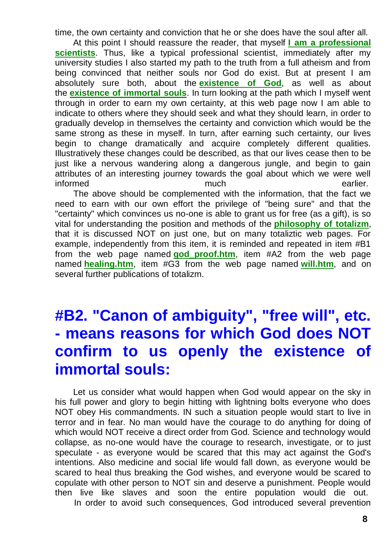time, the own certainty and conviction that he or she does have the soul after all.

At this point I should reassure the reader, that myself **[I am a professional](http://tornado.zxq.net/pajak_jan_uk.htm)  [scientists](http://tornado.zxq.net/pajak_jan_uk.htm)**. Thus, like a typical professional scientist, immediately after my university studies I also started my path to the truth from a full atheism and from being convinced that neither souls nor God do exist. But at present I am absolutely sure both, about the **[existence of God](http://tornado.zxq.net/god_proof.htm)**, as well as about the **[existence of immortal souls](http://tornado.zxq.net/nirvana.htm)**. In turn looking at the path which I myself went through in order to earn my own certainty, at this web page now I am able to indicate to others where they should seek and what they should learn, in order to gradually develop in themselves the certainty and conviction which would be the same strong as these in myself. In turn, after earning such certainty, our lives begin to change dramatically and acquire completely different qualities. Illustratively these changes could be described, as that our lives cease then to be just like a nervous wandering along a dangerous jungle, and begin to gain attributes of an interesting journey towards the goal about which we were well informed earlier.

The above should be complemented with the information, that the fact we need to earn with our own effort the privilege of "being sure" and that the "certainty" which convinces us no-one is able to grant us for free (as a gift), is so vital for understanding the position and methods of the **[philosophy of totalizm](http://tornado.zxq.net/totalizm.htm)**, that it is discussed NOT on just one, but on many totaliztic web pages. For example, independently from this item, it is reminded and repeated in item #B1 from the web page named **[god\\_proof.htm](http://tornado.zxq.net/god_proof.htm)**, item #A2 from the web page named **[healing.htm](http://tornado.zxq.net/healing.htm)**, item #G3 from the web page named **[will.htm](http://tornado.zxq.net/will.htm)**, and on several further publications of totalizm.

# **#B2. "Canon of ambiguity", "free will", etc. - means reasons for which God does NOT confirm to us openly the existence of immortal souls:**

Let us consider what would happen when God would appear on the sky in his full power and glory to begin hitting with lightning bolts everyone who does NOT obey His commandments. IN such a situation people would start to live in terror and in fear. No man would have the courage to do anything for doing of which would NOT receive a direct order from God. Science and technology would collapse, as no-one would have the courage to research, investigate, or to just speculate - as everyone would be scared that this may act against the God's intentions. Also medicine and social life would fall down, as everyone would be scared to heal thus breaking the God wishes, and everyone would be scared to copulate with other person to NOT sin and deserve a punishment. People would then live like slaves and soon the entire population would die out. In order to avoid such consequences, God introduced several prevention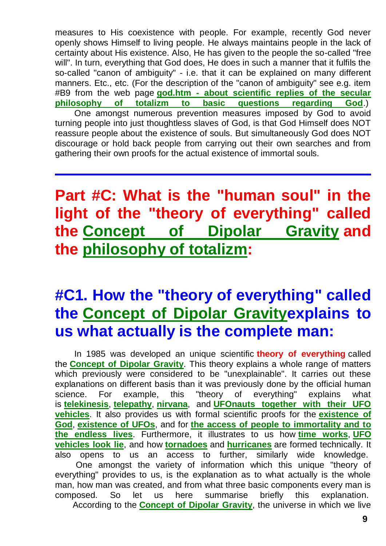measures to His coexistence with people. For example, recently God never openly shows Himself to living people. He always maintains people in the lack of certainty about His existence. Also, He has given to the people the so-called "free will". In turn, everything that God does, He does in such a manner that it fulfils the so-called "canon of ambiguity" - i.e. that it can be explained on many different manners. Etc., etc. (For the description of the "canon of ambiguity" see e.g. item #B9 from the web page **god.htm - [about scientific replies of the secular](http://tornado.zxq.net/god.htm)  [philosophy of totalizm to basic questions regarding God](http://tornado.zxq.net/god.htm)**.) One amongst numerous prevention measures imposed by God to avoid turning people into just thoughtless slaves of God, is that God Himself does NOT reassure people about the existence of souls. But simultaneously God does NOT discourage or hold back people from carrying out their own searches and from gathering their own proofs for the actual existence of immortal souls.

# **Part #C: What is the "human soul" in the light of the "theory of everything" called the [Concept of Dipolar Gravity](http://tornado.zxq.net/dipolar_gravity.htm) and the [philosophy of totalizm:](http://tornado.zxq.net/totalizm.htm)**

# **#C1. How the "theory of everything" called the [Concept of Dipolar Gravitye](http://tornado.zxq.net/dipolar_gravity.htm)xplains to us what actually is the complete man:**

In 1985 was developed an unique scientific **theory of everything** called the **[Concept of Dipolar Gravity](http://tornado.zxq.net/dipolar_gravity.htm)**. This theory explains a whole range of matters which previously were considered to be "unexplainable". It carries out these explanations on different basis than it was previously done by the official human science. For example, this "theory of everything" explains what is **[telekinesis](http://tornado.zxq.net/telekinesis.htm)**, **[telepathy](http://tornado.zxq.net/telepathy.htm)**, **[nirvana](http://tornado.zxq.net/nirvana.htm)**, and **[UFOnauts together with their UFO](http://tornado.zxq.net/ufo.htm)  [vehicles](http://tornado.zxq.net/ufo.htm)**. It also provides us with formal scientific proofs for the **[existence of](http://tornado.zxq.net/god_proof.htm)  [God](http://tornado.zxq.net/god_proof.htm)**, **[existence of UFOs](http://tornado.zxq.net/ufo_proof.htm)**, and for **[the access of people to immortality and to](http://tornado.zxq.net/immortality.htm)  [the endless lives](http://tornado.zxq.net/immortality.htm)**. Furthermore, it illustrates to us how **[time works](http://tornado.zxq.net/timevehicle.htm)**, **[UFO](http://tornado.zxq.net/explain.htm)  [vehicles look lie](http://tornado.zxq.net/explain.htm)**, and how **[tornadoes](http://tornado.zxq.net/tornado.htm)** and **[hurricanes](http://tornado.zxq.net/hurricane.htm)** are formed technically. It also opens to us an access to further, similarly wide knowledge.

One amongst the variety of information which this unique "theory of everything" provides to us, is the explanation as to what actually is the whole man, how man was created, and from what three basic components every man is composed. So let us here summarise briefly this explanation. According to the **[Concept of Dipolar Gravity](http://tornado.zxq.net/dipolar_gravity.htm)**, the universe in which we live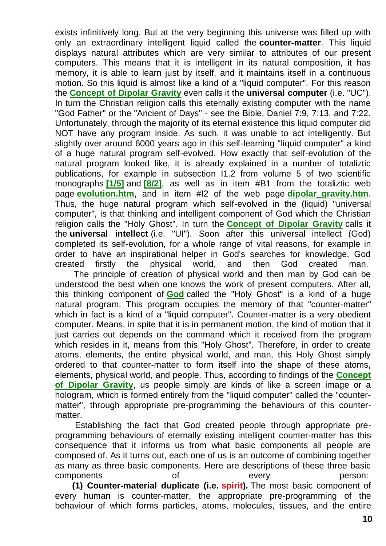exists infinitively long. But at the very beginning this universe was filled up with only an extraordinary intelligent liquid called the **counter-matter**. This liquid displays natural attributes which are very similar to attributes of our present computers. This means that it is intelligent in its natural composition, it has memory, it is able to learn just by itself, and it maintains itself in a continuous motion. So this liquid is almost like a kind of a "liquid computer". For this reason the **[Concept of Dipolar Gravity](http://tornado.zxq.net/dipolar_gravity.htm)** even calls it the **universal computer** (i.e. "UC"). In turn the Christian religion calls this eternally existing computer with the name "God Father" or the "Ancient of Days" - see the Bible, Daniel 7:9, 7:13, and 7:22. Unfortunately, through the majority of its eternal existence this liquid computer did NOT have any program inside. As such, it was unable to act intelligently. But slightly over around 6000 years ago in this self-learning "liquid computer" a kind of a huge natural program self-evolved. How exactly that self-evolution of the natural program looked like, it is already explained in a number of totaliztic publications, for example in subsection I1.2 from volume 5 of two scientific monographs **[\[1/5\]](http://tornado.zxq.net/text_1_5.htm)** and **[\[8/2\]](http://tornado.zxq.net/text_8_2.htm)**, as well as in item #B1 from the totaliztic web page **[evolution.htm](http://tornado.zxq.net/evolution.htm)**, and in item #I2 of the web page **[dipolar\\_gravity.htm](http://tornado.zxq.net/dipolar_gravity.htm)**. Thus, the huge natural program which self-evolved in the (liquid) "universal computer", is that thinking and intelligent component of God which the Christian religion calls the "Holy Ghost". In turn the **[Concept of Dipolar Gravity](http://tornado.zxq.net/dipolar_gravity.htm)** calls it the **universal intellect** (i.e. "UI"). Soon after this universal intellect (God) completed its self-evolution, for a whole range of vital reasons, for example in order to have an inspirational helper in God's searches for knowledge, God created firstly the physical world, and then God created man.

The principle of creation of physical world and then man by God can be understood the best when one knows the work of present computers. After all, this thinking component of **[God](http://tornado.zxq.net/god.htm)** called the "Holy Ghost" is a kind of a huge natural program. This program occupies the memory of that "counter-matter" which in fact is a kind of a "liquid computer". Counter-matter is a very obedient computer. Means, in spite that it is in permanent motion, the kind of motion that it just carries out depends on the command which it received from the program which resides in it, means from this "Holy Ghost". Therefore, in order to create atoms, elements, the entire physical world, and man, this Holy Ghost simply ordered to that counter-matter to form itself into the shape of these atoms, elements, physical world, and people. Thus, according to findings of the **[Concept](http://tornado.zxq.net/dipolar_gravity.htm)  [of Dipolar Gravity](http://tornado.zxq.net/dipolar_gravity.htm)**, us people simply are kinds of like a screen image or a hologram, which is formed entirely from the "liquid computer" called the "countermatter", through appropriate pre-programming the behaviours of this countermatter.

Establishing the fact that God created people through appropriate preprogramming behaviours of eternally existing intelligent counter-matter has this consequence that it informs us from what basic components all people are composed of. As it turns out, each one of us is an outcome of combining together as many as three basic components. Here are descriptions of these three basic components of every person:

**(1) Counter-material duplicate (i.e. spirit).** The most basic component of every human is counter-matter, the appropriate pre-programming of the behaviour of which forms particles, atoms, molecules, tissues, and the entire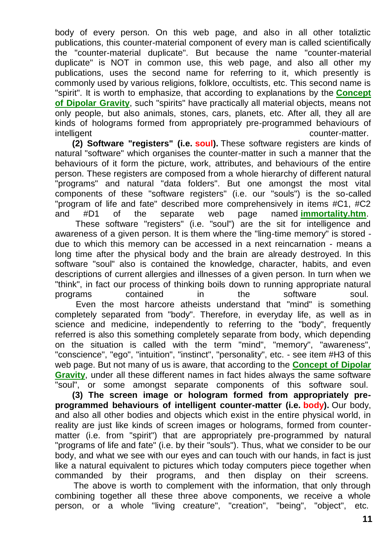body of every person. On this web page, and also in all other totaliztic publications, this counter-material component of every man is called scientifically the "counter-material duplicate". But because the name "counter-material duplicate" is NOT in common use, this web page, and also all other my publications, uses the second name for referring to it, which presently is commonly used by various religions, folklore, occultists, etc. This second name is "spirit". It is worth to emphasize, that according to explanations by the **[Concept](http://tornado.zxq.net/dipolar_gravity.htm)  [of Dipolar Gravity](http://tornado.zxq.net/dipolar_gravity.htm)**, such "spirits" have practically all material objects, means not only people, but also animals, stones, cars, planets, etc. After all, they all are kinds of holograms formed from appropriately pre-programmed behaviours of intelligent counter-matter.

**(2) Software "registers" (i.e. soul).** These software registers are kinds of natural "software" which organises the counter-matter in such a manner that the behaviours of it form the picture, work, attributes, and behaviours of the entire person. These registers are composed from a whole hierarchy of different natural "programs" and natural "data folders". But one amongst the most vital components of these "software registers" (i.e. our "souls") is the so-called "program of life and fate" described more comprehensively in items #C1, #C2 and #D1 of the separate web page named **[immortality.htm](http://tornado.zxq.net/immortality.htm)**.

These software "registers" (i.e. "soul") are the sit for intelligence and awareness of a given person. It is them where the "ling-time memory" is stored due to which this memory can be accessed in a next reincarnation - means a long time after the physical body and the brain are already destroyed. In this software "soul" also is contained the knowledge, character, habits, and even descriptions of current allergies and illnesses of a given person. In turn when we "think", in fact our process of thinking boils down to running appropriate natural programs contained in the software soul.

Even the most harcore atheists understand that "mind" is something completely separated from "body". Therefore, in everyday life, as well as in science and medicine, independently to referring to the "body", frequently referred is also this something completely separate from body, which depending on the situation is called with the term "mind", "memory", "awareness", "conscience", "ego", "intuition", "instinct", "personality", etc. - see item #H3 of this web page. But not many of us is aware, that according to the **[Concept of Dipolar](http://tornado.zxq.net/dipolar_gravity.htm)  [Gravity](http://tornado.zxq.net/dipolar_gravity.htm)**, under all these different names in fact hides always the same software "soul", or some amongst separate components of this software soul.

**(3) The screen image or hologram formed from appropriately preprogrammed behaviours of intelligent counter-matter (i.e. body).** Our body, and also all other bodies and objects which exist in the entire physical world, in reality are just like kinds of screen images or holograms, formed from countermatter (i.e. from "spirit") that are appropriately pre-programmed by natural "programs of life and fate" (i.e. by their "souls"). Thus, what we consider to be our body, and what we see with our eyes and can touch with our hands, in fact is just like a natural equivalent to pictures which today computers piece together when commanded by their programs, and then display on their screens.

The above is worth to complement with the information, that only through combining together all these three above components, we receive a whole person, or a whole "living creature", "creation", "being", "object", etc.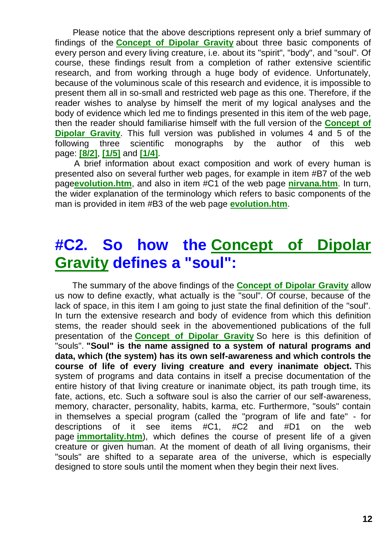Please notice that the above descriptions represent only a brief summary of findings of the **[Concept of Dipolar Gravity](http://tornado.zxq.net/dipolar_gravity.htm)** about three basic components of every person and every living creature, i.e. about its "spirit", "body", and "soul". Of course, these findings result from a completion of rather extensive scientific research, and from working through a huge body of evidence. Unfortunately, because of the voluminous scale of this research and evidence, it is impossible to present them all in so-small and restricted web page as this one. Therefore, if the reader wishes to analyse by himself the merit of my logical analyses and the body of evidence which led me to findings presented in this item of the web page, then the reader should familiarise himself with the full version of the **[Concept of](http://tornado.zxq.net/dipolar_gravity.htm)  [Dipolar Gravity](http://tornado.zxq.net/dipolar_gravity.htm)**. This full version was published in volumes 4 and 5 of the following three scientific monographs by the author of this web page: **[\[8/2\]](http://tornado.zxq.net/text_8_2.htm)**, **[\[1/5\]](http://tornado.zxq.net/text_1_5.htm)** and **[\[1/4\]](http://tornado.zxq.net/text_1_4.htm)**.

A brief information about exact composition and work of every human is presented also on several further web pages, for example in item #B7 of the web page**[evolution.htm](http://tornado.zxq.net/evolution.htm)**, and also in item #C1 of the web page **[nirvana.htm](http://tornado.zxq.net/nirvana.htm)**. In turn, the wider explanation of the terminology which refers to basic components of the man is provided in item #B3 of the web page **[evolution.htm](http://tornado.zxq.net/evolution.htm)**.

# **#C2. So how the [Concept of Dipolar](http://tornado.zxq.net/dipolar_gravity.htm)  [Gravity](http://tornado.zxq.net/dipolar_gravity.htm) defines a "soul":**

The summary of the above findings of the **[Concept of Dipolar Gravity](http://tornado.zxq.net/dipolar_gravity.htm)** allow us now to define exactly, what actually is the "soul". Of course, because of the lack of space, in this item I am going to just state the final definition of the "soul". In turn the extensive research and body of evidence from which this definition stems, the reader should seek in the abovementioned publications of the full presentation of the **[Concept of Dipolar Gravity](http://tornado.zxq.net/dipolar_gravity.htm)** So here is this definition of "souls". **"Soul" is the name assigned to a system of natural programs and data, which (the system) has its own self-awareness and which controls the course of life of every living creature and every inanimate object.** This system of programs and data contains in itself a precise documentation of the entire history of that living creature or inanimate object, its path trough time, its fate, actions, etc. Such a software soul is also the carrier of our self-awareness, memory, character, personality, habits, karma, etc. Furthermore, "souls" contain in themselves a special program (called the "program of life and fate" - for descriptions of it see items #C1, #C2 and #D1 on the web page **[immortality.htm](http://tornado.zxq.net/immortality.htm)**), which defines the course of present life of a given creature or given human. At the moment of death of all living organisms, their "souls" are shifted to a separate area of the universe, which is especially designed to store souls until the moment when they begin their next lives.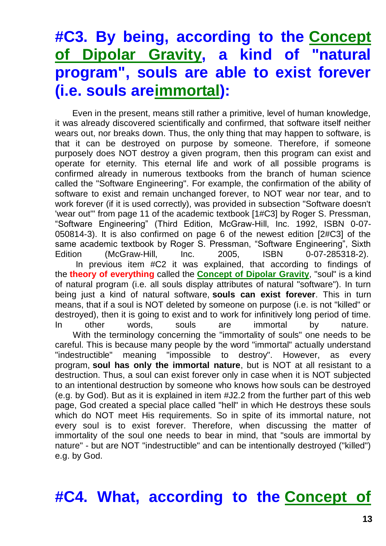# **#C3. By being, according to the [Concept](http://tornado.zxq.net/dipolar_gravity.htm)  [of Dipolar Gravity,](http://tornado.zxq.net/dipolar_gravity.htm) a kind of "natural program", souls are able to exist forever (i.e. souls ar[eimmortal\)](http://tornado.zxq.net/immortality.htm):**

Even in the present, means still rather a primitive, level of human knowledge, it was already discovered scientifically and confirmed, that software itself neither wears out, nor breaks down. Thus, the only thing that may happen to software, is that it can be destroyed on purpose by someone. Therefore, if someone purposely does NOT destroy a given program, then this program can exist and operate for eternity. This eternal life and work of all possible programs is confirmed already in numerous textbooks from the branch of human science called the "Software Engineering". For example, the confirmation of the ability of software to exist and remain unchanged forever, to NOT wear nor tear, and to work forever (if it is used correctly), was provided in subsection "Software doesn't 'wear out'" from page 11 of the academic textbook [1#C3] by Roger S. Pressman, "Software Engineering" (Third Edition, McGraw-Hill, Inc. 1992, ISBN 0-07- 050814-3). It is also confirmed on page 6 of the newest edition [2#C3] of the same academic textbook by Roger S. Pressman, "Software Engineering", Sixth Edition (McGraw-Hill, Inc. 2005, ISBN 0-07-285318-2). In previous item #C2 it was explained, that according to findings of the **theory of everything** called the **[Concept of Dipolar Gravity](http://tornado.zxq.net/dipolar_gravity.htm)**, "soul" is a kind of natural program (i.e. all souls display attributes of natural "software"). In turn being just a kind of natural software, **souls can exist forever**. This in turn means, that if a soul is NOT deleted by someone on purpose (i.e. is not "killed" or destroyed), then it is going to exist and to work for infinitively long period of time. In other words, souls are immortal by nature. With the terminology concerning the "immortality of souls" one needs to be careful. This is because many people by the word "immortal" actually understand "indestructible" meaning "impossible to destroy". However, as every program, **soul has only the immortal nature**, but is NOT at all resistant to a destruction. Thus, a soul can exist forever only in case when it is NOT subjected to an intentional destruction by someone who knows how souls can be destroyed (e.g. by God). But as it is explained in item #J2.2 from the further part of this web page, God created a special place called "hell" in which He destroys these souls which do NOT meet His requirements. So in spite of its immortal nature, not

every soul is to exist forever. Therefore, when discussing the matter of immortality of the soul one needs to bear in mind, that "souls are immortal by nature" - but are NOT "indestructible" and can be intentionally destroyed ("killed") e.g. by God.

#### **#C4. What, according to the [Concept of](http://tornado.zxq.net/dipolar_gravity.htm)**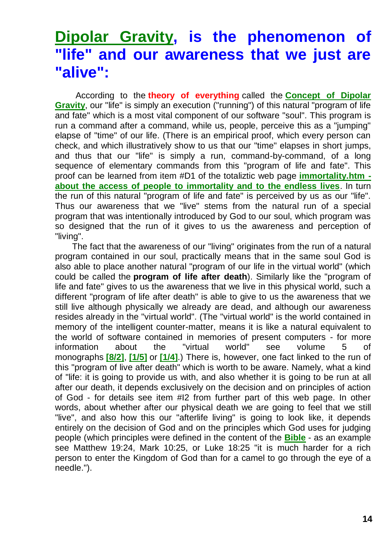#### **[Dipolar Gravity,](http://tornado.zxq.net/dipolar_gravity.htm) is the phenomenon of "life" and our awareness that we just are "alive":**

According to the **theory of everything** called the **[Concept of Dipolar](http://tornado.zxq.net/dipolar_gravity.htm)  [Gravity](http://tornado.zxq.net/dipolar_gravity.htm)**, our "life" is simply an execution ("running") of this natural "program of life and fate" which is a most vital component of our software "soul". This program is run a command after a command, while us, people, perceive this as a "jumping" elapse of "time" of our life. (There is an empirical proof, which every person can check, and which illustratively show to us that our "time" elapses in short jumps, and thus that our "life" is simply a run, command-by-command, of a long sequence of elementary commands from this "program of life and fate". This proof can be learned from item #D1 of the totaliztic web page **[immortality.htm](http://tornado.zxq.net/immortality.htm)  [about the access of people to immortality and to the endless lives](http://tornado.zxq.net/immortality.htm)**. In turn the run of this natural "program of life and fate" is perceived by us as our "life". Thus our awareness that we "live" stems from the natural run of a special program that was intentionally introduced by God to our soul, which program was so designed that the run of it gives to us the awareness and perception of "living".

The fact that the awareness of our "living" originates from the run of a natural program contained in our soul, practically means that in the same soul God is also able to place another natural "program of our life in the virtual world" (which could be called the **program of life after death**). Similarly like the "program of life and fate" gives to us the awareness that we live in this physical world, such a different "program of life after death" is able to give to us the awareness that we still live although physically we already are dead, and although our awareness resides already in the "virtual world". (The "virtual world" is the world contained in memory of the intelligent counter-matter, means it is like a natural equivalent to the world of software contained in memories of present computers - for more information about the "virtual world" see volume 5 of monographs **[\[8/2\]](http://tornado.zxq.net/text_8_2.htm)**, **[\[1/5\]](http://tornado.zxq.net/text_1_5.htm)** or **[\[1/4\]](http://tornado.zxq.net/text_1_4.htm)**.) There is, however, one fact linked to the run of this "program of live after death" which is worth to be aware. Namely, what a kind of "life: it is going to provide us with, and also whether it is going to be run at all after our death, it depends exclusively on the decision and on principles of action of God - for details see item #I2 from further part of this web page. In other words, about whether after our physical death we are going to feel that we still "live", and also how this our "afterlife living" is going to look like, it depends entirely on the decision of God and on the principles which God uses for judging people (which principles were defined in the content of the **[Bible](http://tornado.zxq.net/bible.htm)** - as an example see Matthew 19:24, Mark 10:25, or Luke 18:25 "it is much harder for a rich person to enter the Kingdom of God than for a camel to go through the eye of a needle.").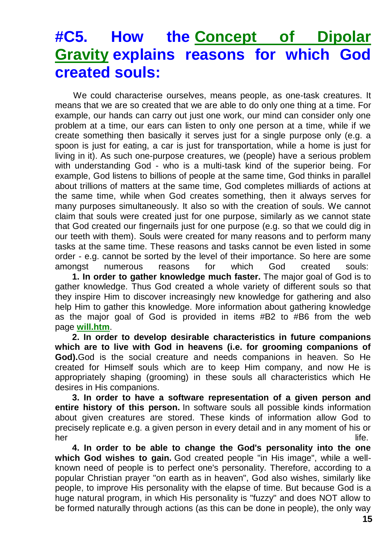# **#C5. How the [Concept of Dipolar](http://tornado.zxq.net/dipolar_gravity.htm)  [Gravity](http://tornado.zxq.net/dipolar_gravity.htm) explains reasons for which God created souls:**

We could characterise ourselves, means people, as one-task creatures. It means that we are so created that we are able to do only one thing at a time. For example, our hands can carry out just one work, our mind can consider only one problem at a time, our ears can listen to only one person at a time, while if we create something then basically it serves just for a single purpose only (e.g. a spoon is just for eating, a car is just for transportation, while a home is just for living in it). As such one-purpose creatures, we (people) have a serious problem with understanding God - who is a multi-task kind of the superior being. For example, God listens to billions of people at the same time, God thinks in parallel about trillions of matters at the same time, God completes milliards of actions at the same time, while when God creates something, then it always serves for many purposes simultaneously. It also so with the creation of souls. We cannot claim that souls were created just for one purpose, similarly as we cannot state that God created our fingernails just for one purpose (e.g. so that we could dig in our teeth with them). Souls were created for many reasons and to perform many tasks at the same time. These reasons and tasks cannot be even listed in some order - e.g. cannot be sorted by the level of their importance. So here are some amongst numerous reasons for which God created souls:

**1. In order to gather knowledge much faster.** The major goal of God is to gather knowledge. Thus God created a whole variety of different souls so that they inspire Him to discover increasingly new knowledge for gathering and also help Him to gather this knowledge. More information about gathering knowledge as the major goal of God is provided in items #B2 to #B6 from the web page **[will.htm](http://tornado.zxq.net/will.htm)**.

**2. In order to develop desirable characteristics in future companions which are to live with God in heavens (i.e. for grooming companions of God).**God is the social creature and needs companions in heaven. So He created for Himself souls which are to keep Him company, and now He is appropriately shaping (grooming) in these souls all characteristics which He desires in His companions.

**3. In order to have a software representation of a given person and entire history of this person.** In software souls all possible kinds information about given creatures are stored. These kinds of information allow God to precisely replicate e.g. a given person in every detail and in any moment of his or her life.

**4. In order to be able to change the God's personality into the one which God wishes to gain.** God created people "in His image", while a wellknown need of people is to perfect one's personality. Therefore, according to a popular Christian prayer "on earth as in heaven", God also wishes, similarly like people, to improve His personality with the elapse of time. But because God is a huge natural program, in which His personality is "fuzzy" and does NOT allow to be formed naturally through actions (as this can be done in people), the only way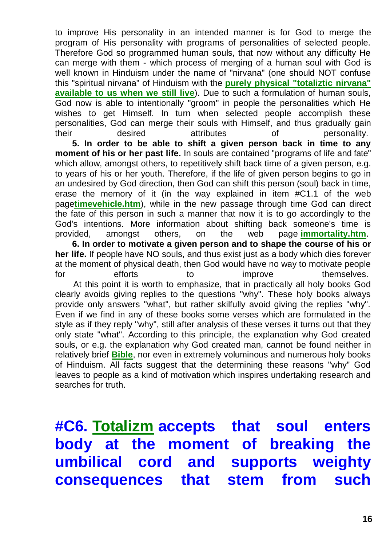to improve His personality in an intended manner is for God to merge the program of His personality with programs of personalities of selected people. Therefore God so programmed human souls, that now without any difficulty He can merge with them - which process of merging of a human soul with God is well known in Hinduism under the name of "nirvana" (one should NOT confuse this "spiritual nirvana" of Hinduism with the **[purely physical "totaliztic nirvana"](http://tornado.zxq.net/nirvana.htm)  [available to us when we still live](http://tornado.zxq.net/nirvana.htm)**). Due to such a formulation of human souls, God now is able to intentionally "groom" in people the personalities which He wishes to get Himself. In turn when selected people accomplish these personalities, God can merge their souls with Himself, and thus gradually gain their desired attributes of personality.

**5. In order to be able to shift a given person back in time to any moment of his or her past life.** In souls are contained "programs of life and fate" which allow, amongst others, to repetitively shift back time of a given person, e.g. to years of his or her youth. Therefore, if the life of given person begins to go in an undesired by God direction, then God can shift this person (soul) back in time, erase the memory of it (in the way explained in item #C1.1 of the web page**[timevehicle.htm](http://tornado.zxq.net/timevehicle.htm)**), while in the new passage through time God can direct the fate of this person in such a manner that now it is to go accordingly to the God's intentions. More information about shifting back someone's time is provided, amongst others, on the web page **[immortality.htm](http://tornado.zxq.net/immortality.htm)**.

**6. In order to motivate a given person and to shape the course of his or her life.** If people have NO souls, and thus exist just as a body which dies forever at the moment of physical death, then God would have no way to motivate people for efforts to improve themselves. At this point it is worth to emphasize, that in practically all holy books God clearly avoids giving replies to the questions "why". These holy books always provide only answers "what", but rather skilfully avoid giving the replies "why". Even if we find in any of these books some verses which are formulated in the style as if they reply "why", still after analysis of these verses it turns out that they only state "what". According to this principle, the explanation why God created souls, or e.g. the explanation why God created man, cannot be found neither in relatively brief **[Bible](http://tornado.zxq.net/bible.htm)**, nor even in extremely voluminous and numerous holy books of Hinduism. All facts suggest that the determining these reasons "why" God leaves to people as a kind of motivation which inspires undertaking research and searches for truth.

# **#C6. [Totalizm](http://tornado.zxq.net/totalizm.htm) accepts that soul enters body at the moment of breaking the umbilical cord and supports weighty consequences that stem from such**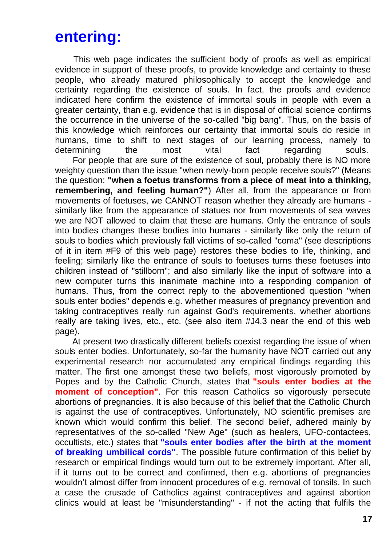# **entering:**

This web page indicates the sufficient body of proofs as well as empirical evidence in support of these proofs, to provide knowledge and certainty to these people, who already matured philosophically to accept the knowledge and certainty regarding the existence of souls. In fact, the proofs and evidence indicated here confirm the existence of immortal souls in people with even a greater certainty, than e.g. evidence that is in disposal of official science confirms the occurrence in the universe of the so-called "big bang". Thus, on the basis of this knowledge which reinforces our certainty that immortal souls do reside in humans, time to shift to next stages of our learning process, namely to determining the most vital fact regarding souls.

For people that are sure of the existence of soul, probably there is NO more weighty question than the issue "when newly-born people receive souls?" (Means the question: **"when a foetus transforms from a piece of meat into a thinking, remembering, and feeling human?"**) After all, from the appearance or from movements of foetuses, we CANNOT reason whether they already are humans similarly like from the appearance of statues nor from movements of sea waves we are NOT allowed to claim that these are humans. Only the entrance of souls into bodies changes these bodies into humans - similarly like only the return of souls to bodies which previously fall victims of so-called "coma" (see descriptions of it in item #F9 of this web page) restores these bodies to life, thinking, and feeling; similarly like the entrance of souls to foetuses turns these foetuses into children instead of "stillborn"; and also similarly like the input of software into a new computer turns this inanimate machine into a responding companion of humans. Thus, from the correct reply to the abovementioned question "when souls enter bodies" depends e.g. whether measures of pregnancy prevention and taking contraceptives really run against God's requirements, whether abortions really are taking lives, etc., etc. (see also item #J4.3 near the end of this web page).

At present two drastically different beliefs coexist regarding the issue of when souls enter bodies. Unfortunately, so-far the humanity have NOT carried out any experimental research nor accumulated any empirical findings regarding this matter. The first one amongst these two beliefs, most vigorously promoted by Popes and by the Catholic Church, states that **"souls enter bodies at the moment of conception"**. For this reason Catholics so vigorously persecute abortions of pregnancies. It is also because of this belief that the Catholic Church is against the use of contraceptives. Unfortunately, NO scientific premises are known which would confirm this belief. The second belief, adhered mainly by representatives of the so-called "New Age" (such as healers, UFO-contactees, occultists, etc.) states that **"souls enter bodies after the birth at the moment of breaking umbilical cords"**. The possible future confirmation of this belief by research or empirical findings would turn out to be extremely important. After all, if it turns out to be correct and confirmed, then e.g. abortions of pregnancies wouldn't almost differ from innocent procedures of e.g. removal of tonsils. In such a case the crusade of Catholics against contraceptives and against abortion clinics would at least be "misunderstanding" - if not the acting that fulfils the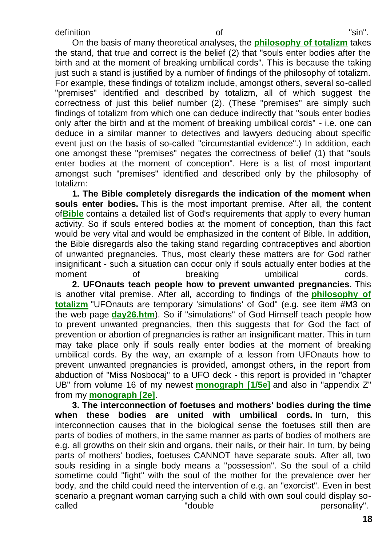On the basis of many theoretical analyses, the **[philosophy of totalizm](http://tornado.zxq.net/totalizm.htm)** takes the stand, that true and correct is the belief (2) that "souls enter bodies after the birth and at the moment of breaking umbilical cords". This is because the taking just such a stand is justified by a number of findings of the philosophy of totalizm. For example, these findings of totalizm include, amongst others, several so-called "premises" identified and described by totalizm, all of which suggest the correctness of just this belief number (2). (These "premises" are simply such findings of totalizm from which one can deduce indirectly that "souls enter bodies only after the birth and at the moment of breaking umbilical cords" - i.e. one can deduce in a similar manner to detectives and lawyers deducing about specific event just on the basis of so-called "circumstantial evidence".) In addition, each one amongst these "premises" negates the correctness of belief (1) that "souls enter bodies at the moment of conception". Here is a list of most important amongst such "premises" identified and described only by the philosophy of totalizm:

**1. The Bible completely disregards the indication of the moment when souls enter bodies.** This is the most important premise. After all, the content of**[Bible](http://tornado.zxq.net/bible.htm)** contains a detailed list of God's requirements that apply to every human activity. So if souls entered bodies at the moment of conception, than this fact would be very vital and would be emphasized in the content of Bible. In addition, the Bible disregards also the taking stand regarding contraceptives and abortion of unwanted pregnancies. Thus, most clearly these matters are for God rather insignificant - such a situation can occur only if souls actually enter bodies at the moment of breaking umbilical cords. **2. UFOnauts teach people how to prevent unwanted pregnancies.** This

is another vital premise. After all, according to findings of the **[philosophy of](http://tornado.zxq.net/totalizm.htm)  [totalizm](http://tornado.zxq.net/totalizm.htm)** "UFOnauts are temporary 'simulations' of God" (e.g. see item #M3 on the web page **[day26.htm](http://tornado.zxq.net/day26.htm)**). So if "simulations" of God Himself teach people how to prevent unwanted pregnancies, then this suggests that for God the fact of prevention or abortion of pregnancies is rather an insignificant matter. This in turn may take place only if souls really enter bodies at the moment of breaking umbilical cords. By the way, an example of a lesson from UFOnauts how to prevent unwanted pregnancies is provided, amongst others, in the report from abduction of "Miss Nosbocaj" to a UFO deck - this report is provided in "chapter UB" from volume 16 of my newest **[monograph \[1/5e\]](http://tornado.zxq.net/text_1_5.htm)** and also in "appendix Z" from my **[monograph \[2e\]](http://tornado.zxq.net/text_2e.htm)**.

**3. The interconnection of foetuses and mothers' bodies during the time when these bodies are united with umbilical cords.** In turn, this interconnection causes that in the biological sense the foetuses still then are parts of bodies of mothers, in the same manner as parts of bodies of mothers are e.g. all growths on their skin and organs, their nails, or their hair. In turn, by being parts of mothers' bodies, foetuses CANNOT have separate souls. After all, two souls residing in a single body means a "possession". So the soul of a child sometime could "fight" with the soul of the mother for the prevalence over her body, and the child could need the intervention of e.g. an "exorcist". Even in best scenario a pregnant woman carrying such a child with own soul could display socalled  $\blacksquare$   $\blacksquare$  double  $\blacksquare$  personality".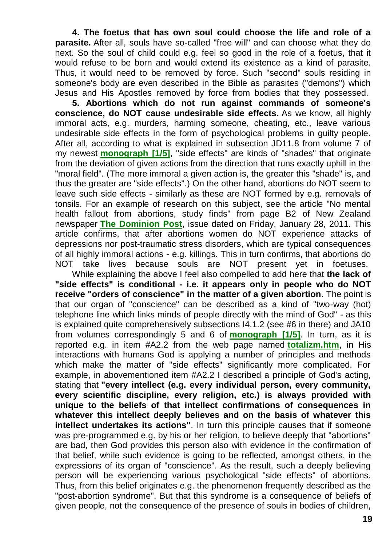**4. The foetus that has own soul could choose the life and role of a parasite.** After all, souls have so-called "free will" and can choose what they do next. So the soul of child could e.g. feel so good in the role of a foetus, that it would refuse to be born and would extend its existence as a kind of parasite. Thus, it would need to be removed by force. Such "second" souls residing in someone's body are even described in the Bible as parasites ("demons") which Jesus and His Apostles removed by force from bodies that they possessed.

**5. Abortions which do not run against commands of someone's conscience, do NOT cause undesirable side effects.** As we know, all highly immoral acts, e.g. murders, harming someone, cheating, etc., leave various undesirable side effects in the form of psychological problems in guilty people. After all, according to what is explained in subsection JD11.8 from volume 7 of my newest **[monograph \[1/5\]](http://tornado.zxq.net/text_1_5.htm)**, "side effects" are kinds of "shades" that originate from the deviation of given actions from the direction that runs exactly uphill in the "moral field". (The more immoral a given action is, the greater this "shade" is, and thus the greater are "side effects".) On the other hand, abortions do NOT seem to leave such side effects - similarly as these are NOT formed by e.g. removals of tonsils. For an example of research on this subject, see the article "No mental health fallout from abortions, study finds" from page B2 of New Zealand newspaper **[The Dominion Post](http://www.dompost.co.nz/)**, issue dated on Friday, January 28, 2011. This article confirms, that after abortions women do NOT experience attacks of depressions nor post-traumatic stress disorders, which are typical consequences of all highly immoral actions - e.g. killings. This in turn confirms, that abortions do NOT take lives because souls are NOT present yet in foetuses.

While explaining the above I feel also compelled to add here that **the lack of "side effects" is conditional - i.e. it appears only in people who do NOT receive "orders of conscience" in the matter of a given abortion**. The point is that our organ of "conscience" can be described as a kind of "two-way (hot) telephone line which links minds of people directly with the mind of God" - as this is explained quite comprehensively subsections I4.1.2 (see #6 in there) and JA10 from volumes correspondingly 5 and 6 of **[monograph \[1/5\]](http://tornado.zxq.net/text_1_5.htm)**. In turn, as it is reported e.g. in item #A2.2 from the web page named **[totalizm.htm](http://tornado.zxq.net/totalizm.htm)**, in His interactions with humans God is applying a number of principles and methods which make the matter of "side effects" significantly more complicated. For example, in abovementioned item #A2.2 I described a principle of God's acting, stating that **"every intellect (e.g. every individual person, every community, every scientific discipline, every religion, etc.) is always provided with unique to the beliefs of that intellect confirmations of consequences in whatever this intellect deeply believes and on the basis of whatever this intellect undertakes its actions"**. In turn this principle causes that if someone was pre-programmed e.g. by his or her religion, to believe deeply that "abortions" are bad, then God provides this person also with evidence in the confirmation of that belief, while such evidence is going to be reflected, amongst others, in the expressions of its organ of "conscience". As the result, such a deeply believing person will be experiencing various psychological "side effects" of abortions. Thus, from this belief originates e.g. the phenomenon frequently described as the "post-abortion syndrome". But that this syndrome is a consequence of beliefs of given people, not the consequence of the presence of souls in bodies of children,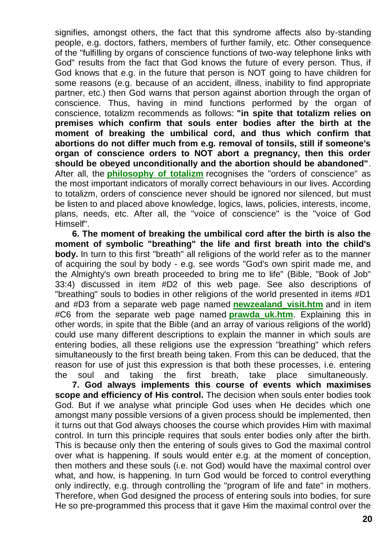signifies, amongst others, the fact that this syndrome affects also by-standing people, e.g. doctors, fathers, members of further family, etc. Other consequence of the "fulfilling by organs of conscience functions of two-way telephone links with God" results from the fact that God knows the future of every person. Thus, if God knows that e.g. in the future that person is NOT going to have children for some reasons (e.g. because of an accident, illness, inability to find appropriate partner, etc.) then God warns that person against abortion through the organ of conscience. Thus, having in mind functions performed by the organ of conscience, totalizm recommends as follows: **"in spite that totalizm relies on premises which confirm that souls enter bodies after the birth at the moment of breaking the umbilical cord, and thus which confirm that abortions do not differ much from e.g. removal of tonsils, still if someone's organ of conscience orders to NOT abort a pregnancy, then this order should be obeyed unconditionally and the abortion should be abandoned"**. After all, the **[philosophy of totalizm](http://tornado.zxq.net/totalizm.htm)** recognises the "orders of conscience" as the most important indicators of morally correct behaviours in our lives. According to totalizm, orders of conscience never should be ignored nor silenced, but must be listen to and placed above knowledge, logics, laws, policies, interests, income, plans, needs, etc. After all, the "voice of conscience" is the "voice of God Himself".

**6. The moment of breaking the umbilical cord after the birth is also the moment of symbolic "breathing" the life and first breath into the child's body.** In turn to this first "breath" all religions of the world refer as to the manner of acquiring the soul by body - e.g. see words "God's own spirit made me, and the Almighty's own breath proceeded to bring me to life" (Bible, "Book of Job" 33:4) discussed in item #D2 of this web page. See also descriptions of "breathing" souls to bodies in other religions of the world presented in items #D1 and #D3 from a separate web page named **[newzealand\\_visit.htm](http://tornado.zxq.net/newzealand_visit.htm)** and in item #C6 from the separate web page named **[prawda\\_uk.htm](http://tornado.zxq.net/prawda_uk.htm)**. Explaining this in other words, in spite that the Bible (and an array of various religions of the world) could use many different descriptions to explain the manner in which souls are entering bodies, all these religions use the expression "breathing" which refers simultaneously to the first breath being taken. From this can be deduced, that the reason for use of just this expression is that both these processes, i.e. entering the soul and taking the first breath, take place simultaneously.

**7. God always implements this course of events which maximises scope and efficiency of His control.** The decision when souls enter bodies took God. But if we analyse what principle God uses when He decides which one amongst many possible versions of a given process should be implemented, then it turns out that God always chooses the course which provides Him with maximal control. In turn this principle requires that souls enter bodies only after the birth. This is because only then the entering of souls gives to God the maximal control over what is happening. If souls would enter e.g. at the moment of conception, then mothers and these souls (i.e. not God) would have the maximal control over what, and how, is happening. In turn God would be forced to control everything only indirectly, e.g. through controlling the "program of life and fate" in mothers. Therefore, when God designed the process of entering souls into bodies, for sure He so pre-programmed this process that it gave Him the maximal control over the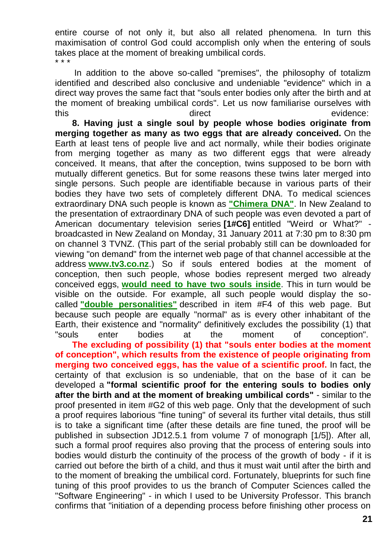entire course of not only it, but also all related phenomena. In turn this maximisation of control God could accomplish only when the entering of souls takes place at the moment of breaking umbilical cords. \* \* \*

In addition to the above so-called "premises", the philosophy of totalizm identified and described also conclusive and undeniable "evidence" which in a direct way proves the same fact that "souls enter bodies only after the birth and at the moment of breaking umbilical cords". Let us now familiarise ourselves with this this direct evidence:

**8. Having just a single soul by people whose bodies originate from merging together as many as two eggs that are already conceived.** On the Earth at least tens of people live and act normally, while their bodies originate from merging together as many as two different eggs that were already conceived. It means, that after the conception, twins supposed to be born with mutually different genetics. But for some reasons these twins later merged into single persons. Such people are identifiable because in various parts of their bodies they have two sets of completely different DNA. To medical sciences extraordinary DNA such people is known as **["Chimera DNA"](http://www.google.com/search?hl=en&source=hp&q=chimera+dna&btnG=Google+Search&aq=f&aqi=&aql=&oq=)**. In New Zealand to the presentation of extraordinary DNA of such people was even devoted a part of American documentary television series **[1#C6]** entitled "Weird or What?" broadcasted in New Zealand on Monday, 31 January 2011 at 7:30 pm to 8:30 pm on channel 3 TVNZ. (This part of the serial probably still can be downloaded for viewing "on demand" from the internet web page of that channel accessible at the address **[www.tv3.co.nz](http://www.tv3.co.nz/)**.) So if souls entered bodies at the moment of conception, then such people, whose bodies represent merged two already conceived eggs, **would [need to have two souls inside](http://www.google.com/search?hl=en&q=chimera+dna+two+souls&btnG=Search&aq=f&aqi=&aql=&oq=)**. This in turn would be visible on the outside. For example, all such people would display the socalled **["double personalities"](http://www.google.com/search?hl=en&q=chimera+dna+double+personality&btnG=Search&aq=f&aqi=&aql=&oq=)** described in item #F4 of this web page. But because such people are equally "normal" as is every other inhabitant of the Earth, their existence and "normality" definitively excludes the possibility (1) that "souls enter bodies at the moment of conception".

**The excluding of possibility (1) that "souls enter bodies at the moment of conception", which results from the existence of people originating from merging two conceived eggs, has the value of a scientific proof.** In fact, the certainty of that exclusion is so undeniable, that on the base of it can be developed a **"formal scientific proof for the entering souls to bodies only after the birth and at the moment of breaking umbilical cords"** - similar to the proof presented in item #G2 of this web page. Only that the development of such a proof requires laborious "fine tuning" of several its further vital details, thus still is to take a significant time (after these details are fine tuned, the proof will be published in subsection JD12.5.1 from volume 7 of monograph [1/5]). After all, such a formal proof requires also proving that the process of entering souls into bodies would disturb the continuity of the process of the growth of body - if it is carried out before the birth of a child, and thus it must wait until after the birth and to the moment of breaking the umbilical cord. Fortunately, blueprints for such fine tuning of this proof provides to us the branch of Computer Sciences called the "Software Engineering" - in which I used to be University Professor. This branch confirms that "initiation of a depending process before finishing other process on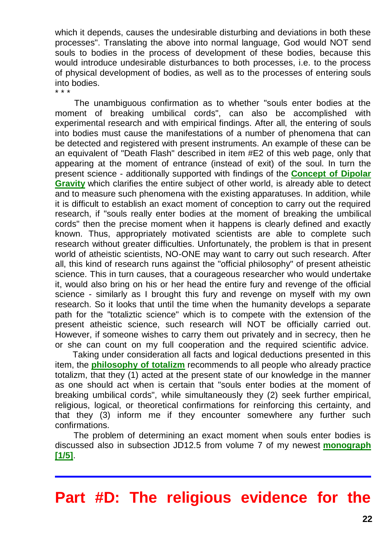which it depends, causes the undesirable disturbing and deviations in both these processes". Translating the above into normal language, God would NOT send souls to bodies in the process of development of these bodies, because this would introduce undesirable disturbances to both processes, i.e. to the process of physical development of bodies, as well as to the processes of entering souls into bodies. \* \* \*

The unambiguous confirmation as to whether "souls enter bodies at the moment of breaking umbilical cords", can also be accomplished with experimental research and with empirical findings. After all, the entering of souls into bodies must cause the manifestations of a number of phenomena that can be detected and registered with present instruments. An example of these can be an equivalent of "Death Flash" described in item #E2 of this web page, only that appearing at the moment of entrance (instead of exit) of the soul. In turn the present science - additionally supported with findings of the **[Concept of Dipolar](http://tornado.zxq.net/dipolar_gravity.htm)  [Gravity](http://tornado.zxq.net/dipolar_gravity.htm)** which clarifies the entire subject of other world, is already able to detect and to measure such phenomena with the existing apparatuses. In addition, while it is difficult to establish an exact moment of conception to carry out the required research, if "souls really enter bodies at the moment of breaking the umbilical cords" then the precise moment when it happens is clearly defined and exactly known. Thus, appropriately motivated scientists are able to complete such research without greater difficulties. Unfortunately, the problem is that in present world of atheistic scientists, NO-ONE may want to carry out such research. After all, this kind of research runs against the "official philosophy" of present atheistic science. This in turn causes, that a courageous researcher who would undertake it, would also bring on his or her head the entire fury and revenge of the official science - similarly as I brought this fury and revenge on myself with my own research. So it looks that until the time when the humanity develops a separate path for the "totaliztic science" which is to compete with the extension of the present atheistic science, such research will NOT be officially carried out. However, if someone wishes to carry them out privately and in secrecy, then he or she can count on my full cooperation and the required scientific advice.

Taking under consideration all facts and logical deductions presented in this item, the **[philosophy of totalizm](http://tornado.zxq.net/totalizm.htm)** recommends to all people who already practice totalizm, that they (1) acted at the present state of our knowledge in the manner as one should act when is certain that "souls enter bodies at the moment of breaking umbilical cords", while simultaneously they (2) seek further empirical, religious, logical, or theoretical confirmations for reinforcing this certainty, and that they (3) inform me if they encounter somewhere any further such confirmations.

The problem of determining an exact moment when souls enter bodies is discussed also in subsection JD12.5 from volume 7 of my newest **[monograph](http://tornado.zxq.net/text_1_5.htm)  [\[1/5\]](http://tornado.zxq.net/text_1_5.htm)**.

#### **Part #D: The religious evidence for the**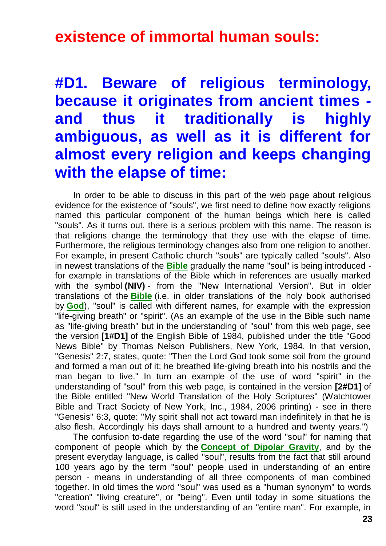#### **existence of immortal human souls:**

# **#D1. Beware of religious terminology, because it originates from ancient times and thus it traditionally is highly ambiguous, as well as it is different for almost every religion and keeps changing with the elapse of time:**

In order to be able to discuss in this part of the web page about religious evidence for the existence of "souls", we first need to define how exactly religions named this particular component of the human beings which here is called "souls". As it turns out, there is a serious problem with this name. The reason is that religions change the terminology that they use with the elapse of time. Furthermore, the religious terminology changes also from one religion to another. For example, in present Catholic church "souls" are typically called "souls". Also in newest translations of the **[Bible](http://tornado.zxq.net/bible.htm)** gradually the name "soul" is being introduced for example in translations of the Bible which in references are usually marked with the symbol **(NIV)** - from the "New International Version". But in older translations of the **[Bible](http://tornado.zxq.net/bible.htm)** (i.e. in older translations of the holy book authorised by **[God](http://tornado.zxq.net/god.htm)**), "soul" is called with different names, for example with the expression "life-giving breath" or "spirit". (As an example of the use in the Bible such name as "life-giving breath" but in the understanding of "soul" from this web page, see the version **[1#D1]** of the English Bible of 1984, published under the title "Good News Bible" by Thomas Nelson Publishers, New York, 1984. In that version, "Genesis" 2:7, states, quote: "Then the Lord God took some soil from the ground and formed a man out of it; he breathed life-giving breath into his nostrils and the man began to live." In turn an example of the use of word "spirit" in the understanding of "soul" from this web page, is contained in the version **[2#D1]** of the Bible entitled "New World Translation of the Holy Scriptures" (Watchtower Bible and Tract Society of New York, Inc., 1984, 2006 printing) - see in there "Genesis" 6:3, quote: "My spirit shall not act toward man indefinitely in that he is also flesh. Accordingly his days shall amount to a hundred and twenty years.")

The confusion to-date regarding the use of the word "soul" for naming that component of people which by the **[Concept of Dipolar Gravity](http://tornado.zxq.net/dipolar_gravity.htm)**, and by the present everyday language, is called "soul", results from the fact that still around 100 years ago by the term "soul" people used in understanding of an entire person - means in understanding of all three components of man combined together. In old times the word "soul" was used as a "human synonym" to words "creation" "living creature", or "being". Even until today in some situations the word "soul" is still used in the understanding of an "entire man". For example, in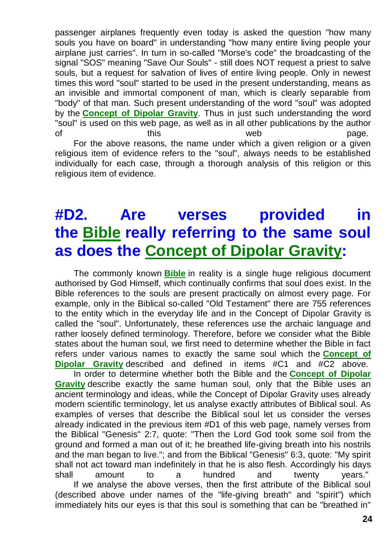passenger airplanes frequently even today is asked the question "how many souls you have on board" in understanding "how many entire living people your airplane just carries". In turn in so-called "Morse's code" the broadcasting of the signal "SOS" meaning "Save Our Souls" - still does NOT request a priest to salve souls, but a request for salvation of lives of entire living people. Only in newest times this word "soul" started to be used in the present understanding, means as an invisible and immortal component of man, which is clearly separable from "body" of that man. Such present understanding of the word "soul" was adopted by the **[Concept of Dipolar Gravity](http://tornado.zxq.net/dipolar_gravity.htm)**. Thus in just such understanding the word "soul" is used on this web page, as well as in all other publications by the author of this the this web web page. For the above reasons, the name under which a given religion or a given

religious item of evidence refers to the "soul", always needs to be established individually for each case, through a thorough analysis of this religion or this religious item of evidence.

# **#D2. Are verses provided in the [Bible](http://tornado.zxq.net/bible.htm) really referring to the same soul as does the [Concept of Dipolar Gravity:](http://tornado.zxq.net/dipolar_gravity.htm)**

The commonly known **[Bible](http://tornado.zxq.net/bible.htm)** in reality is a single huge religious document authorised by God Himself, which continually confirms that soul does exist. In the Bible references to the souls are present practically on almost every page. For example, only in the Biblical so-called "Old Testament" there are 755 references to the entity which in the everyday life and in the Concept of Dipolar Gravity is called the "soul". Unfortunately, these references use the archaic language and rather loosely defined terminology. Therefore, before we consider what the Bible states about the human soul, we first need to determine whether the Bible in fact refers under various names to exactly the same soul which the **[Concept of](http://tornado.zxq.net/dipolar_gravity.htm)  [Dipolar Gravity](http://tornado.zxq.net/dipolar_gravity.htm)** described and defined in items #C1 and #C2 above.

In order to determine whether both the Bible and the **[Concept of Dipolar](http://tornado.zxq.net/dipolar_gravity.htm)  [Gravity](http://tornado.zxq.net/dipolar_gravity.htm)** describe exactly the same human soul, only that the Bible uses an ancient terminology and ideas, while the Concept of Dipolar Gravity uses already modern scientific terminology, let us analyse exactly attributes of Biblical soul. As examples of verses that describe the Biblical soul let us consider the verses already indicated in the previous item #D1 of this web page, namely verses from the Biblical "Genesis" 2:7, quote: "Then the Lord God took some soil from the ground and formed a man out of it; he breathed life-giving breath into his nostrils and the man began to live."; and from the Biblical "Genesis" 6:3, quote: "My spirit shall not act toward man indefinitely in that he is also flesh. Accordingly his days shall amount to a hundred and twenty years." If we analyse the above verses, then the first attribute of the Biblical soul (described above under names of the "life-giving breath" and "spirit") which immediately hits our eyes is that this soul is something that can be "breathed in"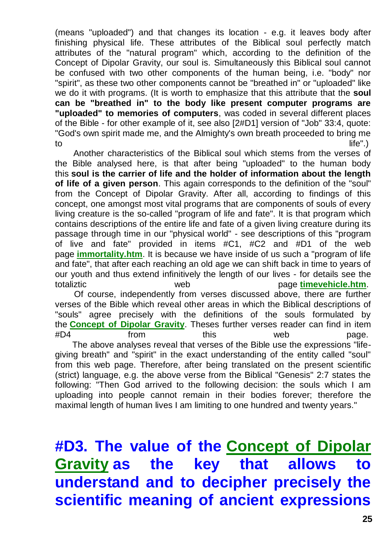(means "uploaded") and that changes its location - e.g. it leaves body after finishing physical life. These attributes of the Biblical soul perfectly match attributes of the "natural program" which, according to the definition of the Concept of Dipolar Gravity, our soul is. Simultaneously this Biblical soul cannot be confused with two other components of the human being, i.e. "body" nor "spirit", as these two other components cannot be "breathed in" or "uploaded" like we do it with programs. (It is worth to emphasize that this attribute that the **soul can be "breathed in" to the body like present computer programs are "uploaded" to memories of computers**, was coded in several different places of the Bible - for other example of it, see also [2#D1] version of "Job" 33:4, quote: "God's own spirit made me, and the Almighty's own breath proceeded to bring me to life".)

Another characteristics of the Biblical soul which stems from the verses of the Bible analysed here, is that after being "uploaded" to the human body this **soul is the carrier of life and the holder of information about the length of life of a given person**. This again corresponds to the definition of the "soul" from the Concept of Dipolar Gravity. After all, according to findings of this concept, one amongst most vital programs that are components of souls of every living creature is the so-called "program of life and fate". It is that program which contains descriptions of the entire life and fate of a given living creature during its passage through time in our "physical world" - see descriptions of this "program of live and fate" provided in items #C1, #C2 and #D1 of the web page **[immortality.htm](http://tornado.zxq.net/immortality.htm)**. It is because we have inside of us such a "program of life and fate", that after each reaching an old age we can shift back in time to years of our youth and thus extend infinitively the length of our lives - for details see the totaliztic web page **[timevehicle.htm](http://tornado.zxq.net/timevehicle.htm)**. Of course, independently from verses discussed above, there are further verses of the Bible which reveal other areas in which the Biblical descriptions of "souls" agree precisely with the definitions of the souls formulated by

#D4 from this web page. The above analyses reveal that verses of the Bible use the expressions "lifegiving breath" and "spirit" in the exact understanding of the entity called "soul" from this web page. Therefore, after being translated on the present scientific (strict) language, e.g. the above verse from the Biblical "Genesis" 2:7 states the following: "Then God arrived to the following decision: the souls which I am uploading into people cannot remain in their bodies forever; therefore the maximal length of human lives I am limiting to one hundred and twenty years."

the **[Concept of Dipolar Gravity](http://tornado.zxq.net/dipolar_gravity.htm)**. Theses further verses reader can find in item

**#D3. The value of the [Concept of Dipolar](http://tornado.zxq.net/dipolar_gravity.htm)  [Gravity](http://tornado.zxq.net/dipolar_gravity.htm) as the key that allows to understand and to decipher precisely the scientific meaning of ancient expressions**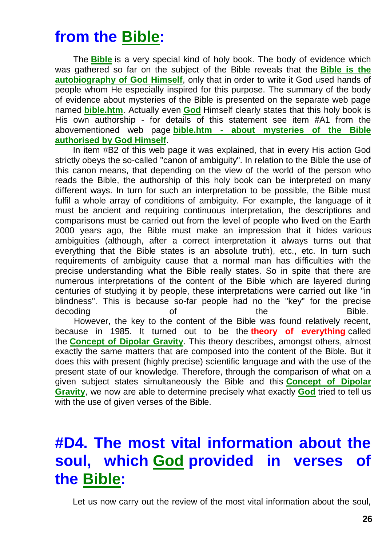# **from the [Bible:](http://tornado.zxq.net/bible.htm)**

The **[Bible](http://tornado.zxq.net/bible.htm)** is a very special kind of holy book. The body of evidence which was gathered so far on the subject of the Bible reveals that the **[Bible is the](http://tornado.zxq.net/bible.htm)  [autobiography of God Himself](http://tornado.zxq.net/bible.htm)**, only that in order to write it God used hands of people whom He especially inspired for this purpose. The summary of the body of evidence about mysteries of the Bible is presented on the separate web page named **[bible.htm](http://tornado.zxq.net/bible.htm)**. Actually even **[God](http://tornado.zxq.net/god.htm)** Himself clearly states that this holy book is His own authorship - for details of this statement see item #A1 from the abovementioned web page **bible.htm - [about mysteries of the Bible](http://tornado.zxq.net/bible.htm)  [authorised by God Himself](http://tornado.zxq.net/bible.htm)**.

In item #B2 of this web page it was explained, that in every His action God strictly obeys the so-called "canon of ambiguity". In relation to the Bible the use of this canon means, that depending on the view of the world of the person who reads the Bible, the authorship of this holy book can be interpreted on many different ways. In turn for such an interpretation to be possible, the Bible must fulfil a whole array of conditions of ambiguity. For example, the language of it must be ancient and requiring continuous interpretation, the descriptions and comparisons must be carried out from the level of people who lived on the Earth 2000 years ago, the Bible must make an impression that it hides various ambiguities (although, after a correct interpretation it always turns out that everything that the Bible states is an absolute truth), etc., etc. In turn such requirements of ambiguity cause that a normal man has difficulties with the precise understanding what the Bible really states. So in spite that there are numerous interpretations of the content of the Bible which are layered during centuries of studying it by people, these interpretations were carried out like "in blindness". This is because so-far people had no the "key" for the precise decoding and of the the Bible. However, the key to the content of the Bible was found relatively recent, because in 1985. It turned out to be the **theory of everything** called the **[Concept of Dipolar Gravity](http://tornado.zxq.net/dipolar_gravity.htm)**. This theory describes, amongst others, almost exactly the same matters that are composed into the content of the Bible. But it does this with present (highly precise) scientific language and with the use of the present state of our knowledge. Therefore, through the comparison of what on a given subject states simultaneously the Bible and this **[Concept of Dipolar](http://tornado.zxq.net/dipolar_gravity.htm)  [Gravity](http://tornado.zxq.net/dipolar_gravity.htm)**, we now are able to determine precisely what exactly **[God](http://tornado.zxq.net/god.htm)** tried to tell us with the use of given verses of the Bible.

# **#D4. The most vital information about the soul, which [God](http://tornado.zxq.net/god.htm) provided in verses of the [Bible:](http://tornado.zxq.net/bible.htm)**

Let us now carry out the review of the most vital information about the soul,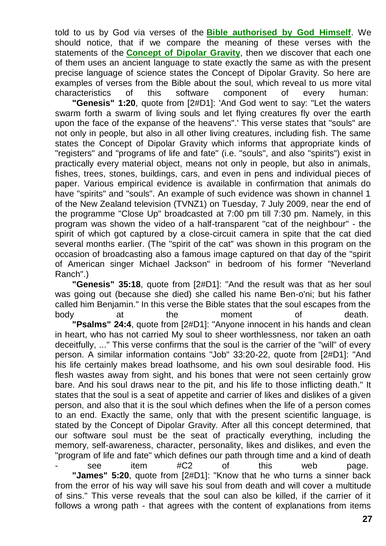told to us by God via verses of the **[Bible authorised by God Himself](http://tornado.zxq.net/bible.htm)**. We should notice, that if we compare the meaning of these verses with the statements of the **[Concept of Dipolar Gravity](http://tornado.zxq.net/dipolar_gravity.htm)**, then we discover that each one of them uses an ancient language to state exactly the same as with the present precise language of science states the Concept of Dipolar Gravity. So here are examples of verses from the Bible about the soul, which reveal to us more vital characteristics of this software component of every human:

**"Genesis" 1:20**, quote from [2#D1]: 'And God went to say: "Let the waters swarm forth a swarm of living souls and let flying creatures fly over the earth upon the face of the expanse of the heavens".' This verse states that "souls" are not only in people, but also in all other living creatures, including fish. The same states the Concept of Dipolar Gravity which informs that appropriate kinds of "registers" and "programs of life and fate" (i.e. "souls", and also "spirits") exist in practically every material object, means not only in people, but also in animals, fishes, trees, stones, buildings, cars, and even in pens and individual pieces of paper. Various empirical evidence is available in confirmation that animals do have "spirits" and "souls". An example of such evidence was shown in channel 1 of the New Zealand television (TVNZ1) on Tuesday, 7 July 2009, near the end of the programme "Close Up" broadcasted at 7:00 pm till 7:30 pm. Namely, in this program was shown the video of a half-transparent "cat of the neighbour" - the spirit of which got captured by a close-circuit camera in spite that the cat died several months earlier. (The "spirit of the cat" was shown in this program on the occasion of broadcasting also a famous image captured on that day of the "spirit of American singer Michael Jackson" in bedroom of his former "Neverland Ranch".)

**"Genesis" 35:18**, quote from [2#D1]: "And the result was that as her soul was going out (because she died) she called his name Ben-o'ni; but his father called him Benjamin." In this verse the Bible states that the soul escapes from the body at the moment of death. **"Psalms" 24:4**, quote from [2#D1]: "Anyone innocent in his hands and clean in heart, who has not carried My soul to sheer worthlessness, nor taken an oath deceitfully, ..." This verse confirms that the soul is the carrier of the "will" of every person. A similar information contains "Job" 33:20-22, quote from [2#D1]: "And his life certainly makes bread loathsome, and his own soul desirable food. His flesh wastes away from sight, and his bones that were not seen certainly grow bare. And his soul draws near to the pit, and his life to those inflicting death." It states that the soul is a seat of appetite and carrier of likes and dislikes of a given person, and also that it is the soul which defines when the life of a person comes to an end. Exactly the same, only that with the present scientific language, is stated by the Concept of Dipolar Gravity. After all this concept determined, that our software soul must be the seat of practically everything, including the memory, self-awareness, character, personality, likes and dislikes, and even the "program of life and fate" which defines our path through time and a kind of death - see item #C2 of this web page. **"James" 5:20**, quote from [2#D1]: "Know that he who turns a sinner back from the error of his way will save his soul from death and will cover a multitude of sins." This verse reveals that the soul can also be killed, if the carrier of it

follows a wrong path - that agrees with the content of explanations from items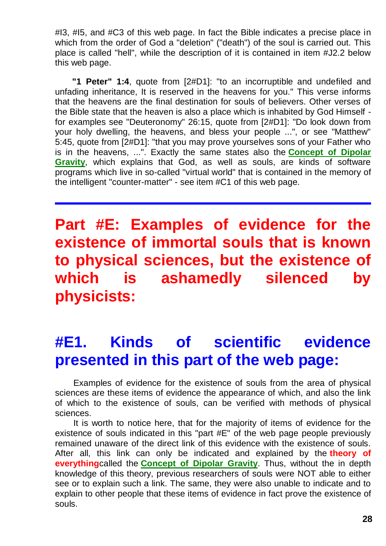#I3, #I5, and #C3 of this web page. In fact the Bible indicates a precise place in which from the order of God a "deletion" ("death") of the soul is carried out. This place is called "hell", while the description of it is contained in item #J2.2 below this web page.

**"1 Peter" 1:4**, quote from [2#D1]: "to an incorruptible and undefiled and unfading inheritance, It is reserved in the heavens for you." This verse informs that the heavens are the final destination for souls of believers. Other verses of the Bible state that the heaven is also a place which is inhabited by God Himself for examples see "Deuteronomy" 26:15, quote from [2#D1]: "Do look down from your holy dwelling, the heavens, and bless your people ...", or see "Matthew" 5:45, quote from [2#D1]: "that you may prove yourselves sons of your Father who is in the heavens, ...". Exactly the same states also the **[Concept of Dipolar](http://tornado.zxq.net/dipolar_gravity.htm)  [Gravity](http://tornado.zxq.net/dipolar_gravity.htm)**, which explains that God, as well as souls, are kinds of software programs which live in so-called "virtual world" that is contained in the memory of the intelligent "counter-matter" - see item #C1 of this web page.

**Part #E: Examples of evidence for the existence of immortal souls that is known to physical sciences, but the existence of which is ashamedly silenced by physicists:**

# **#E1. Kinds of scientific evidence presented in this part of the web page:**

Examples of evidence for the existence of souls from the area of physical sciences are these items of evidence the appearance of which, and also the link of which to the existence of souls, can be verified with methods of physical sciences.

It is worth to notice here, that for the majority of items of evidence for the existence of souls indicated in this "part #E" of the web page people previously remained unaware of the direct link of this evidence with the existence of souls. After all, this link can only be indicated and explained by the **theory of everything**called the **[Concept of Dipolar Gravity](http://tornado.zxq.net/dipolar_gravity.htm)**. Thus, without the in depth knowledge of this theory, previous researchers of souls were NOT able to either see or to explain such a link. The same, they were also unable to indicate and to explain to other people that these items of evidence in fact prove the existence of souls.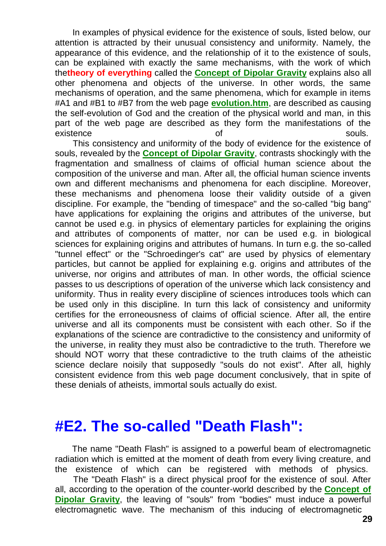In examples of physical evidence for the existence of souls, listed below, our attention is attracted by their unusual consistency and uniformity. Namely, the appearance of this evidence, and the relationship of it to the existence of souls, can be explained with exactly the same mechanisms, with the work of which the**theory of everything** called the **[Concept of Dipolar Gravity](http://tornado.zxq.net/dipolar_gravity.htm)** explains also all other phenomena and objects of the universe. In other words, the same mechanisms of operation, and the same phenomena, which for example in items #A1 and #B1 to #B7 from the web page **[evolution.htm](http://tornado.zxq.net/evolution.htm)**, are described as causing the self-evolution of God and the creation of the physical world and man, in this part of the web page are described as they form the manifestations of the existence of souls.

This consistency and uniformity of the body of evidence for the existence of souls, revealed by the **[Concept of Dipolar Gravity](http://tornado.zxq.net/dipolar_gravity.htm)**, contrasts shockingly with the fragmentation and smallness of claims of official human science about the composition of the universe and man. After all, the official human science invents own and different mechanisms and phenomena for each discipline. Moreover, these mechanisms and phenomena loose their validity outside of a given discipline. For example, the "bending of timespace" and the so-called "big bang" have applications for explaining the origins and attributes of the universe, but cannot be used e.g. in physics of elementary particles for explaining the origins and attributes of components of matter, nor can be used e.g. in biological sciences for explaining origins and attributes of humans. In turn e.g. the so-called "tunnel effect" or the "Schroedinger's cat" are used by physics of elementary particles, but cannot be applied for explaining e.g. origins and attributes of the universe, nor origins and attributes of man. In other words, the official science passes to us descriptions of operation of the universe which lack consistency and uniformity. Thus in reality every discipline of sciences introduces tools which can be used only in this discipline. In turn this lack of consistency and uniformity certifies for the erroneousness of claims of official science. After all, the entire universe and all its components must be consistent with each other. So if the explanations of the science are contradictive to the consistency and uniformity of the universe, in reality they must also be contradictive to the truth. Therefore we should NOT worry that these contradictive to the truth claims of the atheistic science declare noisily that supposedly "souls do not exist". After all, highly consistent evidence from this web page document conclusively, that in spite of these denials of atheists, immortal souls actually do exist.

#### **#E2. The so-called "Death Flash":**

The name "Death Flash" is assigned to a powerful beam of electromagnetic radiation which is emitted at the moment of death from every living creature, and the existence of which can be registered with methods of physics.

The "Death Flash" is a direct physical proof for the existence of soul. After all, according to the operation of the counter-world described by the **[Concept of](http://tornado.zxq.net/dipolar_gravity.htm)  [Dipolar Gravity](http://tornado.zxq.net/dipolar_gravity.htm)**, the leaving of "souls" from "bodies" must induce a powerful electromagnetic wave. The mechanism of this inducing of electromagnetic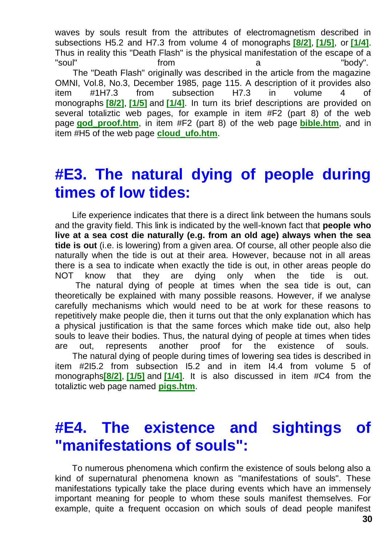waves by souls result from the attributes of electromagnetism described in subsections H5.2 and H7.3 from volume 4 of monographs **[\[8/2\]](http://tornado.zxq.net/text_8_2.htm)**, **[\[1/5\]](http://tornado.zxq.net/text_1_5.htm)**, or **[\[1/4\]](http://tornado.zxq.net/text_1_4.htm)**. Thus in reality this "Death Flash" is the physical manifestation of the escape of a "soul" from a "body". The "Death Flash" originally was described in the article from the magazine OMNI, Vol.8, No.3, December 1985, page 115. A description of it provides also item #1H7.3 from subsection H7.3 in volume 4 of monographs **[\[8/2\]](http://tornado.zxq.net/text_8_2.htm)**, **[\[1/5\]](http://tornado.zxq.net/text_1_5.htm)** and **[\[1/4\]](http://tornado.zxq.net/text_1_4.htm)**. In turn its brief descriptions are provided on several totaliztic web pages, for example in item #F2 (part 8) of the web page **[god\\_proof.htm](http://tornado.zxq.net/god_proof.htm)**, in item #F2 (part 8) of the web page **[bible.htm](http://tornado.zxq.net/bible.htm)**, and in item #H5 of the web page **[cloud\\_ufo.htm](http://tornado.zxq.net/cloud_ufo.htm)**.

#### **#E3. The natural dying of people during times of low tides:**

Life experience indicates that there is a direct link between the humans souls and the gravity field. This link is indicated by the well-known fact that **people who live at a sea cost die naturally (e.g. from an old age) always when the sea tide is out** (i.e. is lowering) from a given area. Of course, all other people also die naturally when the tide is out at their area. However, because not in all areas there is a sea to indicate when exactly the tide is out, in other areas people do NOT know that they are dying only when the tide is out. The natural dying of people at times when the sea tide is out, can theoretically be explained with many possible reasons. However, if we analyse carefully mechanisms which would need to be at work for these reasons to repetitively make people die, then it turns out that the only explanation which has a physical justification is that the same forces which make tide out, also help souls to leave their bodies. Thus, the natural dying of people at times when tides are out, represents another proof for the existence of souls. The natural dying of people during times of lowering sea tides is described in item #2I5.2 from subsection I5.2 and in item I4.4 from volume 5 of monographs**[\[8/2\]](http://tornado.zxq.net/text_8_2.htm)**, **[\[1/5\]](http://tornado.zxq.net/text_1_5.htm)** and **[\[1/4\]](http://tornado.zxq.net/text_1_4.htm)**. It is also discussed in item #C4 from the totaliztic web page named **[pigs.htm](http://tornado.zxq.net/pigs.htm)**.

#### **#E4. The existence and sightings of "manifestations of souls":**

To numerous phenomena which confirm the existence of souls belong also a kind of supernatural phenomena known as "manifestations of souls". These manifestations typically take the place during events which have an immensely important meaning for people to whom these souls manifest themselves. For example, quite a frequent occasion on which souls of dead people manifest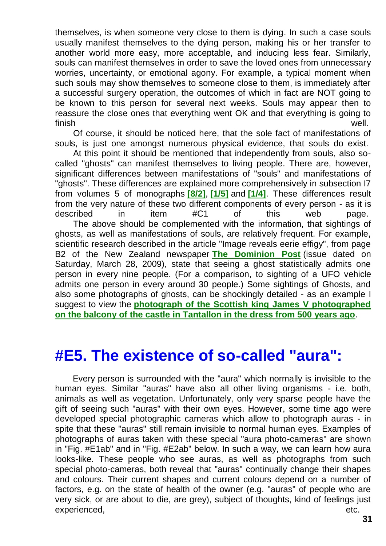themselves, is when someone very close to them is dying. In such a case souls usually manifest themselves to the dying person, making his or her transfer to another world more easy, more acceptable, and inducing less fear. Similarly, souls can manifest themselves in order to save the loved ones from unnecessary worries, uncertainty, or emotional agony. For example, a typical moment when such souls may show themselves to someone close to them, is immediately after a successful surgery operation, the outcomes of which in fact are NOT going to be known to this person for several next weeks. Souls may appear then to reassure the close ones that everything went OK and that everything is going to finish well.

Of course, it should be noticed here, that the sole fact of manifestations of souls, is just one amongst numerous physical evidence, that souls do exist.

At this point it should be mentioned that independently from souls, also socalled "ghosts" can manifest themselves to living people. There are, however, significant differences between manifestations of "souls" and manifestations of "ghosts". These differences are explained more comprehensively in subsection I7 from volumes 5 of monographs **[\[8/2\]](http://tornado.zxq.net/text_8_2.htm)**, **[\[1/5\]](http://tornado.zxq.net/text_1_5.htm)** and **[\[1/4\]](http://tornado.zxq.net/text_1_4.htm)**. These differences result from the very nature of these two different components of every person - as it is described in item #C1 of this web page. The above should be complemented with the information, that sightings of ghosts, as well as manifestations of souls, are relatively frequent. For example, scientific research described in the article "Image reveals eerie effigy", from page B2 of the New Zealand newspaper **[The Dominion Post](http://www.dominionpost.com/)** (issue dated on Saturday, March 28, 2009), state that seeing a ghost statistically admits one person in every nine people. (For a comparison, to sighting of a UFO vehicle admits one person in every around 30 people.) Some sightings of Ghosts, and also some photographs of ghosts, can be shockingly detailed - as an example I suggest to view the **[photograph of the Scottish king James V photographed](http://www.google.com/search?hl=en&q=ghost+James+Tantallon&btnG=Google+Search&aq=f&oq=)  [on the balcony of the castle in Tantallon in the dress from 500 years ago](http://www.google.com/search?hl=en&q=ghost+James+Tantallon&btnG=Google+Search&aq=f&oq=)**.

#### **#E5. The existence of so-called "aura":**

Every person is surrounded with the "aura" which normally is invisible to the human eyes. Similar "auras" have also all other living organisms - i.e. both, animals as well as vegetation. Unfortunately, only very sparse people have the gift of seeing such "auras" with their own eyes. However, some time ago were developed special photographic cameras which allow to photograph auras - in spite that these "auras" still remain invisible to normal human eyes. Examples of photographs of auras taken with these special "aura photo-cameras" are shown in "Fig. #E1ab" and in "Fig. #E2ab" below. In such a way, we can learn how aura looks-like. These people who see auras, as well as photographs from such special photo-cameras, both reveal that "auras" continually change their shapes and colours. Their current shapes and current colours depend on a number of factors, e.g. on the state of health of the owner (e.g. "auras" of people who are very sick, or are about to die, are grey), subject of thoughts, kind of feelings just experienced, experienced, and the contract of the contract of the contract of the contract of the contract of the contract of the contract of the contract of the contract of the contract of the contract of the contract of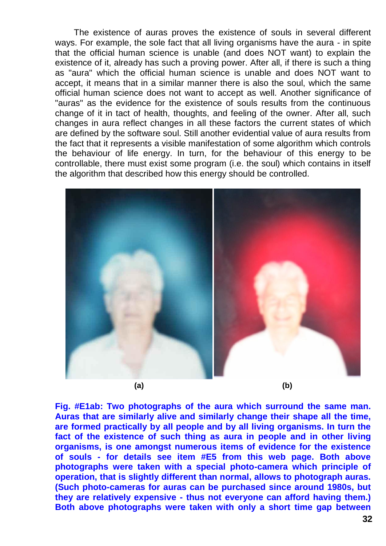The existence of auras proves the existence of souls in several different ways. For example, the sole fact that all living organisms have the aura - in spite that the official human science is unable (and does NOT want) to explain the existence of it, already has such a proving power. After all, if there is such a thing as "aura" which the official human science is unable and does NOT want to accept, it means that in a similar manner there is also the soul, which the same official human science does not want to accept as well. Another significance of "auras" as the evidence for the existence of souls results from the continuous change of it in tact of health, thoughts, and feeling of the owner. After all, such changes in aura reflect changes in all these factors the current states of which are defined by the software soul. Still another evidential value of aura results from the fact that it represents a visible manifestation of some algorithm which controls the behaviour of life energy. In turn, for the behaviour of this energy to be controllable, there must exist some program (i.e. the soul) which contains in itself the algorithm that described how this energy should be controlled.



**Fig. #E1ab: Two photographs of the aura which surround the same man. Auras that are similarly alive and similarly change their shape all the time, are formed practically by all people and by all living organisms. In turn the fact of the existence of such thing as aura in people and in other living organisms, is one amongst numerous items of evidence for the existence of souls - for details see item #E5 from this web page. Both above photographs were taken with a special photo-camera which principle of operation, that is slightly different than normal, allows to photograph auras. (Such photo-cameras for auras can be purchased since around 1980s, but they are relatively expensive - thus not everyone can afford having them.) Both above photographs were taken with only a short time gap between**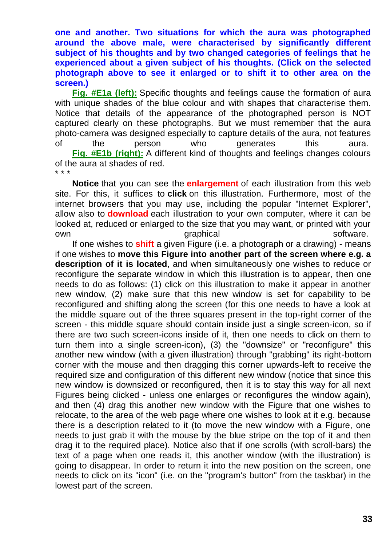**one and another. Two situations for which the aura was photographed around the above male, were characterised by significantly different subject of his thoughts and by two changed categories of feelings that he experienced about a given subject of his thoughts. (Click on the selected photograph above to see it enlarged or to shift it to other area on the screen.)**

**[Fig. #E1a \(left\):](http://tornado.zxq.net/15/15_jk1a.jpg)** Specific thoughts and feelings cause the formation of aura with unique shades of the blue colour and with shapes that characterise them. Notice that details of the appearance of the photographed person is NOT captured clearly on these photographs. But we must remember that the aura photo-camera was designed especially to capture details of the aura, not features of the person who generates this aura. **[Fig. #E1b \(right\):](http://tornado.zxq.net/15/15_jk1b.jpg)** A different kind of thoughts and feelings changes colours of the aura at shades of red. \* \* \*

**Notice** that you can see the **enlargement** of each illustration from this web site. For this, it suffices to **click** on this illustration. Furthermore, most of the internet browsers that you may use, including the popular "Internet Explorer", allow also to **download** each illustration to your own computer, where it can be looked at, reduced or enlarged to the size that you may want, or printed with your own contract of the software.

If one wishes to **shift** a given Figure (i.e. a photograph or a drawing) - means if one wishes to **move this Figure into another part of the screen where e.g. a description of it is located**, and when simultaneously one wishes to reduce or reconfigure the separate window in which this illustration is to appear, then one needs to do as follows: (1) click on this illustration to make it appear in another new window, (2) make sure that this new window is set for capability to be reconfigured and shifting along the screen (for this one needs to have a look at the middle square out of the three squares present in the top-right corner of the screen - this middle square should contain inside just a single screen-icon, so if there are two such screen-icons inside of it, then one needs to click on them to turn them into a single screen-icon), (3) the "downsize" or "reconfigure" this another new window (with a given illustration) through "grabbing" its right-bottom corner with the mouse and then dragging this corner upwards-left to receive the required size and configuration of this different new window (notice that since this new window is downsized or reconfigured, then it is to stay this way for all next Figures being clicked - unless one enlarges or reconfigures the window again), and then (4) drag this another new window with the Figure that one wishes to relocate, to the area of the web page where one wishes to look at it e.g. because there is a description related to it (to move the new window with a Figure, one needs to just grab it with the mouse by the blue stripe on the top of it and then drag it to the required place). Notice also that if one scrolls (with scroll-bars) the text of a page when one reads it, this another window (with the illustration) is going to disappear. In order to return it into the new position on the screen, one needs to click on its "icon" (i.e. on the "program's button" from the taskbar) in the lowest part of the screen.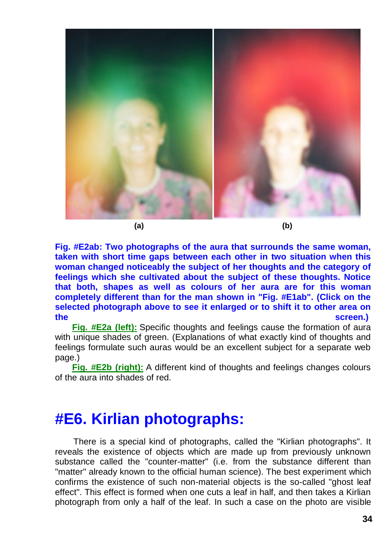

**(a) (b)**

**Fig. #E2ab: Two photographs of the aura that surrounds the same woman, taken with short time gaps between each other in two situation when this woman changed noticeably the subject of her thoughts and the category of feelings which she cultivated about the subject of these thoughts. Notice that both, shapes as well as colours of her aura are for this woman completely different than for the man shown in "Fig. #E1ab". (Click on the selected photograph above to see it enlarged or to shift it to other area on the screen.)**

**[Fig. #E2a \(left\):](http://tornado.zxq.net/15/15_jk2a.jpg)** Specific thoughts and feelings cause the formation of aura with unique shades of green. (Explanations of what exactly kind of thoughts and feelings formulate such auras would be an excellent subject for a separate web page.)

**[Fig. #E2b \(right\):](http://tornado.zxq.net/15/15_jk2b.jpg)** A different kind of thoughts and feelings changes colours of the aura into shades of red.

#### **#E6. Kirlian photographs:**

There is a special kind of photographs, called the "Kirlian photographs". It reveals the existence of objects which are made up from previously unknown substance called the "counter-matter" (i.e. from the substance different than "matter" already known to the official human science). The best experiment which confirms the existence of such non-material objects is the so-called "ghost leaf effect". This effect is formed when one cuts a leaf in half, and then takes a Kirlian photograph from only a half of the leaf. In such a case on the photo are visible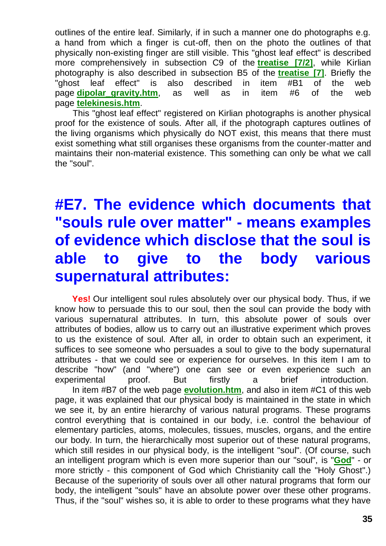outlines of the entire leaf. Similarly, if in such a manner one do photographs e.g. a hand from which a finger is cut-off, then on the photo the outlines of that physically non-existing finger are still visible. This "ghost leaf effect" is described more comprehensively in subsection C9 of the **[treatise \[7/2\]](http://tornado.zxq.net/text_7_2.htm)**, while Kirlian photography is also described in subsection B5 of the **[treatise \[7\]](http://tornado.zxq.net/7_text.htm)**. Briefly the "ghost leaf effect" is also described in item #B1 of the web page **dipolar gravity.htm**, as well as in item #6 of the web page **[telekinesis.htm](http://tornado.zxq.net/telekinesis.htm)**.

This "ghost leaf effect" registered on Kirlian photographs is another physical proof for the existence of souls. After all, if the photograph captures outlines of the living organisms which physically do NOT exist, this means that there must exist something what still organises these organisms from the counter-matter and maintains their non-material existence. This something can only be what we call the "soul".

# **#E7. The evidence which documents that "souls rule over matter" - means examples of evidence which disclose that the soul is able to give to the body various supernatural attributes:**

**Yes!** Our intelligent soul rules absolutely over our physical body. Thus, if we know how to persuade this to our soul, then the soul can provide the body with various supernatural attributes. In turn, this absolute power of souls over attributes of bodies, allow us to carry out an illustrative experiment which proves to us the existence of soul. After all, in order to obtain such an experiment, it suffices to see someone who persuades a soul to give to the body supernatural attributes - that we could see or experience for ourselves. In this item I am to describe "how" (and "where") one can see or even experience such an experimental proof. But firstly a brief introduction. In item #B7 of the web page **[evolution.htm](http://tornado.zxq.net/evolution.htm)**, and also in item #C1 of this web page, it was explained that our physical body is maintained in the state in which we see it, by an entire hierarchy of various natural programs. These programs control everything that is contained in our body, i.e. control the behaviour of elementary particles, atoms, molecules, tissues, muscles, organs, and the entire our body. In turn, the hierarchically most superior out of these natural programs, which still resides in our physical body, is the intelligent "soul". (Of course, such an intelligent program which is even more superior than our "soul", is "**[God](http://tornado.zxq.net/god.htm)**" - or more strictly - this component of God which Christianity call the "Holy Ghost".) Because of the superiority of souls over all other natural programs that form our body, the intelligent "souls" have an absolute power over these other programs. Thus, if the "soul" wishes so, it is able to order to these programs what they have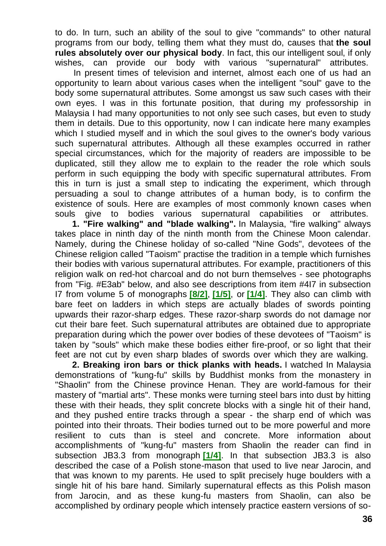to do. In turn, such an ability of the soul to give "commands" to other natural programs from our body, telling them what they must do, causes that **the soul rules absolutely over our physical body**. In fact, this our intelligent soul, if only wishes, can provide our body with various "supernatural" attributes.

In present times of television and internet, almost each one of us had an opportunity to learn about various cases when the intelligent "soul" gave to the body some supernatural attributes. Some amongst us saw such cases with their own eyes. I was in this fortunate position, that during my professorship in Malaysia I had many opportunities to not only see such cases, but even to study them in details. Due to this opportunity, now I can indicate here many examples which I studied myself and in which the soul gives to the owner's body various such supernatural attributes. Although all these examples occurred in rather special circumstances, which for the majority of readers are impossible to be duplicated, still they allow me to explain to the reader the role which souls perform in such equipping the body with specific supernatural attributes. From this in turn is just a small step to indicating the experiment, which through persuading a soul to change attributes of a human body, is to confirm the existence of souls. Here are examples of most commonly known cases when souls give to bodies various supernatural capabilities or attributes.

**1. "Fire walking" and "blade walking".** In Malaysia, "fire walking" always takes place in ninth day of the ninth month from the Chinese Moon calendar. Namely, during the Chinese holiday of so-called "Nine Gods", devotees of the Chinese religion called "Taoism" practise the tradition in a temple which furnishes their bodies with various supernatural attributes. For example, practitioners of this religion walk on red-hot charcoal and do not burn themselves - see photographs from "Fig. #E3ab" below, and also see descriptions from item #4I7 in subsection I7 from volume 5 of monographs **[\[8/2\]](http://tornado.zxq.net/text_8_2.htm)**, **[\[1/5\]](http://tornado.zxq.net/text_1_5.htm)**, or **[\[1/4\]](http://tornado.zxq.net/text_1_4.htm)**. They also can climb with bare feet on ladders in which steps are actually blades of swords pointing upwards their razor-sharp edges. These razor-sharp swords do not damage nor cut their bare feet. Such supernatural attributes are obtained due to appropriate preparation during which the power over bodies of these devotees of "Taoism" is taken by "souls" which make these bodies either fire-proof, or so light that their feet are not cut by even sharp blades of swords over which they are walking.

**2. Breaking iron bars or thick planks with heads.** I watched In Malaysia demonstrations of "kung-fu" skills by Buddhist monks from the monastery in "Shaolin" from the Chinese province Henan. They are world-famous for their mastery of "martial arts". These monks were turning steel bars into dust by hitting these with their heads, they split concrete blocks with a single hit of their hand, and they pushed entire tracks through a spear - the sharp end of which was pointed into their throats. Their bodies turned out to be more powerful and more resilient to cuts than is steel and concrete. More information about accomplishments of "kung-fu" masters from Shaolin the reader can find in subsection JB3.3 from monograph **[\[1/4\]](http://tornado.zxq.net/text_1_4.htm)**. In that subsection JB3.3 is also described the case of a Polish stone-mason that used to live near Jarocin, and that was known to my parents. He used to split precisely huge boulders with a single hit of his bare hand. Similarly supernatural effects as this Polish mason from Jarocin, and as these kung-fu masters from Shaolin, can also be accomplished by ordinary people which intensely practice eastern versions of so-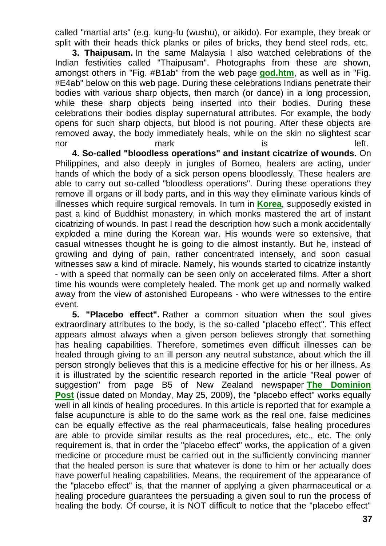called "martial arts" (e.g. kung-fu (wushu), or aikido). For example, they break or split with their heads thick planks or piles of bricks, they bend steel rods, etc.

**3. Thaipusam.** In the same Malaysia I also watched celebrations of the Indian festivities called "Thaipusam". Photographs from these are shown, amongst others in "Fig. #B1ab" from the web page **[god.htm](http://tornado.zxq.net/god.htm)**, as well as in "Fig. #E4ab" below on this web page. During these celebrations Indians penetrate their bodies with various sharp objects, then march (or dance) in a long procession, while these sharp objects being inserted into their bodies. During these celebrations their bodies display supernatural attributes. For example, the body opens for such sharp objects, but blood is not pouring. After these objects are removed away, the body immediately heals, while on the skin no slightest scar nor mark is the left.

**4. So-called "bloodless operations" and instant cicatrize of wounds.** On Philippines, and also deeply in jungles of Borneo, healers are acting, under hands of which the body of a sick person opens bloodlessly. These healers are able to carry out so-called "bloodless operations". During these operations they remove ill organs or ill body parts, and in this way they eliminate various kinds of illnesses which require surgical removals. In turn in **[Korea](http://tornado.zxq.net/korea.htm)**, supposedly existed in past a kind of Buddhist monastery, in which monks mastered the art of instant cicatrizing of wounds. In past I read the description how such a monk accidentally exploded a mine during the Korean war. His wounds were so extensive, that casual witnesses thought he is going to die almost instantly. But he, instead of growling and dying of pain, rather concentrated intensely, and soon casual witnesses saw a kind of miracle. Namely, his wounds started to cicatrize instantly - with a speed that normally can be seen only on accelerated films. After a short time his wounds were completely healed. The monk get up and normally walked away from the view of astonished Europeans - who were witnesses to the entire event.

**5. "Placebo effect".** Rather a common situation when the soul gives extraordinary attributes to the body, is the so-called "placebo effect". This effect appears almost always when a given person believes strongly that something has healing capabilities. Therefore, sometimes even difficult illnesses can be healed through giving to an ill person any neutral substance, about which the ill person strongly believes that this is a medicine effective for his or her illness. As it is illustrated by the scientific research reported in the article "Real power of suggestion" from page B5 of New Zealand newspaper **[The Dominion](http://www.dominionpost.com/)  [Post](http://www.dominionpost.com/)** (issue dated on Monday, May 25, 2009), the "placebo effect" works equally well in all kinds of healing procedures. In this article is reported that for example a false acupuncture is able to do the same work as the real one, false medicines can be equally effective as the real pharmaceuticals, false healing procedures are able to provide similar results as the real procedures, etc., etc. The only requirement is, that in order the "placebo effect" works, the application of a given medicine or procedure must be carried out in the sufficiently convincing manner that the healed person is sure that whatever is done to him or her actually does have powerful healing capabilities. Means, the requirement of the appearance of the "placebo effect" is, that the manner of applying a given pharmaceutical or a healing procedure guarantees the persuading a given soul to run the process of healing the body. Of course, it is NOT difficult to notice that the "placebo effect"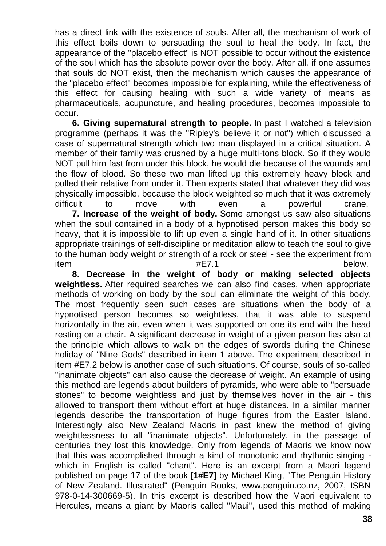has a direct link with the existence of souls. After all, the mechanism of work of this effect boils down to persuading the soul to heal the body. In fact, the appearance of the "placebo effect" is NOT possible to occur without the existence of the soul which has the absolute power over the body. After all, if one assumes that souls do NOT exist, then the mechanism which causes the appearance of the "placebo effect" becomes impossible for explaining, while the effectiveness of this effect for causing healing with such a wide variety of means as pharmaceuticals, acupuncture, and healing procedures, becomes impossible to occur.

**6. Giving supernatural strength to people.** In past I watched a television programme (perhaps it was the "Ripley's believe it or not") which discussed a case of supernatural strength which two man displayed in a critical situation. A member of their family was crushed by a huge multi-tons block. So if they would NOT pull him fast from under this block, he would die because of the wounds and the flow of blood. So these two man lifted up this extremely heavy block and pulled their relative from under it. Then experts stated that whatever they did was physically impossible, because the block weighted so much that it was extremely difficult to move with even a powerful crane.

**7. Increase of the weight of body.** Some amongst us saw also situations when the soul contained in a body of a hypnotised person makes this body so heavy, that it is impossible to lift up even a single hand of it. In other situations appropriate trainings of self-discipline or meditation allow to teach the soul to give to the human body weight or strength of a rock or steel - see the experiment from item #E7.1 below.

**8. Decrease in the weight of body or making selected objects weightless.** After required searches we can also find cases, when appropriate methods of working on body by the soul can eliminate the weight of this body. The most frequently seen such cases are situations when the body of a hypnotised person becomes so weightless, that it was able to suspend horizontally in the air, even when it was supported on one its end with the head resting on a chair. A significant decrease in weight of a given person lies also at the principle which allows to walk on the edges of swords during the Chinese holiday of "Nine Gods" described in item 1 above. The experiment described in item #E7.2 below is another case of such situations. Of course, souls of so-called "inanimate objects" can also cause the decrease of weight. An example of using this method are legends about builders of pyramids, who were able to "persuade stones" to become weightless and just by themselves hover in the air - this allowed to transport them without effort at huge distances. In a similar manner legends describe the transportation of huge figures from the Easter Island. Interestingly also New Zealand Maoris in past knew the method of giving weightlessness to all "inanimate objects". Unfortunately, in the passage of centuries they lost this knowledge. Only from legends of Maoris we know now that this was accomplished through a kind of monotonic and rhythmic singing which in English is called "chant". Here is an excerpt from a Maori legend published on page 17 of the book **[1#E7]** by Michael King, "The Penguin History of New Zealand. Illustrated" (Penguin Books, www.penguin.co.nz, 2007, ISBN 978-0-14-300669-5). In this excerpt is described how the Maori equivalent to Hercules, means a giant by Maoris called "Maui", used this method of making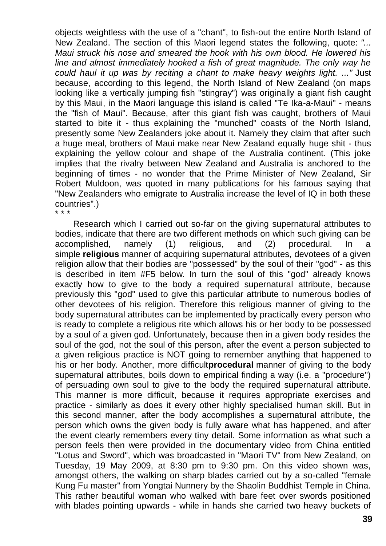objects weightless with the use of a "chant", to fish-out the entire North Island of New Zealand. The section of this Maori legend states the following, quote: *"... Maui struck his nose and smeared the hook with his own blood. He lowered his*  line and almost immediately hooked a fish of great magnitude. The only way he *could haul it up was by reciting a chant to make heavy weights light. ..."* Just because, according to this legend, the North Island of New Zealand (on maps looking like a vertically jumping fish "stingray") was originally a giant fish caught by this Maui, in the Maori language this island is called "Te Ika-a-Maui" - means the "fish of Maui". Because, after this giant fish was caught, brothers of Maui started to bite it - thus explaining the "munched" coasts of the North Island, presently some New Zealanders joke about it. Namely they claim that after such a huge meal, brothers of Maui make near New Zealand equally huge shit - thus explaining the yellow colour and shape of the Australia continent. (This joke implies that the rivalry between New Zealand and Australia is anchored to the beginning of times - no wonder that the Prime Minister of New Zealand, Sir Robert Muldoon, was quoted in many publications for his famous saying that "New Zealanders who emigrate to Australia increase the level of IQ in both these countries".) \* \* \*

Research which I carried out so-far on the giving supernatural attributes to bodies, indicate that there are two different methods on which such giving can be accomplished, namely (1) religious, and (2) procedural. In a simple **religious** manner of acquiring supernatural attributes, devotees of a given religion allow that their bodies are "possessed" by the soul of their "god" - as this is described in item #F5 below. In turn the soul of this "god" already knows exactly how to give to the body a required supernatural attribute, because previously this "god" used to give this particular attribute to numerous bodies of other devotees of his religion. Therefore this religious manner of giving to the body supernatural attributes can be implemented by practically every person who is ready to complete a religious rite which allows his or her body to be possessed by a soul of a given god. Unfortunately, because then in a given body resides the soul of the god, not the soul of this person, after the event a person subjected to a given religious practice is NOT going to remember anything that happened to his or her body. Another, more difficult**procedural** manner of giving to the body supernatural attributes, boils down to empirical finding a way (i.e. a "procedure") of persuading own soul to give to the body the required supernatural attribute. This manner is more difficult, because it requires appropriate exercises and practice - similarly as does it every other highly specialised human skill. But in this second manner, after the body accomplishes a supernatural attribute, the person which owns the given body is fully aware what has happened, and after the event clearly remembers every tiny detail. Some information as what such a person feels then were provided in the documentary video from China entitled "Lotus and Sword", which was broadcasted in "Maori TV" from New Zealand, on Tuesday, 19 May 2009, at 8:30 pm to 9:30 pm. On this video shown was, amongst others, the walking on sharp blades carried out by a so-called "female Kung Fu master" from Yongtai Nunnery by the Shaolin Buddhist Temple in China. This rather beautiful woman who walked with bare feet over swords positioned with blades pointing upwards - while in hands she carried two heavy buckets of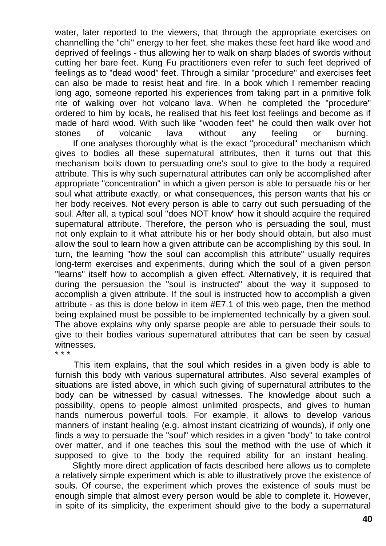water, later reported to the viewers, that through the appropriate exercises on channelling the "chi" energy to her feet, she makes these feet hard like wood and deprived of feelings - thus allowing her to walk on sharp blades of swords without cutting her bare feet. Kung Fu practitioners even refer to such feet deprived of feelings as to "dead wood" feet. Through a similar "procedure" and exercises feet can also be made to resist heat and fire. In a book which I remember reading long ago, someone reported his experiences from taking part in a primitive folk rite of walking over hot volcano lava. When he completed the "procedure" ordered to him by locals, he realised that his feet lost feelings and become as if made of hard wood. With such like "wooden feet" he could then walk over hot stones of volcanic lava without any feeling or burning.

If one analyses thoroughly what is the exact "procedural" mechanism which gives to bodies all these supernatural attributes, then it turns out that this mechanism boils down to persuading one's soul to give to the body a required attribute. This is why such supernatural attributes can only be accomplished after appropriate "concentration" in which a given person is able to persuade his or her soul what attribute exactly, or what consequences, this person wants that his or her body receives. Not every person is able to carry out such persuading of the soul. After all, a typical soul "does NOT know" how it should acquire the required supernatural attribute. Therefore, the person who is persuading the soul, must not only explain to it what attribute his or her body should obtain, but also must allow the soul to learn how a given attribute can be accomplishing by this soul. In turn, the learning "how the soul can accomplish this attribute" usually requires long-term exercises and experiments, during which the soul of a given person "learns" itself how to accomplish a given effect. Alternatively, it is required that during the persuasion the "soul is instructed" about the way it supposed to accomplish a given attribute. If the soul is instructed how to accomplish a given attribute - as this is done below in item #E7.1 of this web page, then the method being explained must be possible to be implemented technically by a given soul. The above explains why only sparse people are able to persuade their souls to give to their bodies various supernatural attributes that can be seen by casual witnesses.

\* \* \*

This item explains, that the soul which resides in a given body is able to furnish this body with various supernatural attributes. Also several examples of situations are listed above, in which such giving of supernatural attributes to the body can be witnessed by casual witnesses. The knowledge about such a possibility, opens to people almost unlimited prospects, and gives to human hands numerous powerful tools. For example, it allows to develop various manners of instant healing (e.g. almost instant cicatrizing of wounds), if only one finds a way to persuade the "soul" which resides in a given "body" to take control over matter, and if one teaches this soul the method with the use of which it supposed to give to the body the required ability for an instant healing.

Slightly more direct application of facts described here allows us to complete a relatively simple experiment which is able to illustratively prove the existence of souls. Of course, the experiment which proves the existence of souls must be enough simple that almost every person would be able to complete it. However, in spite of its simplicity, the experiment should give to the body a supernatural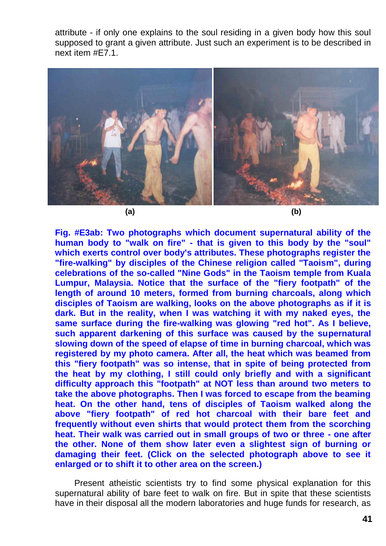attribute - if only one explains to the soul residing in a given body how this soul supposed to grant a given attribute. Just such an experiment is to be described in next item #E7.1.



**Fig. #E3ab: Two photographs which document supernatural ability of the human body to "walk on fire" - that is given to this body by the "soul" which exerts control over body's attributes. These photographs register the "fire-walking" by disciples of the Chinese religion called "Taoism", during celebrations of the so-called "Nine Gods" in the Taoism temple from Kuala Lumpur, Malaysia. Notice that the surface of the "fiery footpath" of the length of around 10 meters, formed from burning charcoals, along which disciples of Taoism are walking, looks on the above photographs as if it is dark. But in the reality, when I was watching it with my naked eyes, the same surface during the fire-walking was glowing "red hot". As I believe, such apparent darkening of this surface was caused by the supernatural slowing down of the speed of elapse of time in burning charcoal, which was registered by my photo camera. After all, the heat which was beamed from this "fiery footpath" was so intense, that in spite of being protected from the heat by my clothing, I still could only briefly and with a significant difficulty approach this "footpath" at NOT less than around two meters to take the above photographs. Then I was forced to escape from the beaming heat. On the other hand, tens of disciples of Taoism walked along the above "fiery footpath" of red hot charcoal with their bare feet and frequently without even shirts that would protect them from the scorching heat. Their walk was carried out in small groups of two or three - one after the other. None of them show later even a slightest sign of burning or damaging their feet. (Click on the selected photograph above to see it enlarged or to shift it to other area on the screen.)**

Present atheistic scientists try to find some physical explanation for this supernatural ability of bare feet to walk on fire. But in spite that these scientists have in their disposal all the modern laboratories and huge funds for research, as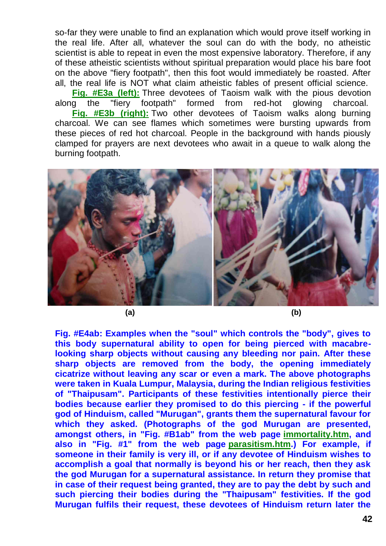so-far they were unable to find an explanation which would prove itself working in the real life. After all, whatever the soul can do with the body, no atheistic scientist is able to repeat in even the most expensive laboratory. Therefore, if any of these atheistic scientists without spiritual preparation would place his bare foot on the above "fiery footpath", then this foot would immediately be roasted. After all, the real life is NOT what claim atheistic fables of present official science.

**[Fig. #E3a \(left\):](http://tornado.zxq.net/15/15_jk3a.jpg)** Three devotees of Taoism walk with the pious devotion along the "fiery footpath" formed from red-hot glowing charcoal. **[Fig. #E3b \(right\):](http://tornado.zxq.net/15/15_jk3b.jpg)** Two other devotees of Taoism walks along burning charcoal. We can see flames which sometimes were bursting upwards from these pieces of red hot charcoal. People in the background with hands piously clamped for prayers are next devotees who await in a queue to walk along the burning footpath.



**Fig. #E4ab: Examples when the "soul" which controls the "body", gives to this body supernatural ability to open for being pierced with macabrelooking sharp objects without causing any bleeding nor pain. After these sharp objects are removed from the body, the opening immediately cicatrize without leaving any scar or even a mark. The above photographs were taken in Kuala Lumpur, Malaysia, during the Indian religious festivities of "Thaipusam". Participants of these festivities intentionally pierce their bodies because earlier they promised to do this piercing - if the powerful god of Hinduism, called "Murugan", grants them the supernatural favour for which they asked. (Photographs of the god Murugan are presented, amongst others, in "Fig. #B1ab" from the web page [immortality.htm,](http://tornado.zxq.net/immortality.htm) and also in "Fig. #1" from the web page [parasitism.htm.](http://tornado.zxq.net/parasitism.htm)) For example, if someone in their family is very ill, or if any devotee of Hinduism wishes to accomplish a goal that normally is beyond his or her reach, then they ask the god Murugan for a supernatural assistance. In return they promise that in case of their request being granted, they are to pay the debt by such and such piercing their bodies during the "Thaipusam" festivities. If the god Murugan fulfils their request, these devotees of Hinduism return later the**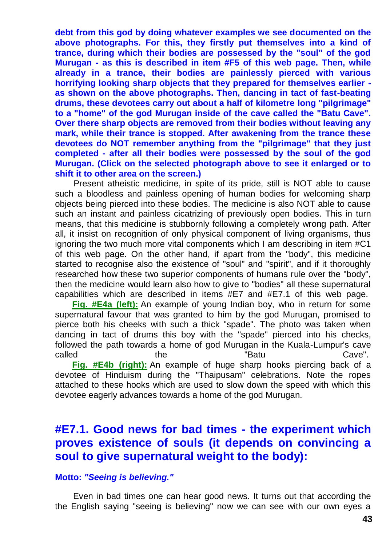**debt from this god by doing whatever examples we see documented on the above photographs. For this, they firstly put themselves into a kind of trance, during which their bodies are possessed by the "soul" of the god Murugan - as this is described in item #F5 of this web page. Then, while already in a trance, their bodies are painlessly pierced with various horrifying looking sharp objects that they prepared for themselves earlier as shown on the above photographs. Then, dancing in tact of fast-beating drums, these devotees carry out about a half of kilometre long "pilgrimage" to a "home" of the god Murugan inside of the cave called the "Batu Cave". Over there sharp objects are removed from their bodies without leaving any mark, while their trance is stopped. After awakening from the trance these devotees do NOT remember anything from the "pilgrimage" that they just completed - after all their bodies were possessed by the soul of the god Murugan. (Click on the selected photograph above to see it enlarged or to shift it to other area on the screen.)**

Present atheistic medicine, in spite of its pride, still is NOT able to cause such a bloodless and painless opening of human bodies for welcoming sharp objects being pierced into these bodies. The medicine is also NOT able to cause such an instant and painless cicatrizing of previously open bodies. This in turn means, that this medicine is stubbornly following a completely wrong path. After all, it insist on recognition of only physical component of living organisms, thus ignoring the two much more vital components which I am describing in item #C1 of this web page. On the other hand, if apart from the "body", this medicine started to recognise also the existence of "soul" and "spirit", and if it thoroughly researched how these two superior components of humans rule over the "body", then the medicine would learn also how to give to "bodies" all these supernatural capabilities which are described in items #E7 and #E7.1 of this web page.

**[Fig. #E4a \(left\):](http://tornado.zxq.net/15/15_jk4a.jpg)** An example of young Indian boy, who in return for some supernatural favour that was granted to him by the god Murugan, promised to pierce both his cheeks with such a thick "spade". The photo was taken when dancing in tact of drums this boy with the "spade" pierced into his checks, followed the path towards a home of god Murugan in the Kuala-Lumpur's cave called the the "Batu Cave". **[Fig. #E4b \(right\):](http://tornado.zxq.net/15/15_jk4b.jpg)** An example of huge sharp hooks piercing back of a

devotee of Hinduism during the "Thaipusam" celebrations. Note the ropes attached to these hooks which are used to slow down the speed with which this devotee eagerly advances towards a home of the god Murugan.

#### **#E7.1. Good news for bad times - the experiment which proves existence of souls (it depends on convincing a soul to give supernatural weight to the body):**

#### **Motto:** *"Seeing is believing."*

Even in bad times one can hear good news. It turns out that according the the English saying "seeing is believing" now we can see with our own eyes a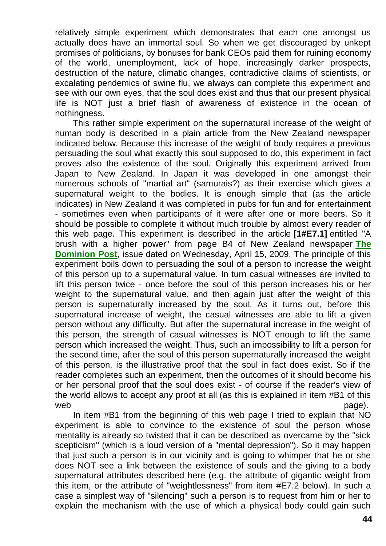relatively simple experiment which demonstrates that each one amongst us actually does have an immortal soul. So when we get discouraged by unkept promises of politicians, by bonuses for bank CEOs paid them for ruining economy of the world, unemployment, lack of hope, increasingly darker prospects, destruction of the nature, climatic changes, contradictive claims of scientists, or excalating pendemics of swine flu, we always can complete this experiment and see with our own eyes, that the soul does exist and thus that our present physical life is NOT just a brief flash of awareness of existence in the ocean of nothingness.

This rather simple experiment on the supernatural increase of the weight of human body is described in a plain article from the New Zealand newspaper indicated below. Because this increase of the weight of body requires a previous persuading the soul what exactly this soul supposed to do, this experiment in fact proves also the existence of the soul. Originally this experiment arrived from Japan to New Zealand. In Japan it was developed in one amongst their numerous schools of "martial art" (samurais?) as their exercise which gives a supernatural weight to the bodies. It is enough simple that (as the article indicates) in New Zealand it was completed in pubs for fun and for entertainment - sometimes even when participants of it were after one or more beers. So it should be possible to complete it without much trouble by almost every reader of this web page. This experiment is described in the article **[1#E7.1]** entitled "A brush with a higher power" from page B4 of New Zealand newspaper **[The](http://www.dominionpost.com/)  [Dominion Post](http://www.dominionpost.com/)**, issue dated on Wednesday, April 15, 2009. The principle of this experiment boils down to persuading the soul of a person to increase the weight of this person up to a supernatural value. In turn casual witnesses are invited to lift this person twice - once before the soul of this person increases his or her weight to the supernatural value, and then again just after the weight of this person is supernaturally increased by the soul. As it turns out, before this supernatural increase of weight, the casual witnesses are able to lift a given person without any difficulty. But after the supernatural increase in the weight of this person, the strength of casual witnesses is NOT enough to lift the same person which increased the weight. Thus, such an impossibility to lift a person for the second time, after the soul of this person supernaturally increased the weight of this person, is the illustrative proof that the soul in fact does exist. So if the reader completes such an experiment, then the outcomes of it should become his or her personal proof that the soul does exist - of course if the reader's view of the world allows to accept any proof at all (as this is explained in item #B1 of this web explored the contract of the contract of the contract of the contract of the contract of the contract of the contract of the contract of the contract of the contract of the contract of the contract of the contract of t

In item #B1 from the beginning of this web page I tried to explain that NO experiment is able to convince to the existence of soul the person whose mentality is already so twisted that it can be described as overcame by the "sick scepticism" (which is a loud version of a "mental depression"). So it may happen that just such a person is in our vicinity and is going to whimper that he or she does NOT see a link between the existence of souls and the giving to a body supernatural attributes described here (e.g. the attribute of gigantic weight from this item, or the attribute of "weightlessness" from item #E7.2 below). In such a case a simplest way of "silencing" such a person is to request from him or her to explain the mechanism with the use of which a physical body could gain such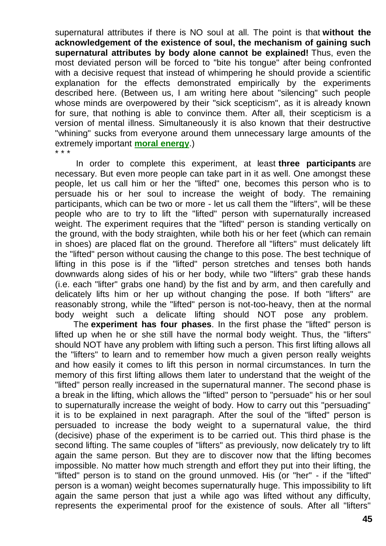supernatural attributes if there is NO soul at all. The point is that **without the acknowledgement of the existence of soul, the mechanism of gaining such supernatural attributes by body alone cannot be explained!** Thus, even the most deviated person will be forced to "bite his tongue" after being confronted with a decisive request that instead of whimpering he should provide a scientific explanation for the effects demonstrated empirically by the experiments described here. (Between us, I am writing here about "silencing" such people whose minds are overpowered by their "sick scepticism", as it is already known for sure, that nothing is able to convince them. After all, their scepticism is a version of mental illness. Simultaneously it is also known that their destructive "whining" sucks from everyone around them unnecessary large amounts of the extremely important **[moral energy](http://tornado.zxq.net/totalizm.htm)**.) \* \* \*

In order to complete this experiment, at least **three participants** are necessary. But even more people can take part in it as well. One amongst these people, let us call him or her the "lifted" one, becomes this person who is to persuade his or her soul to increase the weight of body. The remaining participants, which can be two or more - let us call them the "lifters", will be these people who are to try to lift the "lifted" person with supernaturally increased weight. The experiment requires that the "lifted" person is standing vertically on the ground, with the body straighten, while both his or her feet (which can remain in shoes) are placed flat on the ground. Therefore all "lifters" must delicately lift the "lifted" person without causing the change to this pose. The best technique of lifting in this pose is if the "lifted" person stretches and tenses both hands downwards along sides of his or her body, while two "lifters" grab these hands (i.e. each "lifter" grabs one hand) by the fist and by arm, and then carefully and delicately lifts him or her up without changing the pose. If both "lifters" are reasonably strong, while the "lifted" person is not-too-heavy, then at the normal body weight such a delicate lifting should NOT pose any problem.

The **experiment has four phases**. In the first phase the "lifted" person is lifted up when he or she still have the normal body weight. Thus, the "lifters" should NOT have any problem with lifting such a person. This first lifting allows all the "lifters" to learn and to remember how much a given person really weights and how easily it comes to lift this person in normal circumstances. In turn the memory of this first lifting allows them later to understand that the weight of the "lifted" person really increased in the supernatural manner. The second phase is a break in the lifting, which allows the "lifted" person to "persuade" his or her soul to supernaturally increase the weight of body. How to carry out this "persuading" it is to be explained in next paragraph. After the soul of the "lifted" person is persuaded to increase the body weight to a supernatural value, the third (decisive) phase of the experiment is to be carried out. This third phase is the second lifting. The same couples of "lifters" as previously, now delicately try to lift again the same person. But they are to discover now that the lifting becomes impossible. No matter how much strength and effort they put into their lifting, the "lifted" person is to stand on the ground unmoved. His (or "her" - if the "lifted" person is a woman) weight becomes supernaturally huge. This impossibility to lift again the same person that just a while ago was lifted without any difficulty, represents the experimental proof for the existence of souls. After all "lifters"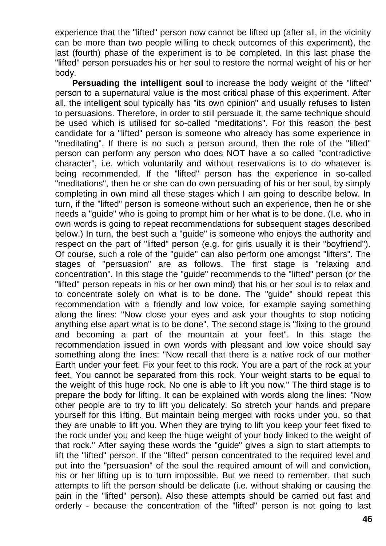experience that the "lifted" person now cannot be lifted up (after all, in the vicinity can be more than two people willing to check outcomes of this experiment), the last (fourth) phase of the experiment is to be completed. In this last phase the "lifted" person persuades his or her soul to restore the normal weight of his or her body.

**Persuading the intelligent soul** to increase the body weight of the "lifted" person to a supernatural value is the most critical phase of this experiment. After all, the intelligent soul typically has "its own opinion" and usually refuses to listen to persuasions. Therefore, in order to still persuade it, the same technique should be used which is utilised for so-called "meditations". For this reason the best candidate for a "lifted" person is someone who already has some experience in "meditating". If there is no such a person around, then the role of the "lifted" person can perform any person who does NOT have a so called "contradictive character", i.e. which voluntarily and without reservations is to do whatever is being recommended. If the "lifted" person has the experience in so-called "meditations", then he or she can do own persuading of his or her soul, by simply completing in own mind all these stages which I am going to describe below. In turn, if the "lifted" person is someone without such an experience, then he or she needs a "guide" who is going to prompt him or her what is to be done. (I.e. who in own words is going to repeat recommendations for subsequent stages described below.) In turn, the best such a "guide" is someone who enjoys the authority and respect on the part of "lifted" person (e.g. for girls usually it is their "boyfriend"). Of course, such a role of the "guide" can also perform one amongst "lifters". The stages of "persuasion" are as follows. The first stage is "relaxing and concentration". In this stage the "guide" recommends to the "lifted" person (or the "lifted" person repeats in his or her own mind) that his or her soul is to relax and to concentrate solely on what is to be done. The "guide" should repeat this recommendation with a friendly and low voice, for example saying something along the lines: "Now close your eyes and ask your thoughts to stop noticing anything else apart what is to be done". The second stage is "fixing to the ground and becoming a part of the mountain at your feet". In this stage the recommendation issued in own words with pleasant and low voice should say something along the lines: "Now recall that there is a native rock of our mother Earth under your feet. Fix your feet to this rock. You are a part of the rock at your feet. You cannot be separated from this rock. Your weight starts to be equal to the weight of this huge rock. No one is able to lift you now." The third stage is to prepare the body for lifting. It can be explained with words along the lines: "Now other people are to try to lift you delicately. So stretch your hands and prepare yourself for this lifting. But maintain being merged with rocks under you, so that they are unable to lift you. When they are trying to lift you keep your feet fixed to the rock under you and keep the huge weight of your body linked to the weight of that rock." After saying these words the "guide" gives a sign to start attempts to lift the "lifted" person. If the "lifted" person concentrated to the required level and put into the "persuasion" of the soul the required amount of will and conviction, his or her lifting up is to turn impossible. But we need to remember, that such attempts to lift the person should be delicate (i.e. without shaking or causing the pain in the "lifted" person). Also these attempts should be carried out fast and orderly - because the concentration of the "lifted" person is not going to last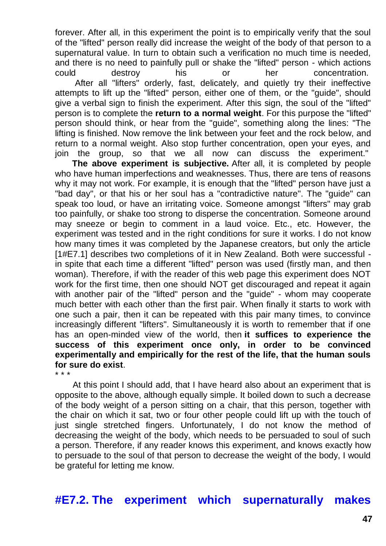forever. After all, in this experiment the point is to empirically verify that the soul of the "lifted" person really did increase the weight of the body of that person to a supernatural value. In turn to obtain such a verification no much time is needed, and there is no need to painfully pull or shake the "lifted" person - which actions could destroy his or her concentration. After all "lifters" orderly, fast, delicately, and quietly try their ineffective attempts to lift up the "lifted" person, either one of them, or the "guide", should give a verbal sign to finish the experiment. After this sign, the soul of the "lifted" person is to complete the **return to a normal weight**. For this purpose the "lifted" person should think, or hear from the "guide", something along the lines: "The lifting is finished. Now remove the link between your feet and the rock below, and return to a normal weight. Also stop further concentration, open your eyes, and join the group, so that we all now can discuss the experiment."

**The above experiment is subjective.** After all, it is completed by people who have human imperfections and weaknesses. Thus, there are tens of reasons why it may not work. For example, it is enough that the "lifted" person have just a "bad day", or that his or her soul has a "contradictive nature". The "guide" can speak too loud, or have an irritating voice. Someone amongst "lifters" may grab too painfully, or shake too strong to disperse the concentration. Someone around may sneeze or begin to comment in a laud voice. Etc., etc. However, the experiment was tested and in the right conditions for sure it works. I do not know how many times it was completed by the Japanese creators, but only the article [1#E7.1] describes two completions of it in New Zealand. Both were successful in spite that each time a different "lifted" person was used (firstly man, and then woman). Therefore, if with the reader of this web page this experiment does NOT work for the first time, then one should NOT get discouraged and repeat it again with another pair of the "lifted" person and the "guide" - whom may cooperate much better with each other than the first pair. When finally it starts to work with one such a pair, then it can be repeated with this pair many times, to convince increasingly different "lifters". Simultaneously it is worth to remember that if one has an open-minded view of the world, then **it suffices to experience the success of this experiment once only, in order to be convinced experimentally and empirically for the rest of the life, that the human souls for sure do exist**.

\* \* \*

At this point I should add, that I have heard also about an experiment that is opposite to the above, although equally simple. It boiled down to such a decrease of the body weight of a person sitting on a chair, that this person, together with the chair on which it sat, two or four other people could lift up with the touch of just single stretched fingers. Unfortunately, I do not know the method of decreasing the weight of the body, which needs to be persuaded to soul of such a person. Therefore, if any reader knows this experiment, and knows exactly how to persuade to the soul of that person to decrease the weight of the body, I would be grateful for letting me know.

**#E7.2. The experiment which supernaturally makes**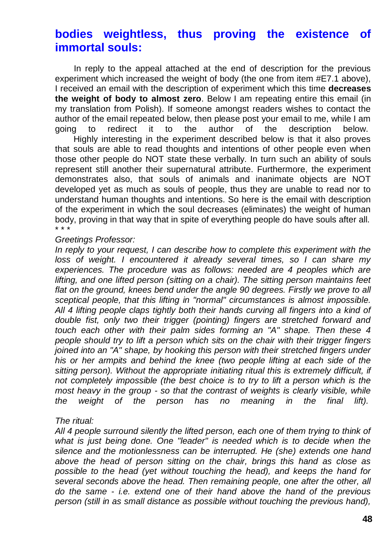#### **bodies weightless, thus proving the existence of immortal souls:**

In reply to the appeal attached at the end of description for the previous experiment which increased the weight of body (the one from item #E7.1 above), I received an email with the description of experiment which this time **decreases the weight of body to almost zero**. Below I am repeating entire this email (in my translation from Polish). If someone amongst readers wishes to contact the author of the email repeated below, then please post your email to me, while I am going to redirect it to the author of the description below.

Highly interesting in the experiment described below is that it also proves that souls are able to read thoughts and intentions of other people even when those other people do NOT state these verbally. In turn such an ability of souls represent still another their supernatural attribute. Furthermore, the experiment demonstrates also, that souls of animals and inanimate objects are NOT developed yet as much as souls of people, thus they are unable to read nor to understand human thoughts and intentions. So here is the email with description of the experiment in which the soul decreases (eliminates) the weight of human body, proving in that way that in spite of everything people do have souls after all. \* \* \*

#### *Greetings Professor:*

In reply to your request, I can describe how to complete this experiment with the *loss of weight. I encountered it already several times, so I can share my*  experiences. The procedure was as follows: needed are 4 peoples which are *lifting, and one lifted person (sitting on a chair). The sitting person maintains feet*  flat on the ground, knees bend under the angle 90 degrees. Firstly we prove to all *sceptical people, that this lifting in "normal" circumstances is almost impossible. All 4 lifting people claps tightly both their hands curving all fingers into a kind of double fist, only two their trigger (pointing) fingers are stretched forward and touch each other with their palm sides forming an "A" shape. Then these 4 people should try to lift a person which sits on the chair with their trigger fingers joined into an "A" shape, by hooking this person with their stretched fingers under his or her armpits and behind the knee (two people lifting at each side of the sitting person). Without the appropriate initiating ritual this is extremely difficult, if not completely impossible (the best choice is to try to lift a person which is the most heavy in the group - so that the contrast of weights is clearly visible, while the weight of the person has no meaning in the final lift).*

#### *The ritual:*

*All 4 people surround silently the lifted person, each one of them trying to think of what is just being done. One "leader" is needed which is to decide when the silence and the motionlessness can be interrupted. He (she) extends one hand above the head of person sitting on the chair, brings this hand as close as possible to the head (yet without touching the head), and keeps the hand for several seconds above the head. Then remaining people, one after the other, all do the same - i.e. extend one of their hand above the hand of the previous person (still in as small distance as possible without touching the previous hand),*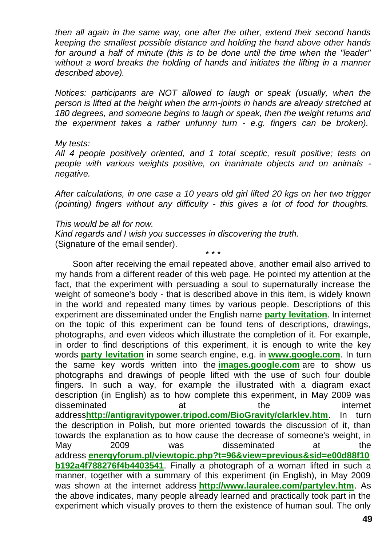*then all again in the same way, one after the other, extend their second hands keeping the smallest possible distance and holding the hand above other hands for around a half of minute (this is to be done until the time when the "leader" without a word breaks the holding of hands and initiates the lifting in a manner described above).*

*Notices: participants are NOT allowed to laugh or speak (usually, when the person is lifted at the height when the arm-joints in hands are already stretched at 180 degrees, and someone begins to laugh or speak, then the weight returns and the experiment takes a rather unfunny turn - e.g. fingers can be broken).*

#### *My tests:*

*All 4 people positively oriented, and 1 total sceptic, result positive; tests on people with various weights positive, on inanimate objects and on animals negative.*

*After calculations, in one case a 10 years old girl lifted 20 kgs on her two trigger (pointing) fingers without any difficulty - this gives a lot of food for thoughts.*

#### *This would be all for now.*

*Kind regards and I wish you successes in discovering the truth.* (Signature of the email sender). \* \* \*

Soon after receiving the email repeated above, another email also arrived to my hands from a different reader of this web page. He pointed my attention at the fact, that the experiment with persuading a soul to supernaturally increase the weight of someone's body - that is described above in this item, is widely known in the world and repeated many times by various people. Descriptions of this experiment are disseminated under the English name **[party levitation](http://www.google.com/search?hl=en&q=party+levitation&aq=f&oq=&aqi=)**. In internet on the topic of this experiment can be found tens of descriptions, drawings, photographs, and even videos which illustrate the completion of it. For example, in order to find descriptions of this experiment, it is enough to write the key words **[party levitation](http://www.google.com/search?hl=en&q=party+levitation&aq=f&oq=&aqi=)** in some search engine, e.g. in **[www.google.com](http://www.google.com/search?hl=en&q=party+levitation&aq=f&oq=&aqi=)**. In turn the same key words written into the **[images.google.com](http://images.google.com/images?hl=en&q=party%20levitation&um=1&ie=UTF-8&sa=N&tab=wi)** are to show us photographs and drawings of people lifted with the use of such four double fingers. In such a way, for example the illustrated with a diagram exact description (in English) as to how complete this experiment, in May 2009 was disseminated at the internet address**<http://antigravitypower.tripod.com/BioGravity/clarklev.htm>**. In turn the description in Polish, but more oriented towards the discussion of it, than towards the explanation as to how cause the decrease of someone's weight, in May 2009 was disseminated at the address **[energyforum.pl/viewtopic.php?t=96&view=previous&sid=e00d88f10](http://www.energyforum.pl/viewtopic.php?t=96&view=previous&sid=e00d88f10b192a4f788276f4b4403541) [b192a4f788276f4b4403541](http://www.energyforum.pl/viewtopic.php?t=96&view=previous&sid=e00d88f10b192a4f788276f4b4403541)**. Finally a photograph of a woman lifted in such a manner, together with a summary of this experiment (in English), in May 2009 was shown at the internet address **<http://www.lauralee.com/partylev.htm>**. As the above indicates, many people already learned and practically took part in the experiment which visually proves to them the existence of human soul. The only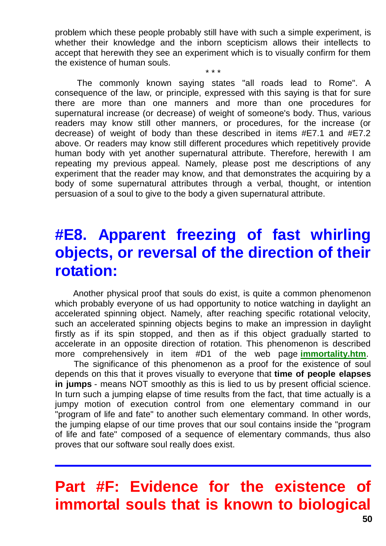problem which these people probably still have with such a simple experiment, is whether their knowledge and the inborn scepticism allows their intellects to accept that herewith they see an experiment which is to visually confirm for them the existence of human souls.

\* \* \*

The commonly known saying states "all roads lead to Rome". A consequence of the law, or principle, expressed with this saying is that for sure there are more than one manners and more than one procedures for supernatural increase (or decrease) of weight of someone's body. Thus, various readers may know still other manners, or procedures, for the increase (or decrease) of weight of body than these described in items #E7.1 and #E7.2 above. Or readers may know still different procedures which repetitively provide human body with yet another supernatural attribute. Therefore, herewith I am repeating my previous appeal. Namely, please post me descriptions of any experiment that the reader may know, and that demonstrates the acquiring by a body of some supernatural attributes through a verbal, thought, or intention persuasion of a soul to give to the body a given supernatural attribute.

# **#E8. Apparent freezing of fast whirling objects, or reversal of the direction of their rotation:**

Another physical proof that souls do exist, is quite a common phenomenon which probably everyone of us had opportunity to notice watching in daylight an accelerated spinning object. Namely, after reaching specific rotational velocity, such an accelerated spinning objects begins to make an impression in daylight firstly as if its spin stopped, and then as if this object gradually started to accelerate in an opposite direction of rotation. This phenomenon is described more comprehensively in item #D1 of the web page **[immortality.htm](http://tornado.zxq.net/immortality.htm)**.

The significance of this phenomenon as a proof for the existence of soul depends on this that it proves visually to everyone that **time of people elapses in jumps** - means NOT smoothly as this is lied to us by present official science. In turn such a jumping elapse of time results from the fact, that time actually is a jumpy motion of execution control from one elementary command in our "program of life and fate" to another such elementary command. In other words, the jumping elapse of our time proves that our soul contains inside the "program of life and fate" composed of a sequence of elementary commands, thus also proves that our software soul really does exist.

# **Part #F: Evidence for the existence of immortal souls that is known to biological**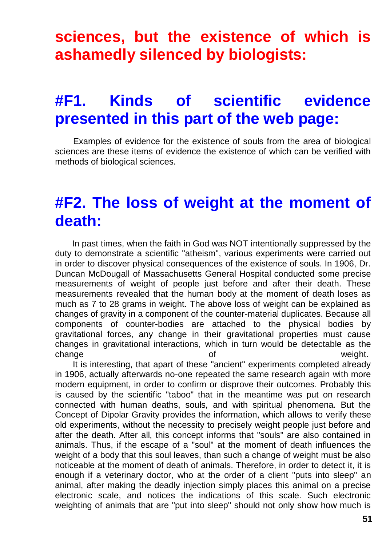# **sciences, but the existence of which is ashamedly silenced by biologists:**

# **#F1. Kinds of scientific evidence presented in this part of the web page:**

Examples of evidence for the existence of souls from the area of biological sciences are these items of evidence the existence of which can be verified with methods of biological sciences.

### **#F2. The loss of weight at the moment of death:**

In past times, when the faith in God was NOT intentionally suppressed by the duty to demonstrate a scientific "atheism", various experiments were carried out in order to discover physical consequences of the existence of souls. In 1906, Dr. Duncan McDougall of Massachusetts General Hospital conducted some precise measurements of weight of people just before and after their death. These measurements revealed that the human body at the moment of death loses as much as 7 to 28 grams in weight. The above loss of weight can be explained as changes of gravity in a component of the counter-material duplicates. Because all components of counter-bodies are attached to the physical bodies by gravitational forces, any change in their gravitational properties must cause changes in gravitational interactions, which in turn would be detectable as the change **of the contract of the contract of the contract of the contract of the contract of the contract of the contract of the contract of the contract of the contract of the contract of the contract of the contract of the** 

It is interesting, that apart of these "ancient" experiments completed already in 1906, actually afterwards no-one repeated the same research again with more modern equipment, in order to confirm or disprove their outcomes. Probably this is caused by the scientific "taboo" that in the meantime was put on research connected with human deaths, souls, and with spiritual phenomena. But the Concept of Dipolar Gravity provides the information, which allows to verify these old experiments, without the necessity to precisely weight people just before and after the death. After all, this concept informs that "souls" are also contained in animals. Thus, if the escape of a "soul" at the moment of death influences the weight of a body that this soul leaves, than such a change of weight must be also noticeable at the moment of death of animals. Therefore, in order to detect it, it is enough if a veterinary doctor, who at the order of a client "puts into sleep" an animal, after making the deadly injection simply places this animal on a precise electronic scale, and notices the indications of this scale. Such electronic weighting of animals that are "put into sleep" should not only show how much is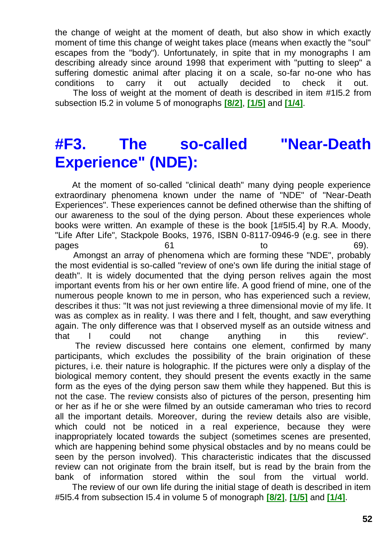the change of weight at the moment of death, but also show in which exactly moment of time this change of weight takes place (means when exactly the "soul" escapes from the "body"). Unfortunately, in spite that in my monographs I am describing already since around 1998 that experiment with "putting to sleep" a suffering domestic animal after placing it on a scale, so-far no-one who has conditions to carry it out actually decided to check it out. The loss of weight at the moment of death is described in item #1I5.2 from subsection I5.2 in volume 5 of monographs **[\[8/2\]](http://tornado.zxq.net/text_8_2.htm)**, **[\[1/5\]](http://tornado.zxq.net/text_1_5.htm)** and **[\[1/4\]](http://tornado.zxq.net/text_1_4.htm)**.

# **#F3. The so-called "Near-Death Experience" (NDE):**

At the moment of so-called "clinical death" many dying people experience extraordinary phenomena known under the name of "NDE" of "Near-Death Experiences". These experiences cannot be defined otherwise than the shifting of our awareness to the soul of the dying person. About these experiences whole books were written. An example of these is the book [1#5I5.4] by R.A. Moody, "Life After Life", Stackpole Books, 1976, ISBN 0-8117-0946-9 (e.g. see in there pages 61 61 to 69). Amongst an array of phenomena which are forming these "NDE", probably the most evidential is so-called "review of one's own life during the initial stage of death". It is widely documented that the dying person relives again the most important events from his or her own entire life. A good friend of mine, one of the numerous people known to me in person, who has experienced such a review, describes it thus: "It was not just reviewing a three dimensional movie of my life. It was as complex as in reality. I was there and I felt, thought, and saw everything again. The only difference was that I observed myself as an outside witness and

that I could not change anything in this review". The review discussed here contains one element, confirmed by many participants, which excludes the possibility of the brain origination of these pictures, i.e. their nature is holographic. If the pictures were only a display of the biological memory content, they should present the events exactly in the same form as the eyes of the dying person saw them while they happened. But this is not the case. The review consists also of pictures of the person, presenting him or her as if he or she were filmed by an outside cameraman who tries to record all the important details. Moreover, during the review details also are visible, which could not be noticed in a real experience, because they were inappropriately located towards the subject (sometimes scenes are presented, which are happening behind some physical obstacles and by no means could be seen by the person involved). This characteristic indicates that the discussed review can not originate from the brain itself, but is read by the brain from the bank of information stored within the soul from the virtual world.

The review of our own life during the initial stage of death is described in item #5I5.4 from subsection I5.4 in volume 5 of monograph **[\[8/2\]](http://tornado.zxq.net/text_8_2.htm)**, **[\[1/5\]](http://tornado.zxq.net/text_1_5.htm)** and **[\[1/4\]](http://tornado.zxq.net/text_1_4.htm)**.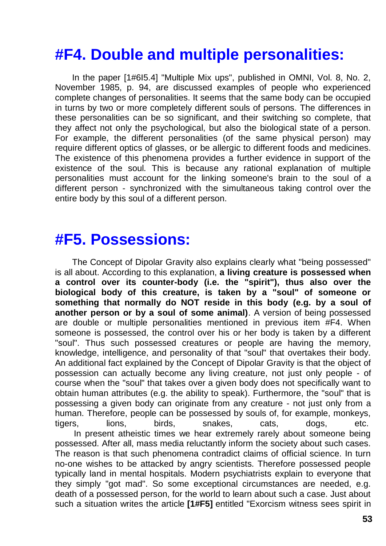# **#F4. Double and multiple personalities:**

In the paper [1#6I5.4] "Multiple Mix ups", published in OMNI, Vol. 8, No. 2, November 1985, p. 94, are discussed examples of people who experienced complete changes of personalities. It seems that the same body can be occupied in turns by two or more completely different souls of persons. The differences in these personalities can be so significant, and their switching so complete, that they affect not only the psychological, but also the biological state of a person. For example, the different personalities (of the same physical person) may require different optics of glasses, or be allergic to different foods and medicines. The existence of this phenomena provides a further evidence in support of the existence of the soul. This is because any rational explanation of multiple personalities must account for the linking someone's brain to the soul of a different person - synchronized with the simultaneous taking control over the entire body by this soul of a different person.

#### **#F5. Possessions:**

The Concept of Dipolar Gravity also explains clearly what "being possessed" is all about. According to this explanation, **a living creature is possessed when a control over its counter-body (i.e. the "spirit"), thus also over the biological body of this creature, is taken by a "soul" of someone or something that normally do NOT reside in this body (e.g. by a soul of another person or by a soul of some animal)**. A version of being possessed are double or multiple personalities mentioned in previous item #F4. When someone is possessed, the control over his or her body is taken by a different "soul". Thus such possessed creatures or people are having the memory, knowledge, intelligence, and personality of that "soul" that overtakes their body. An additional fact explained by the Concept of Dipolar Gravity is that the object of possession can actually become any living creature, not just only people - of course when the "soul" that takes over a given body does not specifically want to obtain human attributes (e.g. the ability to speak). Furthermore, the "soul" that is possessing a given body can originate from any creature - not just only from a human. Therefore, people can be possessed by souls of, for example, monkeys, tigers, lions, birds, snakes, cats, dogs, etc. In present atheistic times we hear extremely rarely about someone being possessed. After all, mass media reluctantly inform the society about such cases.

The reason is that such phenomena contradict claims of official science. In turn no-one wishes to be attacked by angry scientists. Therefore possessed people typically land in mental hospitals. Modern psychiatrists explain to everyone that they simply "got mad". So some exceptional circumstances are needed, e.g. death of a possessed person, for the world to learn about such a case. Just about such a situation writes the article **[1#F5]** entitled "Exorcism witness sees spirit in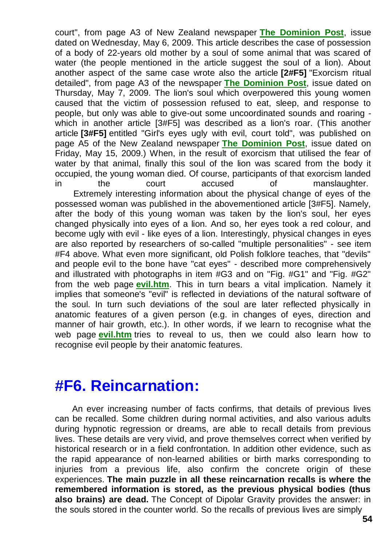court", from page A3 of New Zealand newspaper **[The Dominion Post](http://www.dominionpost.com/)**, issue dated on Wednesday, May 6, 2009. This article describes the case of possession of a body of 22-years old mother by a soul of some animal that was scared of water (the people mentioned in the article suggest the soul of a lion). About another aspect of the same case wrote also the article **[2#F5]** "Exorcism ritual detailed", from page A3 of the newspaper **[The Dominion Post](http://www.dominionpost.com/)**, issue dated on Thursday, May 7, 2009. The lion's soul which overpowered this young women caused that the victim of possession refused to eat, sleep, and response to people, but only was able to give-out some uncoordinated sounds and roaring which in another article [3#F5] was described as a lion's roar. (This another article **[3#F5]** entitled "Girl's eyes ugly with evil, court told", was published on page A5 of the New Zealand newspaper **[The Dominion Post](http://www.dominionpost.com/)**, issue dated on Friday, May 15, 2009.) When, in the result of exorcism that utilised the fear of water by that animal, finally this soul of the lion was scared from the body it occupied, the young woman died. Of course, participants of that exorcism landed in the court accused of manslaughter. Extremely interesting information about the physical change of eyes of the possessed woman was published in the abovementioned article [3#F5]. Namely, after the body of this young woman was taken by the lion's soul, her eyes changed physically into eyes of a lion. And so, her eyes took a red colour, and become ugly with evil - like eyes of a lion. Interestingly, physical changes in eyes are also reported by researchers of so-called "multiple personalities" - see item #F4 above. What even more significant, old Polish folklore teaches, that "devils" and people evil to the bone have "cat eyes" - described more comprehensively and illustrated with photographs in item #G3 and on "Fig. #G1" and "Fig. #G2" from the web page **[evil.htm](http://tornado.zxq.net/evil.htm)**. This in turn bears a vital implication. Namely it implies that someone's "evil" is reflected in deviations of the natural software of the soul. In turn such deviations of the soul are later reflected physically in anatomic features of a given person (e.g. in changes of eyes, direction and manner of hair growth, etc.). In other words, if we learn to recognise what the web page **[evil.htm](http://tornado.zxq.net/evil.htm)** tries to reveal to us, then we could also learn how to recognise evil people by their anatomic features.

#### **#F6. Reincarnation:**

An ever increasing number of facts confirms, that details of previous lives can be recalled. Some children during normal activities, and also various adults during hypnotic regression or dreams, are able to recall details from previous lives. These details are very vivid, and prove themselves correct when verified by historical research or in a field confrontation. In addition other evidence, such as the rapid appearance of non-learned abilities or birth marks corresponding to injuries from a previous life, also confirm the concrete origin of these experiences. **The main puzzle in all these reincarnation recalls is where the remembered information is stored, as the previous physical bodies (thus also brains) are dead.** The Concept of Dipolar Gravity provides the answer: in the souls stored in the counter world. So the recalls of previous lives are simply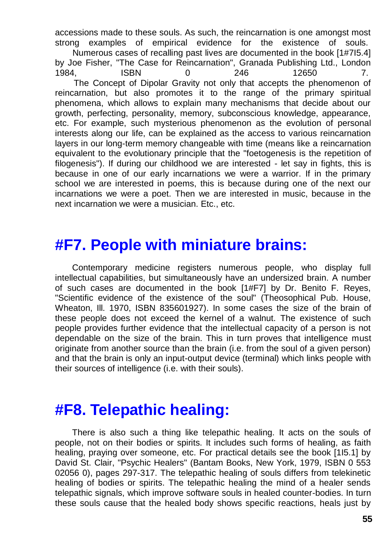accessions made to these souls. As such, the reincarnation is one amongst most strong examples of empirical evidence for the existence of souls. Numerous cases of recalling past lives are documented in the book [1#7I5.4] by Joe Fisher, "The Case for Reincarnation", Granada Publishing Ltd., London 1984, ISBN 0 246 12650 7. The Concept of Dipolar Gravity not only that accepts the phenomenon of reincarnation, but also promotes it to the range of the primary spiritual phenomena, which allows to explain many mechanisms that decide about our growth, perfecting, personality, memory, subconscious knowledge, appearance, etc. For example, such mysterious phenomenon as the evolution of personal interests along our life, can be explained as the access to various reincarnation layers in our long-term memory changeable with time (means like a reincarnation equivalent to the evolutionary principle that the "foetogenesis is the repetition of filogenesis"). If during our childhood we are interested - let say in fights, this is because in one of our early incarnations we were a warrior. If in the primary school we are interested in poems, this is because during one of the next our incarnations we were a poet. Then we are interested in music, because in the next incarnation we were a musician. Etc., etc.

#### **#F7. People with miniature brains:**

Contemporary medicine registers numerous people, who display full intellectual capabilities, but simultaneously have an undersized brain. A number of such cases are documented in the book [1#F7] by Dr. Benito F. Reyes, "Scientific evidence of the existence of the soul" (Theosophical Pub. House, Wheaton, Ill. 1970, ISBN 835601927). In some cases the size of the brain of these people does not exceed the kernel of a walnut. The existence of such people provides further evidence that the intellectual capacity of a person is not dependable on the size of the brain. This in turn proves that intelligence must originate from another source than the brain (i.e. from the soul of a given person) and that the brain is only an input-output device (terminal) which links people with their sources of intelligence (i.e. with their souls).

### **#F8. Telepathic healing:**

There is also such a thing like telepathic healing. It acts on the souls of people, not on their bodies or spirits. It includes such forms of healing, as faith healing, praying over someone, etc. For practical details see the book [1I5.1] by David St. Clair, "Psychic Healers" (Bantam Books, New York, 1979, ISBN 0 553 02056 0), pages 297-317. The telepathic healing of souls differs from telekinetic healing of bodies or spirits. The telepathic healing the mind of a healer sends telepathic signals, which improve software souls in healed counter-bodies. In turn these souls cause that the healed body shows specific reactions, heals just by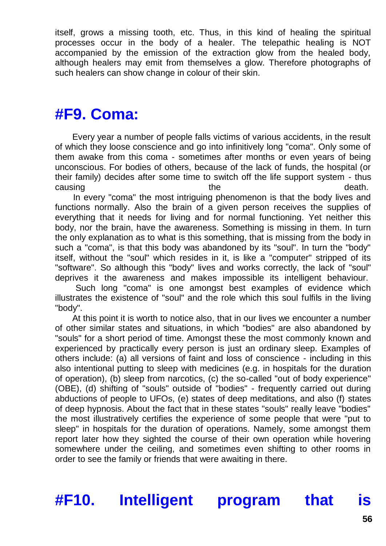itself, grows a missing tooth, etc. Thus, in this kind of healing the spiritual processes occur in the body of a healer. The telepathic healing is NOT accompanied by the emission of the extraction glow from the healed body, although healers may emit from themselves a glow. Therefore photographs of such healers can show change in colour of their skin.

### **#F9. Coma:**

Every year a number of people falls victims of various accidents, in the result of which they loose conscience and go into infinitively long "coma". Only some of them awake from this coma - sometimes after months or even years of being unconscious. For bodies of others, because of the lack of funds, the hospital (or their family) decides after some time to switch off the life support system - thus causing the death.

In every "coma" the most intriguing phenomenon is that the body lives and functions normally. Also the brain of a given person receives the supplies of everything that it needs for living and for normal functioning. Yet neither this body, nor the brain, have the awareness. Something is missing in them. In turn the only explanation as to what is this something, that is missing from the body in such a "coma", is that this body was abandoned by its "soul". In turn the "body" itself, without the "soul" which resides in it, is like a "computer" stripped of its "software". So although this "body" lives and works correctly, the lack of "soul" deprives it the awareness and makes impossible its intelligent behaviour.

Such long "coma" is one amongst best examples of evidence which illustrates the existence of "soul" and the role which this soul fulfils in the living "body".

At this point it is worth to notice also, that in our lives we encounter a number of other similar states and situations, in which "bodies" are also abandoned by "souls" for a short period of time. Amongst these the most commonly known and experienced by practically every person is just an ordinary sleep. Examples of others include: (a) all versions of faint and loss of conscience - including in this also intentional putting to sleep with medicines (e.g. in hospitals for the duration of operation), (b) sleep from narcotics, (c) the so-called "out of body experience" (OBE), (d) shifting of "souls" outside of "bodies" - frequently carried out during abductions of people to UFOs, (e) states of deep meditations, and also (f) states of deep hypnosis. About the fact that in these states "souls" really leave "bodies" the most illustratively certifies the experience of some people that were "put to sleep" in hospitals for the duration of operations. Namely, some amongst them report later how they sighted the course of their own operation while hovering somewhere under the ceiling, and sometimes even shifting to other rooms in order to see the family or friends that were awaiting in there.

**#F10. Intelligent program that is**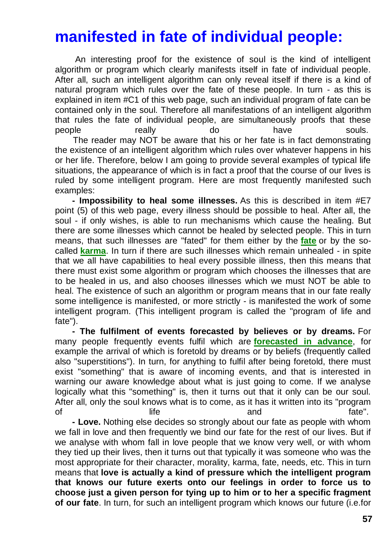# **manifested in fate of individual people:**

An interesting proof for the existence of soul is the kind of intelligent algorithm or program which clearly manifests itself in fate of individual people. After all, such an intelligent algorithm can only reveal itself if there is a kind of natural program which rules over the fate of these people. In turn - as this is explained in item #C1 of this web page, such an individual program of fate can be contained only in the soul. Therefore all manifestations of an intelligent algorithm that rules the fate of individual people, are simultaneously proofs that these people **really** really do have souls. The reader may NOT be aware that his or her fate is in fact demonstrating the existence of an intelligent algorithm which rules over whatever happens in his or her life. Therefore, below I am going to provide several examples of typical life situations, the appearance of which is in fact a proof that the course of our lives is ruled by some intelligent program. Here are most frequently manifested such examples:

**- Impossibility to heal some illnesses.** As this is described in item #E7 point (5) of this web page, every illness should be possible to heal. After all, the soul - if only wishes, is able to run mechanisms which cause the healing. But there are some illnesses which cannot be healed by selected people. This in turn means, that such illnesses are "fated" for them either by the **[fate](http://tornado.zxq.net/immortality.htm)** or by the socalled **[karma](http://tornado.zxq.net/karma.htm)**. In turn if there are such illnesses which remain unhealed - in spite that we all have capabilities to heal every possible illness, then this means that there must exist some algorithm or program which chooses the illnesses that are to be healed in us, and also chooses illnesses which we must NOT be able to heal. The existence of such an algorithm or program means that in our fate really some intelligence is manifested, or more strictly - is manifested the work of some intelligent program. (This intelligent program is called the "program of life and fate").

**- The fulfilment of events forecasted by believes or by dreams.** For many people frequently events fulfil which are **[forecasted in advance](http://tornado.zxq.net/prophecies.htm)**, for example the arrival of which is foretold by dreams or by beliefs (frequently called also "superstitions"). In turn, for anything to fulfil after being foretold, there must exist "something" that is aware of incoming events, and that is interested in warning our aware knowledge about what is just going to come. If we analyse logically what this "something" is, then it turns out that it only can be our soul. After all, only the soul knows what is to come, as it has it written into its "program of and fate".

**- Love.** Nothing else decides so strongly about our fate as people with whom we fall in love and then frequently we bind our fate for the rest of our lives. But if we analyse with whom fall in love people that we know very well, or with whom they tied up their lives, then it turns out that typically it was someone who was the most appropriate for their character, morality, karma, fate, needs, etc. This in turn means that **love is actually a kind of pressure which the intelligent program that knows our future exerts onto our feelings in order to force us to choose just a given person for tying up to him or to her a specific fragment of our fate**. In turn, for such an intelligent program which knows our future (i.e.for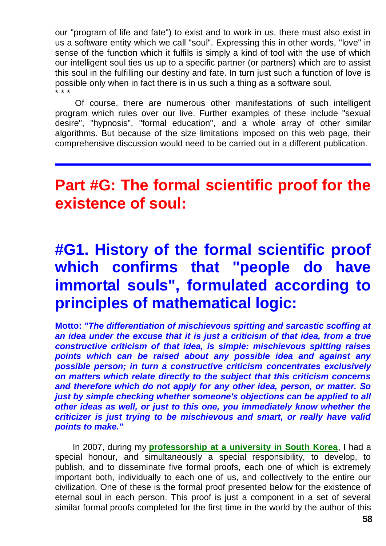our "program of life and fate") to exist and to work in us, there must also exist in us a software entity which we call "soul". Expressing this in other words, "love" in sense of the function which it fulfils is simply a kind of tool with the use of which our intelligent soul ties us up to a specific partner (or partners) which are to assist this soul in the fulfilling our destiny and fate. In turn just such a function of love is possible only when in fact there is in us such a thing as a software soul. \* \* \*

Of course, there are numerous other manifestations of such intelligent program which rules over our live. Further examples of these include "sexual desire", "hypnosis", "formal education", and a whole array of other similar algorithms. But because of the size limitations imposed on this web page, their comprehensive discussion would need to be carried out in a different publication.

# **Part #G: The formal scientific proof for the existence of soul:**

# **#G1. History of the formal scientific proof which confirms that "people do have immortal souls", formulated according to principles of mathematical logic:**

**Motto:** *"The differentiation of mischievous spitting and sarcastic scoffing at*  an idea under the excuse that it is just a criticism of that idea, from a true *constructive criticism of that idea, is simple: mischievous spitting raises points which can be raised about any possible idea and against any possible person; in turn a constructive criticism concentrates exclusively on matters which relate directly to the subject that this criticism concerns and therefore which do not apply for any other idea, person, or matter. So just by simple checking whether someone's objections can be applied to all other ideas as well, or just to this one, you immediately know whether the criticizer is just trying to be mischievous and smart, or really have valid points to make."*

In 2007, during my **[professorship at a university in South Korea](http://tornado.zxq.net/pajak_jan_uk.htm)**, I had a special honour, and simultaneously a special responsibility, to develop, to publish, and to disseminate five formal proofs, each one of which is extremely important both, individually to each one of us, and collectively to the entire our civilization. One of these is the formal proof presented below for the existence of eternal soul in each person. This proof is just a component in a set of several similar formal proofs completed for the first time in the world by the author of this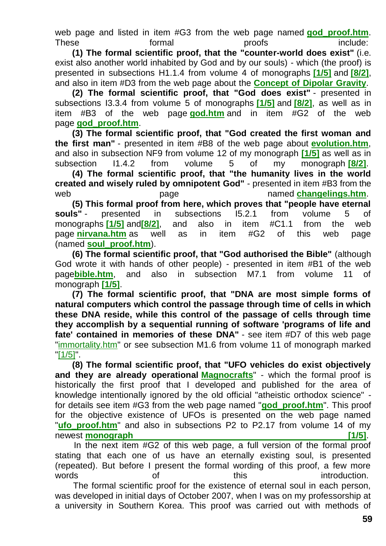web page and listed in item #G3 from the web page named **god proof.htm.** These formal proofs include:

**(1) The formal scientific proof, that the "counter-world does exist"** (i.e. exist also another world inhabited by God and by our souls) - which (the proof) is presented in subsections H1.1.4 from volume 4 of monographs **[\[1/5\]](http://tornado.zxq.net/text_1_5.htm)** and **[\[8/2\]](http://tornado.zxq.net/text_8_2.htm)**, and also in item #D3 from the web page about the **[Concept of Dipolar Gravity](http://tornado.zxq.net/dipolar_gravity.htm)**.

**(2) The formal scientific proof, that "God does exist"** - presented in subsections I3.3.4 from volume 5 of monographs **[\[1/5\]](http://tornado.zxq.net/text_1_5.htm)** and **[\[8/2\]](http://tornado.zxq.net/text_8_2.htm)**, as well as in item #B3 of the web page **[god.htm](http://tornado.zxq.net/god.htm)** and in item #G2 of the web page **[god\\_proof.htm](http://tornado.zxq.net/god_proof.htm)**.

**(3) The formal scientific proof, that "God created the first woman and the first man"** - presented in item #B8 of the web page about **[evolution.htm](http://tornado.zxq.net/evolution.htm)**, and also in subsection NF9 from volume 12 of my monograph **[\[1/5\]](http://tornado.zxq.net/text_1_5.htm)** as well as in subsection I1.4.2 from volume 5 of my monograph **[\[8/2\]](http://tornado.zxq.net/text_8_2.htm)**.

**(4) The formal scientific proof, that "the humanity lives in the world created and wisely ruled by omnipotent God"** - presented in item #B3 from the web **page** named **[changelings.htm](http://tornado.zxq.net/changelings.htm)**.

**(5) This formal proof from here, which proves that "people have eternal souls"** - presented in subsections I5.2.1 from volume 5 of monographs **[\[1/5\]](http://tornado.zxq.net/text_1_5.htm)** and**[\[8/2\]](http://tornado.zxq.net/text_8_2.htm)**, and also in item #C1.1 from the web page **[nirvana.htm](http://tornado.zxq.net/nirvana.htm)** as well as in item #G2 of this web page (named **[soul\\_proof.htm](http://tornado.zxq.net/soul_proof.htm)**).

**(6) The formal scientific proof, that "God authorised the Bible"** (although God wrote it with hands of other people) - presented in item #B1 of the web page**[bible.htm](http://tornado.zxq.net/bible.htm)**, and also in subsection M7.1 from volume 11 of monograph **[\[1/5\]](http://tornado.zxq.net/text_1_5.htm)**.

**(7) The formal scientific proof, that "DNA are most simple forms of natural computers which control the passage through time of cells in which these DNA reside, while this control of the passage of cells through time they accomplish by a sequential running of software 'programs of life and fate' contained in memories of these DNA"** - see item #D7 of this web page ["immortality.htm"](http://tornado.zxq.net/immortality.htm) or see subsection M1.6 from volume 11 of monograph marked ["\[1/5\]"](http://tornado.zxq.net/text_1_5.htm).

**(8) The formal scientific proof, that "UFO vehicles do exist objectively and they are already operational [Magnocrafts](http://tornado.zxq.net/magnocraft.htm)**" - which the formal proof is historically the first proof that I developed and published for the area of knowledge intentionally ignored by the old official "atheistic orthodox science" for details see item #G3 from the web page named "**[god\\_proof.htm](http://tornado.zxq.net/god_proof.htm)**". This proof for the objective existence of UFOs is presented on the web page named "**[ufo\\_proof.htm](http://tornado.zxq.net/ufo_proof.htm)**" and also in subsections P2 to P2.17 from volume 14 of my newest **monograph intervalse in the contract of the contract of the contract of the contract of the contract of the contract of the contract of the contract of the contract of the contract of the contract of the contract** 

In the next item #G2 of this web page, a full version of the formal proof stating that each one of us have an eternally existing soul, is presented (repeated). But before I present the formal wording of this proof, a few more words of this this introduction.

The formal scientific proof for the existence of eternal soul in each person, was developed in initial days of October 2007, when I was on my professorship at a university in Southern Korea. This proof was carried out with methods of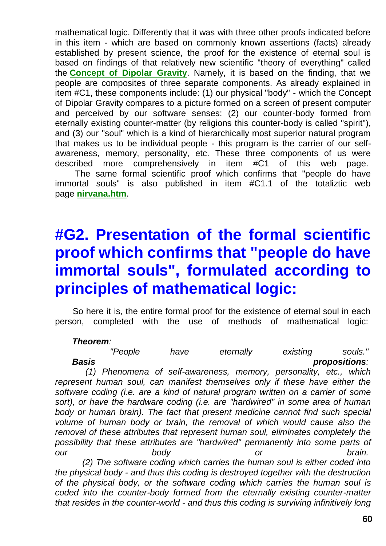mathematical logic. Differently that it was with three other proofs indicated before in this item - which are based on commonly known assertions (facts) already established by present science, the proof for the existence of eternal soul is based on findings of that relatively new scientific "theory of everything" called the **[Concept of Dipolar Gravity](http://tornado.zxq.net/dipolar_gravity.htm)**. Namely, it is based on the finding, that we people are composites of three separate components. As already explained in item #C1, these components include: (1) our physical "body" - which the Concept of Dipolar Gravity compares to a picture formed on a screen of present computer and perceived by our software senses; (2) our counter-body formed from eternally existing counter-matter (by religions this counter-body is called "spirit"), and (3) our "soul" which is a kind of hierarchically most superior natural program that makes us to be individual people - this program is the carrier of our selfawareness, memory, personality, etc. These three components of us were described more comprehensively in item #C1 of this web page. The same formal scientific proof which confirms that "people do have

immortal souls" is also published in item #C1.1 of the totaliztic web page **[nirvana.htm](http://tornado.zxq.net/nirvana.htm)**.

# **#G2. Presentation of the formal scientific proof which confirms that "people do have immortal souls", formulated according to principles of mathematical logic:**

So here it is, the entire formal proof for the existence of eternal soul in each person, completed with the use of methods of mathematical logic:

#### *Theorem:*

*"People have eternally existing souls." Basis propositions:*

*(1) Phenomena of self-awareness, memory, personality, etc., which represent human soul, can manifest themselves only if these have either the software coding (i.e. are a kind of natural program written on a carrier of some*  sort), or have the hardware coding *(i.e. are "hardwired" in some area of human* body or human brain). The fact that present medicine cannot find such special *volume of human body or brain, the removal of which would cause also the removal of these attributes that represent human soul, eliminates completely the possibility that these attributes are "hardwired" permanently into some parts of our body or brain. (2) The software coding which carries the human soul is either coded into the physical body - and thus this coding is destroyed together with the destruction of the physical body, or the software coding which carries the human soul is coded into the counter-body formed from the eternally existing counter-matter* 

*that resides in the counter-world - and thus this coding is surviving infinitively long*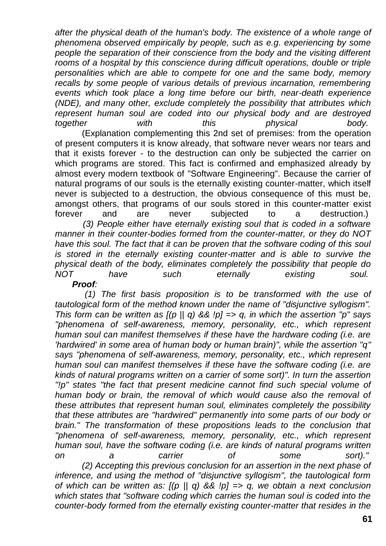after the physical death of the human's body. The existence of a whole range of *phenomena observed empirically by people, such as e.g. experiencing by some people the separation of their conscience from the body and the visiting different*  rooms of a hospital by this conscience during difficult operations, double or triple *personalities which are able to compete for one and the same body, memory recalls by some people of various details of previous incarnation, remembering events which took place a long time before our birth, near-death experience (NDE), and many other, exclude completely the possibility that attributes which represent human soul are coded into our physical body and are destroyed together with this physical body.*

(Explanation complementing this 2nd set of premises: from the operation of present computers it is know already, that software never wears nor tears and that it exists forever - to the destruction can only be subjected the carrier on which programs are stored. This fact is confirmed and emphasized already by almost every modern textbook of "Software Engineering". Because the carrier of natural programs of our souls is the eternally existing counter-matter, which itself never is subjected to a destruction, the obvious consequence of this must be, amongst others, that programs of our souls stored in this counter-matter exist forever and are never subjected to a destruction.)

*(3) People either have eternally existing soul that is coded in a software manner in their counter-bodies formed from the counter-matter, or they do NOT have this soul. The fact that it can be proven that the software coding of this soul is stored in the eternally existing counter-matter and is able to survive the physical death of the body, eliminates completely the possibility that people do NOT have such eternally existing soul.*

*Proof:*

*(1) The first basis proposition is to be transformed with the use of tautological form of the method known under the name of "disjunctive syllogism". This form can be written as [(p || q) && !p] => q, in which the assertion "p" says "phenomena of self-awareness, memory, personality, etc., which represent human soul can manifest themselves if these have the hardware coding (i.e. are 'hardwired' in some area of human body or human brain)", while the assertion "q" says "phenomena of self-awareness, memory, personality, etc., which represent human soul can manifest themselves if these have the software coding (i.e. are kinds of natural programs written on a carrier of some sort)". In turn the assertion*  "!p" states "the fact that present medicine cannot find such special volume of human body or brain, the removal of which would cause also the removal of *these attributes that represent human soul, eliminates completely the possibility that these attributes are "hardwired" permanently into some parts of our body or brain." The transformation of these propositions leads to the conclusion that "phenomena of self-awareness, memory, personality, etc., which represent human soul, have the software coding (i.e. are kinds of natural programs written on a carrier of some sort)." (2) Accepting this previous conclusion for an assertion in the next phase of inference, and using the method of "disjunctive syllogism", the tautological form of which can be written as: [(p || q) && !p] => q, we obtain a next conclusion* 

*which states that "software coding which carries the human soul is coded into the counter-body formed from the eternally existing counter-matter that resides in the*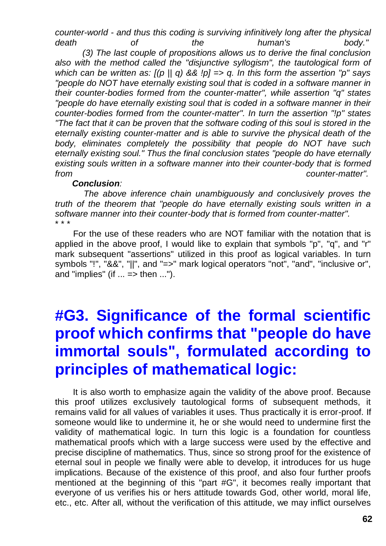*counter-world - and thus this coding is surviving infinitively long after the physical death of the human's body."*

*(3) The last couple of propositions allows us to derive the final conclusion*  also with the method called the "disjunctive syllogism", the tautological form of *which can be written as: [(p || q) && !p] => q. In this form the assertion "p" says "people do NOT have eternally existing soul that is coded in a software manner in their counter-bodies formed from the counter-matter", while assertion "q" states "people do have eternally existing soul that is coded in a software manner in their counter-bodies formed from the counter-matter". In turn the assertion "!p" states "The fact that it can be proven that the software coding of this soul is stored in the eternally existing counter-matter and is able to survive the physical death of the body, eliminates completely the possibility that people do NOT have such eternally existing soul." Thus the final conclusion states "people do have eternally existing souls written in a software manner into their counter-body that is formed from counter-matter".*

#### *Conclusion:*

*The above inference chain unambiguously and conclusively proves the truth of the theorem that "people do have eternally existing souls written in a software manner into their counter-body that is formed from counter-matter".* \* \* \*

For the use of these readers who are NOT familiar with the notation that is applied in the above proof, I would like to explain that symbols "p", "q", and "r" mark subsequent "assertions" utilized in this proof as logical variables. In turn symbols "!", "&&", "||", and "=>" mark logical operators "not", "and", "inclusive or", and "implies" (if  $\ldots \Rightarrow$  then  $\ldots$ ").

# **#G3. Significance of the formal scientific proof which confirms that "people do have immortal souls", formulated according to principles of mathematical logic:**

It is also worth to emphasize again the validity of the above proof. Because this proof utilizes exclusively tautological forms of subsequent methods, it remains valid for all values of variables it uses. Thus practically it is error-proof. If someone would like to undermine it, he or she would need to undermine first the validity of mathematical logic. In turn this logic is a foundation for countless mathematical proofs which with a large success were used by the effective and precise discipline of mathematics. Thus, since so strong proof for the existence of eternal soul in people we finally were able to develop, it introduces for us huge implications. Because of the existence of this proof, and also four further proofs mentioned at the beginning of this "part #G", it becomes really important that everyone of us verifies his or hers attitude towards God, other world, moral life, etc., etc. After all, without the verification of this attitude, we may inflict ourselves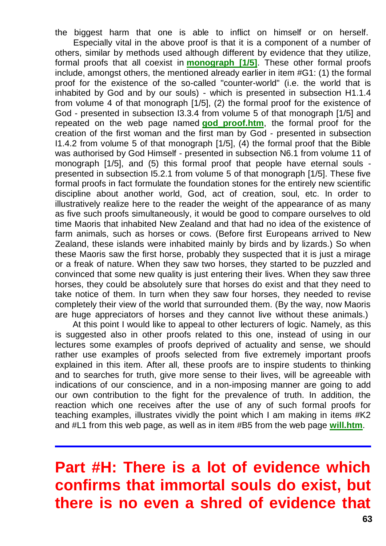the biggest harm that one is able to inflict on himself or on herself. Especially vital in the above proof is that it is a component of a number of others, similar by methods used although different by evidence that they utilize, formal proofs that all coexist in **[monograph \[1/5\]](http://tornado.zxq.net/text_1_5.htm)**. These other formal proofs include, amongst others, the mentioned already earlier in item #G1: (1) the formal proof for the existence of the so-called "counter-world" (i.e. the world that is inhabited by God and by our souls) - which is presented in subsection H1.1.4 from volume 4 of that monograph [1/5], (2) the formal proof for the existence of God - presented in subsection I3.3.4 from volume 5 of that monograph [1/5] and repeated on the web page named **[god\\_proof.htm](http://tornado.zxq.net/god_proof.htm)**, the formal proof for the creation of the first woman and the first man by God - presented in subsection I1.4.2 from volume 5 of that monograph [1/5], (4) the formal proof that the Bible was authorised by God Himself - presented in subsection N6.1 from volume 11 of monograph [1/5], and (5) this formal proof that people have eternal souls presented in subsection I5.2.1 from volume 5 of that monograph [1/5]. These five formal proofs in fact formulate the foundation stones for the entirely new scientific discipline about another world, God, act of creation, soul, etc. In order to illustratively realize here to the reader the weight of the appearance of as many as five such proofs simultaneously, it would be good to compare ourselves to old time Maoris that inhabited New Zealand and that had no idea of the existence of farm animals, such as horses or cows. (Before first Europeans arrived to New Zealand, these islands were inhabited mainly by birds and by lizards.) So when these Maoris saw the first horse, probably they suspected that it is just a mirage or a freak of nature. When they saw two horses, they started to be puzzled and convinced that some new quality is just entering their lives. When they saw three horses, they could be absolutely sure that horses do exist and that they need to take notice of them. In turn when they saw four horses, they needed to revise completely their view of the world that surrounded them. (By the way, now Maoris are huge appreciators of horses and they cannot live without these animals.)

At this point I would like to appeal to other lecturers of logic. Namely, as this is suggested also in other proofs related to this one, instead of using in our lectures some examples of proofs deprived of actuality and sense, we should rather use examples of proofs selected from five extremely important proofs explained in this item. After all, these proofs are to inspire students to thinking and to searches for truth, give more sense to their lives, will be agreeable with indications of our conscience, and in a non-imposing manner are going to add our own contribution to the fight for the prevalence of truth. In addition, the reaction which one receives after the use of any of such formal proofs for teaching examples, illustrates vividly the point which I am making in items #K2 and #L1 from this web page, as well as in item #B5 from the web page **[will.htm](http://tornado.zxq.net/will.htm)**.

# **Part #H: There is a lot of evidence which confirms that immortal souls do exist, but there is no even a shred of evidence that**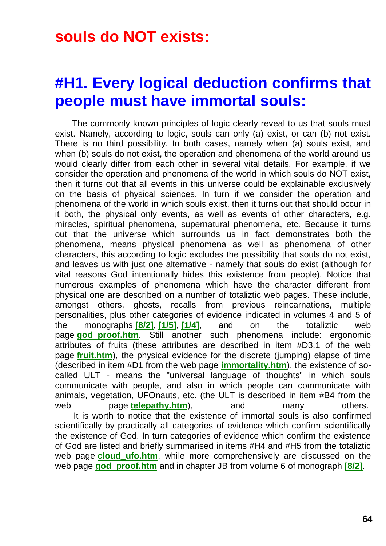### **souls do NOT exists:**

### **#H1. Every logical deduction confirms that people must have immortal souls:**

The commonly known principles of logic clearly reveal to us that souls must exist. Namely, according to logic, souls can only (a) exist, or can (b) not exist. There is no third possibility. In both cases, namely when (a) souls exist, and when (b) souls do not exist, the operation and phenomena of the world around us would clearly differ from each other in several vital details. For example, if we consider the operation and phenomena of the world in which souls do NOT exist, then it turns out that all events in this universe could be explainable exclusively on the basis of physical sciences. In turn if we consider the operation and phenomena of the world in which souls exist, then it turns out that should occur in it both, the physical only events, as well as events of other characters, e.g. miracles, spiritual phenomena, supernatural phenomena, etc. Because it turns out that the universe which surrounds us in fact demonstrates both the phenomena, means physical phenomena as well as phenomena of other characters, this according to logic excludes the possibility that souls do not exist, and leaves us with just one alternative - namely that souls do exist (although for vital reasons God intentionally hides this existence from people). Notice that numerous examples of phenomena which have the character different from physical one are described on a number of totaliztic web pages. These include, amongst others, ghosts, recalls from previous reincarnations, multiple personalities, plus other categories of evidence indicated in volumes 4 and 5 of the monographs **[\[8/2\]](http://tornado.zxq.net/text_8_2.htm)**, **[\[1/5\]](http://tornado.zxq.net/text_1_5.htm)**, **[\[1/4\]](http://tornado.zxq.net/text_1_4.htm)**, and on the totaliztic web page **[god\\_proof.htm](http://tornado.zxq.net/god_proof.htm)**. Still another such phenomena include: ergonomic attributes of fruits (these attributes are described in item #D3.1 of the web page **[fruit.htm](http://tornado.zxq.net/fruit.htm)**), the physical evidence for the discrete (jumping) elapse of time (described in item #D1 from the web page **[immortality.htm](http://tornado.zxq.net/immortality.htm)**), the existence of socalled ULT - means the "universal language of thoughts" in which souls communicate with people, and also in which people can communicate with animals, vegetation, UFOnauts, etc. (the ULT is described in item #B4 from the web page **[telepathy.htm](http://tornado.zxq.net/telepathy.htm)**), and many others.

It is worth to notice that the existence of immortal souls is also confirmed scientifically by practically all categories of evidence which confirm scientifically the existence of God. In turn categories of evidence which confirm the existence of God are listed and briefly summarised in items #H4 and #H5 from the totaliztic web page **cloud ufo.htm**, while more comprehensively are discussed on the web page **[god\\_proof.htm](http://tornado.zxq.net/god_proof.htm)** and in chapter JB from volume 6 of monograph **[\[8/2\]](http://tornado.zxq.net/text_8_2.htm)**.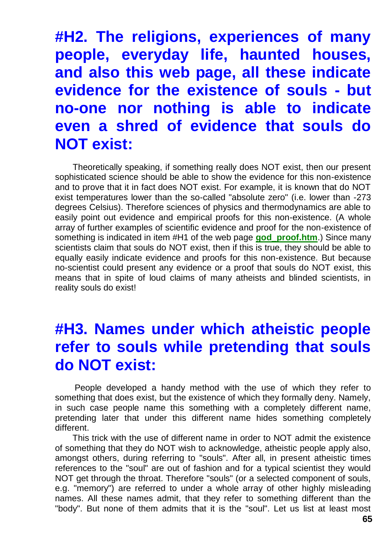**#H2. The religions, experiences of many people, everyday life, haunted houses, and also this web page, all these indicate evidence for the existence of souls - but no-one nor nothing is able to indicate even a shred of evidence that souls do NOT exist:**

Theoretically speaking, if something really does NOT exist, then our present sophisticated science should be able to show the evidence for this non-existence and to prove that it in fact does NOT exist. For example, it is known that do NOT exist temperatures lower than the so-called "absolute zero" (i.e. lower than -273 degrees Celsius). Therefore sciences of physics and thermodynamics are able to easily point out evidence and empirical proofs for this non-existence. (A whole array of further examples of scientific evidence and proof for the non-existence of something is indicated in item #H1 of the web page **[god\\_proof.htm](http://tornado.zxq.net/god_proof.htm)**.) Since many scientists claim that souls do NOT exist, then if this is true, they should be able to equally easily indicate evidence and proofs for this non-existence. But because no-scientist could present any evidence or a proof that souls do NOT exist, this means that in spite of loud claims of many atheists and blinded scientists, in reality souls do exist!

### **#H3. Names under which atheistic people refer to souls while pretending that souls do NOT exist:**

People developed a handy method with the use of which they refer to something that does exist, but the existence of which they formally deny. Namely, in such case people name this something with a completely different name, pretending later that under this different name hides something completely different.

This trick with the use of different name in order to NOT admit the existence of something that they do NOT wish to acknowledge, atheistic people apply also, amongst others, during referring to "souls". After all, in present atheistic times references to the "soul" are out of fashion and for a typical scientist they would NOT get through the throat. Therefore "souls" (or a selected component of souls, e.g. "memory") are referred to under a whole array of other highly misleading names. All these names admit, that they refer to something different than the "body". But none of them admits that it is the "soul". Let us list at least most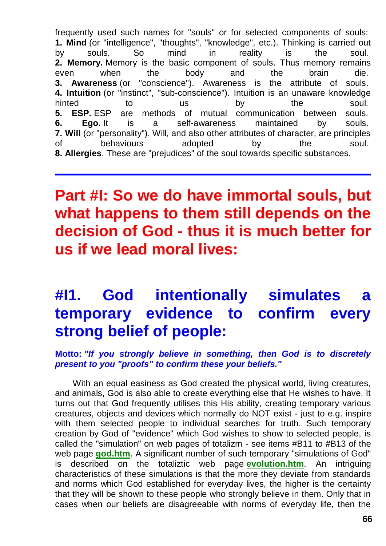frequently used such names for "souls" or for selected components of souls: **1. Mind** (or "intelligence", "thoughts", "knowledge", etc.). Thinking is carried out by souls. So mind in reality is the soul. **2. Memory.** Memory is the basic component of souls. Thus memory remains even when the body and the brain die. **3. Awareness** (or "conscience"). Awareness is the attribute of souls. **4. Intuition** (or "instinct", "sub-conscience"). Intuition is an unaware knowledge hinted to us by the soul. **5. ESP.** ESP are methods of mutual communication between souls. **6. Ego.** It is a self-awareness maintained by souls. **7. Will** (or "personality"). Will, and also other attributes of character, are principles of behaviours adopted by the soul. **8. Allergies**. These are "prejudices" of the soul towards specific substances.

# **Part #I: So we do have immortal souls, but what happens to them still depends on the decision of God - thus it is much better for us if we lead moral lives:**

# **#I1. God intentionally simulates a temporary evidence to confirm every strong belief of people:**

**Motto:** *"If you strongly believe in something, then God is to discretely present to you "proofs" to confirm these your beliefs."*

With an equal easiness as God created the physical world, living creatures, and animals, God is also able to create everything else that He wishes to have. It turns out that God frequently utilises this His ability, creating temporary various creatures, objects and devices which normally do NOT exist - just to e.g. inspire with them selected people to individual searches for truth. Such temporary creation by God of "evidence" which God wishes to show to selected people, is called the "simulation" on web pages of totalizm - see items #B11 to #B13 of the web page **[god.htm](http://tornado.zxq.net/god.htm)**. A significant number of such temporary "simulations of God" is described on the totaliztic web page **[evolution.htm](http://tornado.zxq.net/evolution.htm)**. An intriguing characteristics of these simulations is that the more they deviate from standards and norms which God established for everyday lives, the higher is the certainty that they will be shown to these people who strongly believe in them. Only that in cases when our beliefs are disagreeable with norms of everyday life, then the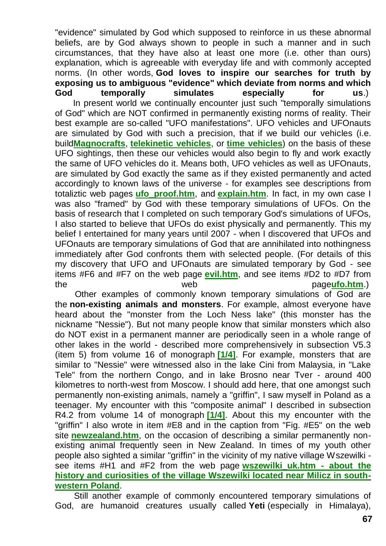"evidence" simulated by God which supposed to reinforce in us these abnormal beliefs, are by God always shown to people in such a manner and in such circumstances, that they have also at least one more (i.e. other than ours) explanation, which is agreeable with everyday life and with commonly accepted norms. (In other words, **God loves to inspire our searches for truth by exposing us to ambiguous "evidence" which deviate from norms and which God temporally simulates especially for us**.) In present world we continually encounter just such "temporally simulations of God" which are NOT confirmed in permanently existing norms of reality. Their best example are so-called "UFO manifestations". UFO vehicles and UFOnauts are simulated by God with such a precision, that if we build our vehicles (i.e. build**[Magnocrafts](http://tornado.zxq.net/magnocraft.htm)**, **[telekinetic vehicles](http://tornado.zxq.net/propulsion.htm)**, or **[time vehicles](http://tornado.zxq.net/timevehicle.htm)**) on the basis of these UFO sightings, then these our vehicles would also begin to fly and work exactly the same of UFO vehicles do it. Means both, UFO vehicles as well as UFOnauts, are simulated by God exactly the same as if they existed permanently and acted accordingly to known laws of the universe - for examples see descriptions from totaliztic web pages **[ufo\\_proof.htm](http://tornado.zxq.net/ufo_proof.htm)**, and **[explain.htm](http://tornado.zxq.net/explain.htm)**. In fact, in my own case I was also "framed" by God with these temporary simulations of UFOs. On the basis of research that I completed on such temporary God's simulations of UFOs, I also started to believe that UFOs do exist physically and permanently. This my

belief I entertained for many years until 2007 - when I discovered that UFOs and UFOnauts are temporary simulations of God that are annihilated into nothingness immediately after God confronts them with selected people. (For details of this my discovery that UFO and UFOnauts are simulated temporary by God - see items #F6 and #F7 on the web page **[evil.htm](http://tornado.zxq.net/evil.htm)**, and see items #D2 to #D7 from the web page**[ufo.htm](http://tornado.zxq.net/ufo.htm)**.)

Other examples of commonly known temporary simulations of God are the **non-existing animals and monsters**. For example, almost everyone have heard about the "monster from the Loch Ness lake" (this monster has the nickname "Nessie"). But not many people know that similar monsters which also do NOT exist in a permanent manner are periodically seen in a whole range of other lakes in the world - described more comprehensively in subsection V5.3 (item 5) from volume 16 of monograph **[\[1/4\]](http://tornado.zxq.net/text_1_4.htm)**. For example, monsters that are similar to "Nessie" were witnessed also in the lake Cini from Malaysia, in "Lake Tele" from the northern Congo, and in lake Brosno near Tver - around 400 kilometres to north-west from Moscow. I should add here, that one amongst such permanently non-existing animals, namely a "griffin", I saw myself in Poland as a teenager. My encounter with this "composite animal" I described in subsection R4.2 from volume 14 of monograph **[\[1/4\]](http://tornado.zxq.net/text_1_4.htm)**. About this my encounter with the "griffin" I also wrote in item #E8 and in the caption from "Fig. #E5" on the web site **[newzealand.htm](http://tornado.zxq.net/newzealand.htm)**, on the occasion of describing a similar permanently nonexisting animal frequently seen in New Zealand. In times of my youth other people also sighted a similar "griffin" in the vicinity of my native village Wszewilki see items #H1 and #F2 from the web page **[wszewilki\\_uk.htm -](http://tornado.zxq.net/wszewilki_uk.htm) about the [history and curiosities of the village Wszewilki located near Milicz in south](http://tornado.zxq.net/wszewilki_uk.htm)[western Poland](http://tornado.zxq.net/wszewilki_uk.htm)**.

Still another example of commonly encountered temporary simulations of God, are humanoid creatures usually called **Yeti** (especially in Himalaya),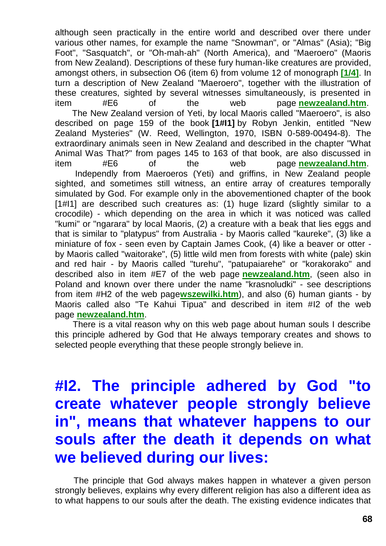although seen practically in the entire world and described over there under various other names, for example the name "Snowman", or "Almas" (Asia); "Big Foot", "Sasquatch", or "Oh-mah-ah" (North America), and "Maeroero" (Maoris from New Zealand). Descriptions of these fury human-like creatures are provided, amongst others, in subsection O6 (item 6) from volume 12 of monograph **[\[1/4\]](http://tornado.zxq.net/text_1_4.htm)**. In turn a description of New Zealand "Maeroero", together with the illustration of these creatures, sighted by several witnesses simultaneously, is presented in item #E6 of the web page **[newzealand.htm](http://tornado.zxq.net/newzealand.htm)**. The New Zealand version of Yeti, by local Maoris called "Maeroero", is also described on page 159 of the book **[1#I1]** by Robyn Jenkin, entitled "New Zealand Mysteries" (W. Reed, Wellington, 1970, ISBN 0-589-00494-8). The extraordinary animals seen in New Zealand and described in the chapter "What Animal Was That?" from pages 145 to 163 of that book, are also discussed in item #E6 of the web page **[newzealand.htm](http://tornado.zxq.net/newzealand.htm)**. Independly from Maeroeros (Yeti) and griffins, in New Zealand people sighted, and sometimes still witness, an entire array of creatures temporally simulated by God. For example only in the abovementioned chapter of the book [1#I1] are described such creatures as: (1) huge lizard (slightly similar to a crocodile) - which depending on the area in which it was noticed was called "kumi" or "ngarara" by local Maoris, (2) a creature with a beak that lies eggs and that is similar to "platypus" from Australia - by Maoris called "kaureke", (3) like a miniature of fox - seen even by Captain James Cook, (4) like a beaver or otter by Maoris called "waitorake", (5) little wild men from forests with white (pale) skin and red hair - by Maoris called "turehu", "patupaiarehe" or "korakorako" and described also in item #E7 of the web page **[newzealand.htm](http://tornado.zxq.net/newzealand.htm)**, (seen also in Poland and known over there under the name "krasnoludki" - see descriptions from item #H2 of the web page**[wszewilki.htm](http://tornado.zxq.net/wszewilki.htm)**), and also (6) human giants - by Maoris called also "Te Kahui Tipua" and described in item #I2 of the web page **[newzealand.htm](http://tornado.zxq.net/newzealand.htm)**.

There is a vital reason why on this web page about human souls I describe this principle adhered by God that He always temporary creates and shows to selected people everything that these people strongly believe in.

# **#I2. The principle adhered by God "to create whatever people strongly believe in", means that whatever happens to our souls after the death it depends on what we believed during our lives:**

The principle that God always makes happen in whatever a given person strongly believes, explains why every different religion has also a different idea as to what happens to our souls after the death. The existing evidence indicates that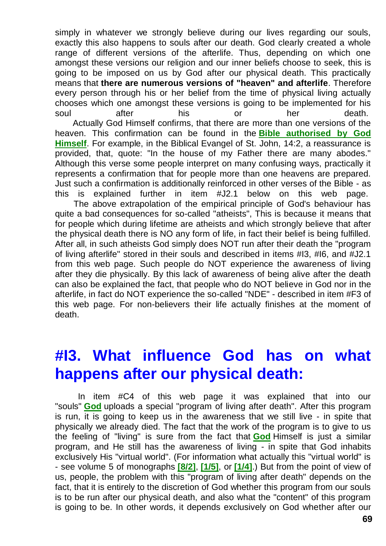simply in whatever we strongly believe during our lives regarding our souls, exactly this also happens to souls after our death. God clearly created a whole range of different versions of the afterlife. Thus, depending on which one amongst these versions our religion and our inner beliefs choose to seek, this is going to be imposed on us by God after our physical death. This practically means that **there are numerous versions of "heaven" and afterlife**. Therefore every person through his or her belief from the time of physical living actually chooses which one amongst these versions is going to be implemented for his soul after his or her death. Actually God Himself confirms, that there are more than one versions of the

heaven. This confirmation can be found in the **[Bible authorised by God](http://tornado.zxq.net/bible.htm)  [Himself](http://tornado.zxq.net/bible.htm)**. For example, in the Biblical Evangel of St. John, 14:2, a reassurance is provided, that, quote: "In the house of my Father there are many abodes." Although this verse some people interpret on many confusing ways, practically it represents a confirmation that for people more than one heavens are prepared. Just such a confirmation is additionally reinforced in other verses of the Bible - as this is explained further in item #J2.1 below on this web page.

The above extrapolation of the empirical principle of God's behaviour has quite a bad consequences for so-called "atheists", This is because it means that for people which during lifetime are atheists and which strongly believe that after the physical death there is NO any form of life, in fact their belief is being fulfilled. After all, in such atheists God simply does NOT run after their death the "program of living afterlife" stored in their souls and described in items #I3, #I6, and #J2.1 from this web page. Such people do NOT experience the awareness of living after they die physically. By this lack of awareness of being alive after the death can also be explained the fact, that people who do NOT believe in God nor in the afterlife, in fact do NOT experience the so-called "NDE" - described in item #F3 of this web page. For non-believers their life actually finishes at the moment of death.

# **#I3. What influence God has on what happens after our physical death:**

In item #C4 of this web page it was explained that into our "souls" **[God](http://tornado.zxq.net/god.htm)** uploads a special "program of living after death". After this program is run, it is going to keep us in the awareness that we still live - in spite that physically we already died. The fact that the work of the program is to give to us the feeling of "living" is sure from the fact that **[God](http://tornado.zxq.net/god.htm)** Himself is just a similar program, and He still has the awareness of living - in spite that God inhabits exclusively His "virtual world". (For information what actually this "virtual world" is - see volume 5 of monographs **[\[8/2\]](http://tornado.zxq.net/text_8_2.htm)**, **[\[1/5\]](http://tornado.zxq.net/text_1_5.htm)**, or **[\[1/4\]](http://tornado.zxq.net/text_1_4.htm)**.) But from the point of view of us, people, the problem with this "program of living after death" depends on the fact, that it is entirely to the discretion of God whether this program from our souls is to be run after our physical death, and also what the "content" of this program is going to be. In other words, it depends exclusively on God whether after our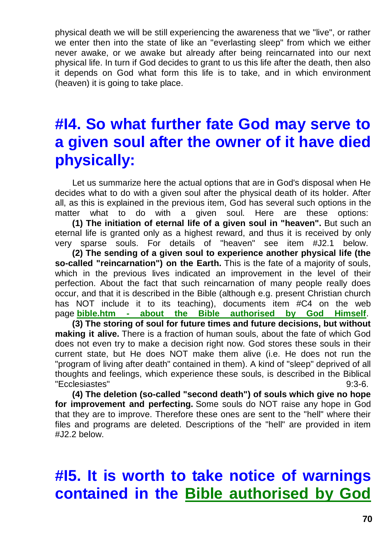physical death we will be still experiencing the awareness that we "live", or rather we enter then into the state of like an "everlasting sleep" from which we either never awake, or we awake but already after being reincarnated into our next physical life. In turn if God decides to grant to us this life after the death, then also it depends on God what form this life is to take, and in which environment (heaven) it is going to take place.

# **#I4. So what further fate God may serve to a given soul after the owner of it have died physically:**

Let us summarize here the actual options that are in God's disposal when He decides what to do with a given soul after the physical death of its holder. After all, as this is explained in the previous item, God has several such options in the matter what to do with a given soul. Here are these options:

**(1) The initiation of eternal life of a given soul in "heaven".** But such an eternal life is granted only as a highest reward, and thus it is received by only very sparse souls. For details of "heaven" see item #J2.1 below.

**(2) The sending of a given soul to experience another physical life (the so-called "reincarnation") on the Earth.** This is the fate of a majority of souls, which in the previous lives indicated an improvement in the level of their perfection. About the fact that such reincarnation of many people really does occur, and that it is described in the Bible (although e.g. present Christian church has NOT include it to its teaching), documents item #C4 on the web page **bible.htm - [about the Bible authorised by God Himself](http://tornado.zxq.net/bible.htm)**.

**(3) The storing of soul for future times and future decisions, but without making it alive.** There is a fraction of human souls, about the fate of which God does not even try to make a decision right now. God stores these souls in their current state, but He does NOT make them alive (i.e. He does not run the "program of living after death" contained in them). A kind of "sleep" deprived of all thoughts and feelings, which experience these souls, is described in the Biblical "Ecclesiastes" 9:3-6.

**(4) The deletion (so-called "second death") of souls which give no hope for improvement and perfecting.** Some souls do NOT raise any hope in God that they are to improve. Therefore these ones are sent to the "hell" where their files and programs are deleted. Descriptions of the "hell" are provided in item #J2.2 below.

# **#I5. It is worth to take notice of warnings contained in the [Bible authorised by God](http://tornado.zxq.net/bible.htm)**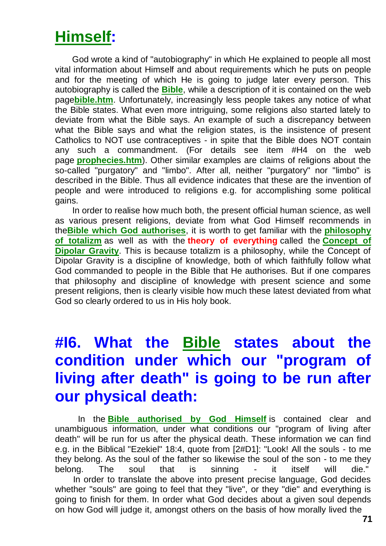# **[Himself:](http://tornado.zxq.net/bible.htm)**

God wrote a kind of "autobiography" in which He explained to people all most vital information about Himself and about requirements which he puts on people and for the meeting of which He is going to judge later every person. This autobiography is called the **[Bible](http://tornado.zxq.net/bible.htm)**, while a description of it is contained on the web page**[bible.htm](http://tornado.zxq.net/bible.htm)**. Unfortunately, increasingly less people takes any notice of what the Bible states. What even more intriguing, some religions also started lately to deviate from what the Bible says. An example of such a discrepancy between what the Bible says and what the religion states, is the insistence of present Catholics to NOT use contraceptives - in spite that the Bible does NOT contain any such a commandment. (For details see item #H4 on the web page **[prophecies.htm](http://tornado.zxq.net/prophecies.htm)**). Other similar examples are claims of religions about the so-called "purgatory" and "limbo". After all, neither "purgatory" nor "limbo" is described in the Bible. Thus all evidence indicates that these are the invention of people and were introduced to religions e.g. for accomplishing some political gains.

In order to realise how much both, the present official human science, as well as various present religions, deviate from what God Himself recommends in the**[Bible which God authorises](http://tornado.zxq.net/bible.htm)**, it is worth to get familiar with the **[philosophy](http://tornado.zxq.net/totalizm.htm)  [of totalizm](http://tornado.zxq.net/totalizm.htm)** as well as with the **theory of everything** called the **[Concept of](http://tornado.zxq.net/dipolar_gravity.htm)  [Dipolar Gravity](http://tornado.zxq.net/dipolar_gravity.htm)**. This is because totalizm is a philosophy, while the Concept of Dipolar Gravity is a discipline of knowledge, both of which faithfully follow what God commanded to people in the Bible that He authorises. But if one compares that philosophy and discipline of knowledge with present science and some present religions, then is clearly visible how much these latest deviated from what God so clearly ordered to us in His holy book.

# **#I6. What the [Bible](http://tornado.zxq.net/bible.htm) states about the condition under which our "program of living after death" is going to be run after our physical death:**

In the **[Bible authorised by God Himself](http://tornado.zxq.net/bible.htm)** is contained clear and unambiguous information, under what conditions our "program of living after death" will be run for us after the physical death. These information we can find e.g. in the Biblical "Ezekiel" 18:4, quote from [2#D1]: "Look! All the souls - to me they belong. As the soul of the father so likewise the soul of the son - to me they belong. The soul that is sinning - it itself will die." In order to translate the above into present precise language, God decides whether "souls" are going to feel that they "live", or they "die" and everything is going to finish for them. In order what God decides about a given soul depends on how God will judge it, amongst others on the basis of how morally lived the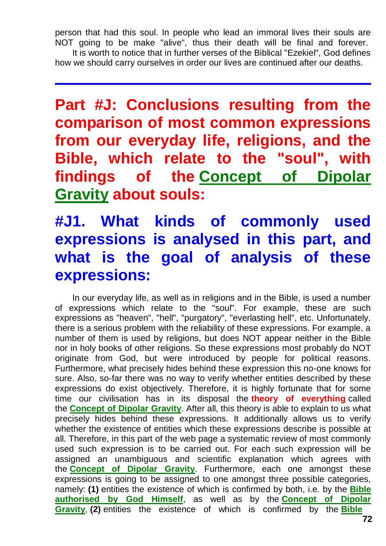person that had this soul. In people who lead an immoral lives their souls are NOT going to be make "alive", thus their death will be final and forever. It is worth to notice that in further verses of the Biblical "Ezekiel", God defines

how we should carry ourselves in order our lives are continued after our deaths.

**Part #J: Conclusions resulting from the comparison of most common expressions from our everyday life, religions, and the Bible, which relate to the "soul", with findings of the [Concept of Dipolar](http://tornado.zxq.net/dipolar_gravity.htm)  [Gravity](http://tornado.zxq.net/dipolar_gravity.htm) about souls:**

# **#J1. What kinds of commonly used expressions is analysed in this part, and what is the goal of analysis of these expressions:**

In our everyday life, as well as in religions and in the Bible, is used a number of expressions which relate to the "soul". For example, these are such expressions as "heaven", "hell", "purgatory", "everlasting hell", etc. Unfortunately, there is a serious problem with the reliability of these expressions. For example, a number of them is used by religions, but does NOT appear neither in the Bible nor in holy books of other religions. So these expressions most probably do NOT originate from God, but were introduced by people for political reasons. Furthermore, what precisely hides behind these expression this no-one knows for sure. Also, so-far there was no way to verify whether entities described by these expressions do exist objectively. Therefore, it is highly fortunate that for some time our civilisation has in its disposal the **theory of everything** called the **[Concept of Dipolar Gravity](http://tornado.zxq.net/dipolar_gravity.htm)**. After all, this theory is able to explain to us what precisely hides behind these expressions. It additionally allows us to verify whether the existence of entities which these expressions describe is possible at all. Therefore, in this part of the web page a systematic review of most commonly used such expression is to be carried out. For each such expression will be assigned an unambiguous and scientific explanation which agrees with the **[Concept of Dipolar Gravity](http://tornado.zxq.net/dipolar_gravity.htm)**. Furthermore, each one amongst these expressions is going to be assigned to one amongst three possible categories, namely: **(1)** entities the existence of which is confirmed by both, i.e. by the **[Bible](http://tornado.zxq.net/bible.htm)  [authorised by God Himself](http://tornado.zxq.net/bible.htm)**, as well as by the **[Concept of Dipolar](http://tornado.zxq.net/dipolar_gravity.htm)  [Gravity](http://tornado.zxq.net/dipolar_gravity.htm)**, **(2)** entities the existence of which is confirmed by the **[Bible](http://tornado.zxq.net/bible.htm)**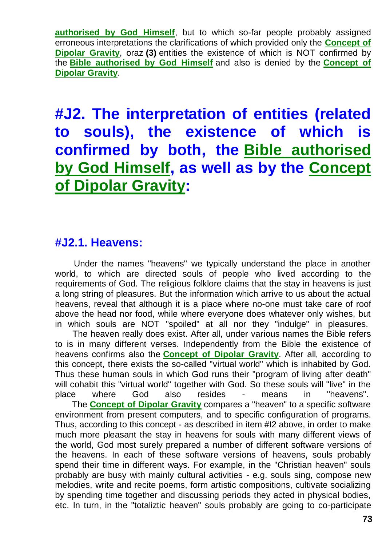**[authorised by God Himself](http://tornado.zxq.net/bible.htm)**, but to which so-far people probably assigned erroneous interpretations the clarifications of which provided only the **[Concept of](http://tornado.zxq.net/dipolar_gravity.htm)  [Dipolar Gravity](http://tornado.zxq.net/dipolar_gravity.htm)**, oraz **(3)** entities the existence of which is NOT confirmed by the **[Bible authorised by God Himself](http://tornado.zxq.net/bible.htm)** and also is denied by the **[Concept of](http://tornado.zxq.net/dipolar_gravity.htm)  [Dipolar Gravity](http://tornado.zxq.net/dipolar_gravity.htm)**.

**#J2. The interpretation of entities (related to souls), the existence of which is confirmed by both, the [Bible authorised](http://tornado.zxq.net/bible.htm)  [by God Himself,](http://tornado.zxq.net/bible.htm) as well as by the [Concept](http://tornado.zxq.net/dipolar_gravity.htm)  [of Dipolar Gravity:](http://tornado.zxq.net/dipolar_gravity.htm)**

#### **#J2.1. Heavens:**

Under the names "heavens" we typically understand the place in another world, to which are directed souls of people who lived according to the requirements of God. The religious folklore claims that the stay in heavens is just a long string of pleasures. But the information which arrive to us about the actual heavens, reveal that although it is a place where no-one must take care of roof above the head nor food, while where everyone does whatever only wishes, but in which souls are NOT "spoiled" at all nor they "indulge" in pleasures.

The heaven really does exist. After all, under various names the Bible refers to is in many different verses. Independently from the Bible the existence of heavens confirms also the **[Concept of Dipolar Gravity](http://tornado.zxq.net/dipolar_gravity.htm)**. After all, according to this concept, there exists the so-called "virtual world" which is inhabited by God. Thus these human souls in which God runs their "program of living after death" will cohabit this "virtual world" together with God. So these souls will "live" in the place where God also resides - means in "heavens". The **[Concept of Dipolar Gravity](http://tornado.zxq.net/dipolar_gravity.htm)** compares a "heaven" to a specific software environment from present computers, and to specific configuration of programs. Thus, according to this concept - as described in item #I2 above, in order to make much more pleasant the stay in heavens for souls with many different views of the world, God most surely prepared a number of different software versions of the heavens. In each of these software versions of heavens, souls probably spend their time in different ways. For example, in the "Christian heaven" souls probably are busy with mainly cultural activities - e.g. souls sing, compose new melodies, write and recite poems, form artistic compositions, cultivate socializing by spending time together and discussing periods they acted in physical bodies,

etc. In turn, in the "totaliztic heaven" souls probably are going to co-participate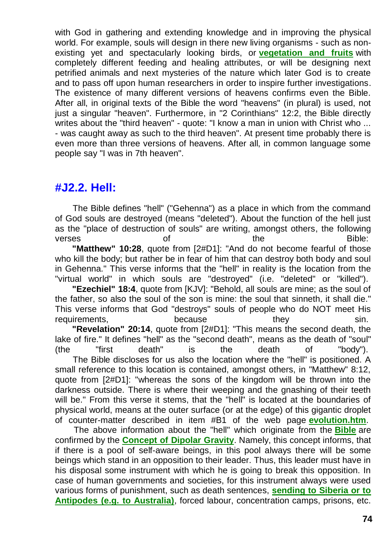with God in gathering and extending knowledge and in improving the physical world. For example, souls will design in there new living organisms - such as nonexisting yet and spectacularly looking birds, or **[vegetation and fruits](http://tornado.zxq.net/fruit.htm)** with completely different feeding and healing attributes, or will be designing next petrified animals and next mysteries of the nature which later God is to create and to pass off upon human researchers in order to inspire further investigations. The existence of many different versions of heavens confirms even the Bible. After all, in original texts of the Bible the word "heavens" (in plural) is used, not just a singular "heaven". Furthermore, in "2 Corinthians" 12:2, the Bible directly writes about the "third heaven" - quote: "I know a man in union with Christ who ... - was caught away as such to the third heaven". At present time probably there is even more than three versions of heavens. After all, in common language some people say "I was in 7th heaven".

#### **#J2.2. Hell:**

The Bible defines "hell" ("Gehenna") as a place in which from the command of God souls are destroyed (means "deleted"). About the function of the hell just as the "place of destruction of souls" are writing, amongst others, the following verses and the the Bible: **"Matthew" 10:28**, quote from [2#D1]: "And do not become fearful of those

who kill the body; but rather be in fear of him that can destroy both body and soul in Gehenna." This verse informs that the "hell" in reality is the location from the "virtual world" in which souls are "destroyed" (i.e. "deleted" or "killed").

**"Ezechiel" 18:4**, quote from [KJV]: "Behold, all souls are mine; as the soul of the father, so also the soul of the son is mine: the soul that sinneth, it shall die." This verse informs that God "destroys" souls of people who do NOT meet His requirements. The because they sin.

**"Revelation" 20:14**, quote from [2#D1]: "This means the second death, the lake of fire." It defines "hell" as the "second death", means as the death of "soul" (the "first death" is the death of "body").

The Bible discloses for us also the location where the "hell" is positioned. A small reference to this location is contained, amongst others, in "Matthew" 8:12, quote from [2#D1]: "whereas the sons of the kingdom will be thrown into the darkness outside. There is where their weeping and the gnashing of their teeth will be." From this verse it stems, that the "hell" is located at the boundaries of physical world, means at the outer surface (or at the edge) of this gigantic droplet of counter-matter described in item #B1 of the web page **[evolution.htm](http://tornado.zxq.net/evolution.htm)**.

The above information about the "hell" which originate from the **[Bible](http://tornado.zxq.net/bible.htm)** are confirmed by the **[Concept of Dipolar Gravity](http://tornado.zxq.net/dipolar_gravity.htm)**. Namely, this concept informs, that if there is a pool of self-aware beings, in this pool always there will be some beings which stand in an opposition to their leader. Thus, this leader must have in his disposal some instrument with which he is going to break this opposition. In case of human governments and societies, for this instrument always were used various forms of punishment, such as death sentences, **[sending to Siberia or to](http://tornado.zxq.net/newzealand_visit.htm)  [Antipodes \(e.g. to Australia\)](http://tornado.zxq.net/newzealand_visit.htm)**, forced labour, concentration camps, prisons, etc.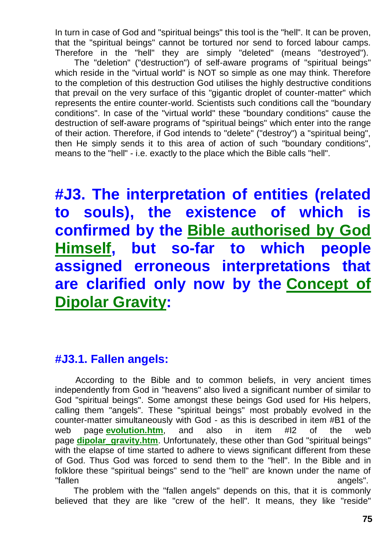In turn in case of God and "spiritual beings" this tool is the "hell". It can be proven, that the "spiritual beings" cannot be tortured nor send to forced labour camps. Therefore in the "hell" they are simply "deleted" (means "destroyed").

The "deletion" ("destruction") of self-aware programs of "spiritual beings" which reside in the "virtual world" is NOT so simple as one may think. Therefore to the completion of this destruction God utilises the highly destructive conditions that prevail on the very surface of this "gigantic droplet of counter-matter" which represents the entire counter-world. Scientists such conditions call the "boundary conditions". In case of the "virtual world" these "boundary conditions" cause the destruction of self-aware programs of "spiritual beings" which enter into the range of their action. Therefore, if God intends to "delete" ("destroy") a "spiritual being", then He simply sends it to this area of action of such "boundary conditions", means to the "hell" - i.e. exactly to the place which the Bible calls "hell".

**#J3. The interpretation of entities (related to souls), the existence of which is confirmed by the [Bible authorised by God](http://tornado.zxq.net/bible.htm)  [Himself,](http://tornado.zxq.net/bible.htm) but so-far to which people assigned erroneous interpretations that are clarified only now by the [Concept of](http://tornado.zxq.net/dipolar_gravity.htm)  [Dipolar Gravity:](http://tornado.zxq.net/dipolar_gravity.htm)**

#### **#J3.1. Fallen angels:**

According to the Bible and to common beliefs, in very ancient times independently from God in "heavens" also lived a significant number of similar to God "spiritual beings". Some amongst these beings God used for His helpers, calling them "angels". These "spiritual beings" most probably evolved in the counter-matter simultaneously with God - as this is described in item #B1 of the web page **[evolution.htm](http://tornado.zxq.net/evolution.htm)**, and also in item #I2 of the web page **[dipolar\\_gravity.htm](http://tornado.zxq.net/dipolar_gravity.htm)**. Unfortunately, these other than God "spiritual beings" with the elapse of time started to adhere to views significant different from these of God. Thus God was forced to send them to the "hell". In the Bible and in folklore these "spiritual beings" send to the "hell" are known under the name of "fallen angels".

The problem with the "fallen angels" depends on this, that it is commonly believed that they are like "crew of the hell". It means, they like "reside"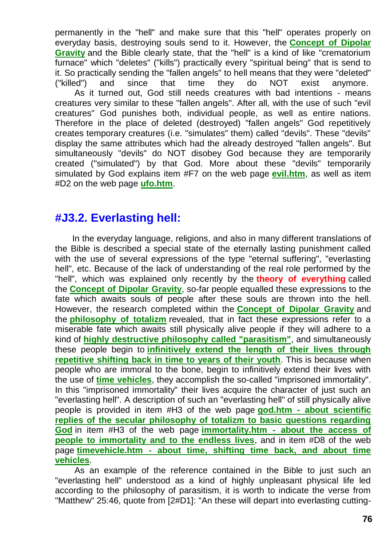permanently in the "hell" and make sure that this "hell" operates properly on everyday basis, destroying souls send to it. However, the **[Concept of Dipolar](http://tornado.zxq.net/dipolar_gravity.htm)  [Gravity](http://tornado.zxq.net/dipolar_gravity.htm)** and the Bible clearly state, that the "hell" is a kind of like "crematorium furnace" which "deletes" ("kills") practically every "spiritual being" that is send to it. So practically sending the "fallen angels" to hell means that they were "deleted" ("killed") and since that time they do NOT exist anymore. As it turned out, God still needs creatures with bad intentions - means creatures very similar to these "fallen angels". After all, with the use of such "evil creatures" God punishes both, individual people, as well as entire nations. Therefore in the place of deleted (destroyed) "fallen angels" God repetitively creates temporary creatures (i.e. "simulates" them) called "devils". These "devils" display the same attributes which had the already destroyed "fallen angels". But

simultaneously "devils" do NOT disobey God because they are temporarily created ("simulated") by that God. More about these "devils" temporarily simulated by God explains item #F7 on the web page **[evil.htm](http://tornado.zxq.net/evil.htm)**, as well as item #D2 on the web page **[ufo.htm](http://tornado.zxq.net/ufo.htm)**.

#### **#J3.2. Everlasting hell:**

In the everyday language, religions, and also in many different translations of the Bible is described a special state of the eternally lasting punishment called with the use of several expressions of the type "eternal suffering", "everlasting hell", etc. Because of the lack of understanding of the real role performed by the "hell", which was explained only recently by the **theory of everything** called the **[Concept of Dipolar Gravity](http://tornado.zxq.net/dipolar_gravity.htm)**, so-far people equalled these expressions to the fate which awaits souls of people after these souls are thrown into the hell. However, the research completed within the **[Concept of Dipolar Gravity](http://tornado.zxq.net/dipolar_gravity.htm)** and the **[philosophy of totalizm](http://tornado.zxq.net/totalizm.htm)** revealed, that in fact these expressions refer to a miserable fate which awaits still physically alive people if they will adhere to a kind of **[highly destructive philosophy called "parasitism"](http://tornado.zxq.net/parasitism.htm)**, and simultaneously these people begin to **[infinitively extend the length of their lives through](http://tornado.zxq.net/immortality.htm)  [repetitive shifting back in time to years of their youth](http://tornado.zxq.net/immortality.htm)**. This is because when people who are immoral to the bone, begin to infinitively extend their lives with the use of **[time vehicles](http://tornado.zxq.net/timevehicle.htm)**, they accomplish the so-called "imprisoned immortality". In this "imprisoned immortality" their lives acquire the character of just such an "everlasting hell". A description of such an "everlasting hell" of still physically alive people is provided in item #H3 of the web page **god.htm - [about scientific](http://tornado.zxq.net/god.htm)  [replies of the secular philosophy of totalizm to basic questions regarding](http://tornado.zxq.net/god.htm)  [God](http://tornado.zxq.net/god.htm)** in item #H3 of the web page **immortality.htm - [about the access of](http://tornado.zxq.net/immortality.htm)  [people to immortality and to the endless lives](http://tornado.zxq.net/immortality.htm)**, and in item #D8 of the web page **timevehicle.htm - [about time, shifting time back, and about time](http://tornado.zxq.net/timevehicle.htm)  [vehicles](http://tornado.zxq.net/timevehicle.htm)**.

As an example of the reference contained in the Bible to just such an "everlasting hell" understood as a kind of highly unpleasant physical life led according to the philosophy of parasitism, it is worth to indicate the verse from "Matthew" 25:46, quote from [2#D1]: "An these will depart into everlasting cutting-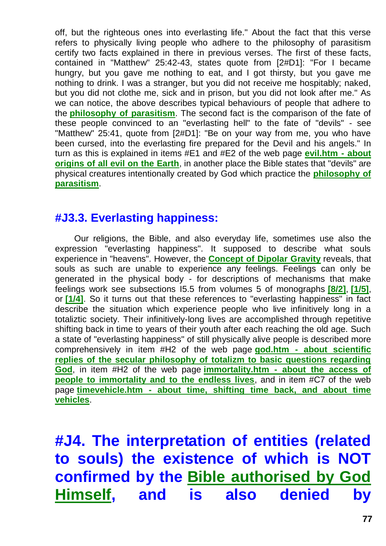off, but the righteous ones into everlasting life." About the fact that this verse refers to physically living people who adhere to the philosophy of parasitism certify two facts explained in there in previous verses. The first of these facts, contained in "Matthew" 25:42-43, states quote from [2#D1]: "For I became hungry, but you gave me nothing to eat, and I got thirsty, but you gave me nothing to drink. I was a stranger, but you did not receive me hospitably; naked, but you did not clothe me, sick and in prison, but you did not look after me." As we can notice, the above describes typical behaviours of people that adhere to the **[philosophy of parasitism](http://tornado.zxq.net/parasitism.htm)**. The second fact is the comparison of the fate of these people convinced to an "everlasting hell" to the fate of "devils" - see "Matthew" 25:41, quote from [2#D1]: "Be on your way from me, you who have been cursed, into the everlasting fire prepared for the Devil and his angels." In turn as this is explained in items #E1 and #E2 of the web page **[evil.htm -](http://tornado.zxq.net/evil.htm) about [origins of all evil on the Earth](http://tornado.zxq.net/evil.htm)**, in another place the Bible states that "devils" are physical creatures intentionally created by God which practice the **[philosophy of](http://tornado.zxq.net/parasitism.htm)  [parasitism](http://tornado.zxq.net/parasitism.htm)**.

#### **#J3.3. Everlasting happiness:**

Our religions, the Bible, and also everyday life, sometimes use also the expression "everlasting happiness". It supposed to describe what souls experience in "heavens". However, the **[Concept of Dipolar Gravity](http://tornado.zxq.net/dipolar_gravity.htm)** reveals, that souls as such are unable to experience any feelings. Feelings can only be generated in the physical body - for descriptions of mechanisms that make feelings work see subsections I5.5 from volumes 5 of monographs **[\[8/2\]](http://tornado.zxq.net/text_8_2.htm)**, **[\[1/5\]](http://tornado.zxq.net/text_1_5.htm)**, or **[\[1/4\]](http://tornado.zxq.net/text_1_4.htm)**. So it turns out that these references to "everlasting happiness" in fact describe the situation which experience people who live infinitively long in a totaliztic society. Their infinitively-long lives are accomplished through repetitive shifting back in time to years of their youth after each reaching the old age. Such a state of "everlasting happiness" of still physically alive people is described more comprehensively in item #H2 of the web page **god.htm - [about scientific](http://tornado.zxq.net/god.htm)  [replies of the secular philosophy of totalizm to basic questions regarding](http://tornado.zxq.net/god.htm)  [God](http://tornado.zxq.net/god.htm)**, in item #H2 of the web page **immortality.htm - [about the access of](http://tornado.zxq.net/immortality.htm)  [people to immortality and to the endless lives](http://tornado.zxq.net/immortality.htm)**, and in item #C7 of the web page **timevehicle.htm - [about time, shifting time back, and about time](http://tornado.zxq.net/timevehicle.htm)  [vehicles](http://tornado.zxq.net/timevehicle.htm)**.

**#J4. The interpretation of entities (related to souls) the existence of which is NOT confirmed by the [Bible authorised by God](http://tornado.zxq.net/bible.htm)  [Himself,](http://tornado.zxq.net/bible.htm) and is also denied by**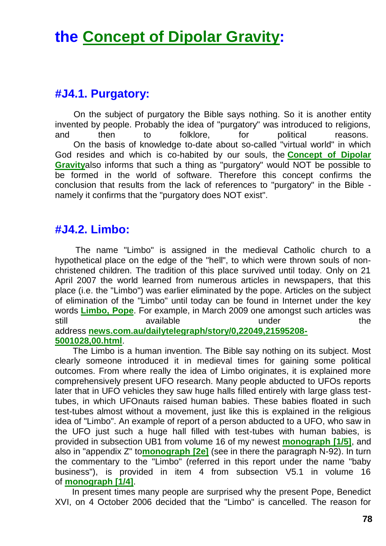# **the [Concept of Dipolar Gravity:](http://tornado.zxq.net/dipolar_gravity.htm)**

#### **#J4.1. Purgatory:**

On the subject of purgatory the Bible says nothing. So it is another entity invented by people. Probably the idea of "purgatory" was introduced to religions, and then to folklore, for political reasons. On the basis of knowledge to-date about so-called "virtual world" in which God resides and which is co-habited by our souls, the **[Concept of Dipolar](http://tornado.zxq.net/dipolar_gravity.htm)  [Gravity](http://tornado.zxq.net/dipolar_gravity.htm)**also informs that such a thing as "purgatory" would NOT be possible to be formed in the world of software. Therefore this concept confirms the conclusion that results from the lack of references to "purgatory" in the Bible namely it confirms that the "purgatory does NOT exist".

#### **#J4.2. Limbo:**

The name "Limbo" is assigned in the medieval Catholic church to a hypothetical place on the edge of the "hell", to which were thrown souls of nonchristened children. The tradition of this place survived until today. Only on 21 April 2007 the world learned from numerous articles in newspapers, that this place (i.e. the "Limbo") was earlier eliminated by the pope. Articles on the subject of elimination of the "Limbo" until today can be found in Internet under the key words **[Limbo, Pope](http://www.google.com/search?hl=en&q=Pope+abolishes+limbo&btnG=Google+Search&aq=f&oq=)**. For example, in March 2009 one amongst such articles was still available available under the address **[news.com.au/dailytelegraph/story/0,22049,21595208-](http://www.news.com.au/dailytelegraph/story/0,22049,21595208-5001028,00.html) [5001028,00.html](http://www.news.com.au/dailytelegraph/story/0,22049,21595208-5001028,00.html)**.

The Limbo is a human invention. The Bible say nothing on its subject. Most clearly someone introduced it in medieval times for gaining some political outcomes. From where really the idea of Limbo originates, it is explained more comprehensively present UFO research. Many people abducted to UFOs reports later that in UFO vehicles they saw huge halls filled entirely with large glass testtubes, in which UFOnauts raised human babies. These babies floated in such test-tubes almost without a movement, just like this is explained in the religious idea of "Limbo". An example of report of a person abducted to a UFO, who saw in the UFO just such a huge hall filled with test-tubes with human babies, is provided in subsection UB1 from volume 16 of my newest **[monograph \[1/5\]](http://tornado.zxq.net/text_1_5.htm)**, and also in "appendix Z" to**[monograph \[2e\]](http://tornado.zxq.net/text_2e.htm)** (see in there the paragraph N-92). In turn the commentary to the "Limbo" (referred in this report under the name "baby business"), is provided in item 4 from subsection V5.1 in volume 16 of **[monograph \[1/4\]](http://tornado.zxq.net/text_1_4.htm)**.

In present times many people are surprised why the present Pope, Benedict XVI, on 4 October 2006 decided that the "Limbo" is cancelled. The reason for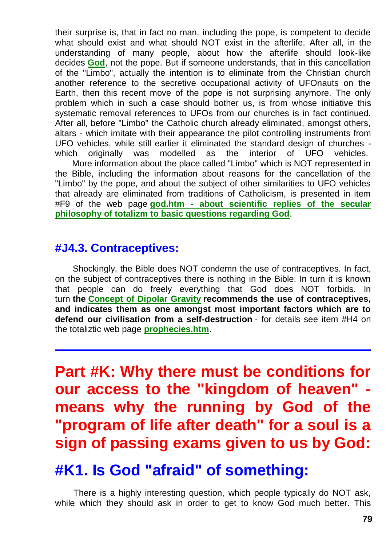their surprise is, that in fact no man, including the pope, is competent to decide what should exist and what should NOT exist in the afterlife. After all, in the understanding of many people, about how the afterlife should look-like decides **[God](http://tornado.zxq.net/god.htm)**, not the pope. But if someone understands, that in this cancellation of the "Limbo", actually the intention is to eliminate from the Christian church another reference to the secretive occupational activity of UFOnauts on the Earth, then this recent move of the pope is not surprising anymore. The only problem which in such a case should bother us, is from whose initiative this systematic removal references to UFOs from our churches is in fact continued. After all, before "Limbo" the Catholic church already eliminated, amongst others, altars - which imitate with their appearance the pilot controlling instruments from UFO vehicles, while still earlier it eliminated the standard design of churches which originally was modelled as the interior of UFO vehicles.

More information about the place called "Limbo" which is NOT represented in the Bible, including the information about reasons for the cancellation of the "Limbo" by the pope, and about the subject of other similarities to UFO vehicles that already are eliminated from traditions of Catholicism, is presented in item #F9 of the web page **god.htm - [about scientific replies of the secular](http://tornado.zxq.net/god.htm)  [philosophy of totalizm to basic questions regarding God](http://tornado.zxq.net/god.htm)**.

#### **#J4.3. Contraceptives:**

Shockingly, the Bible does NOT condemn the use of contraceptives. In fact, on the subject of contraceptives there is nothing in the Bible. In turn it is known that people can do freely everything that God does NOT forbids. In turn **the [Concept of Dipolar Gravity](http://tornado.zxq.net/dipolar_gravity.htm) recommends the use of contraceptives, and indicates them as one amongst most important factors which are to defend our civilisation from a self-destruction** - for details see item #H4 on the totaliztic web page **[prophecies.htm](http://tornado.zxq.net/prophecies.htm)**.

**Part #K: Why there must be conditions for our access to the "kingdom of heaven" means why the running by God of the "program of life after death" for a soul is a sign of passing exams given to us by God:**

## **#K1. Is God "afraid" of something:**

There is a highly interesting question, which people typically do NOT ask, while which they should ask in order to get to know God much better. This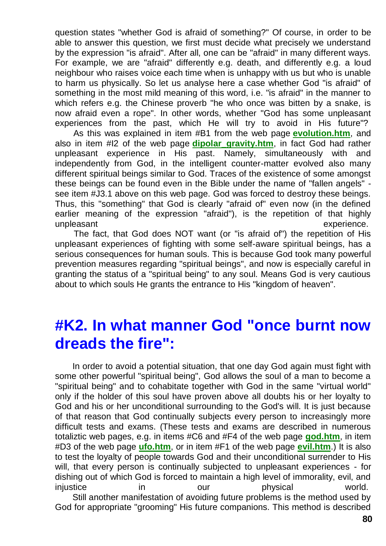question states "whether God is afraid of something?" Of course, in order to be able to answer this question, we first must decide what precisely we understand by the expression "is afraid". After all, one can be "afraid" in many different ways. For example, we are "afraid" differently e.g. death, and differently e.g. a loud neighbour who raises voice each time when is unhappy with us but who is unable to harm us physically. So let us analyse here a case whether God "is afraid" of something in the most mild meaning of this word, i.e. "is afraid" in the manner to which refers e.g. the Chinese proverb "he who once was bitten by a snake, is now afraid even a rope". In other words, whether "God has some unpleasant experiences from the past, which He will try to avoid in His future"?

As this was explained in item #B1 from the web page **[evolution.htm](http://tornado.zxq.net/evolution.htm)**, and also in item #I2 of the web page **[dipolar\\_gravity.htm](http://tornado.zxq.net/dipolar_gravity.htm)**, in fact God had rather unpleasant experience in His past. Namely, simultaneously with and independently from God, in the intelligent counter-matter evolved also many different spiritual beings similar to God. Traces of the existence of some amongst these beings can be found even in the Bible under the name of "fallen angels" see item #J3.1 above on this web page. God was forced to destroy these beings. Thus, this "something" that God is clearly "afraid of" even now (in the defined earlier meaning of the expression "afraid"), is the repetition of that highly unpleasant experience.

The fact, that God does NOT want (or "is afraid of") the repetition of His unpleasant experiences of fighting with some self-aware spiritual beings, has a serious consequences for human souls. This is because God took many powerful prevention measures regarding "spiritual beings", and now is especially careful in granting the status of a "spiritual being" to any soul. Means God is very cautious about to which souls He grants the entrance to His "kingdom of heaven".

### **#K2. In what manner God "once burnt now dreads the fire":**

In order to avoid a potential situation, that one day God again must fight with some other powerful "spiritual being", God allows the soul of a man to become a "spiritual being" and to cohabitate together with God in the same "virtual world" only if the holder of this soul have proven above all doubts his or her loyalty to God and his or her unconditional surrounding to the God's will. It is just because of that reason that God continually subjects every person to increasingly more difficult tests and exams. (These tests and exams are described in numerous totaliztic web pages, e.g. in items #C6 and #F4 of the web page **[god.htm](http://tornado.zxq.net/god.htm)**, in item #D3 of the web page **[ufo.htm](http://tornado.zxq.net/ufo.htm)**, or in item #F1 of the web page **[evil.htm](http://tornado.zxq.net/evil.htm)**.) It is also to test the loyalty of people towards God and their unconditional surrender to His will, that every person is continually subjected to unpleasant experiences - for dishing out of which God is forced to maintain a high level of immorality, evil, and injustice in our physical world. Still another manifestation of avoiding future problems is the method used by

God for appropriate "grooming" His future companions. This method is described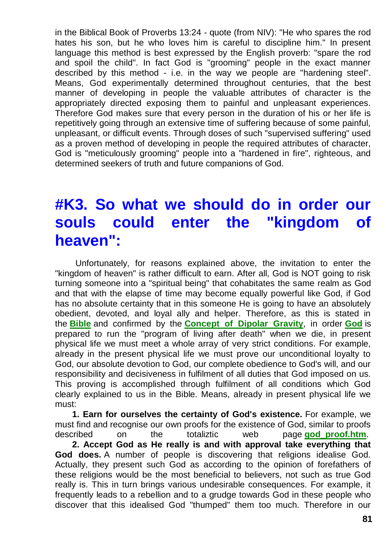in the Biblical Book of Proverbs 13:24 - quote (from NIV): "He who spares the rod hates his son, but he who loves him is careful to discipline him." In present language this method is best expressed by the English proverb: "spare the rod and spoil the child". In fact God is "grooming" people in the exact manner described by this method - i.e. in the way we people are "hardening steel". Means, God experimentally determined throughout centuries, that the best manner of developing in people the valuable attributes of character is the appropriately directed exposing them to painful and unpleasant experiences. Therefore God makes sure that every person in the duration of his or her life is repetitively going through an extensive time of suffering because of some painful, unpleasant, or difficult events. Through doses of such "supervised suffering" used as a proven method of developing in people the required attributes of character, God is "meticulously grooming" people into a "hardened in fire", righteous, and determined seekers of truth and future companions of God.

### **#K3. So what we should do in order our souls could enter the "kingdom of heaven":**

Unfortunately, for reasons explained above, the invitation to enter the "kingdom of heaven" is rather difficult to earn. After all, God is NOT going to risk turning someone into a "spiritual being" that cohabitates the same realm as God and that with the elapse of time may become equally powerful like God, if God has no absolute certainty that in this someone He is going to have an absolutely obedient, devoted, and loyal ally and helper. Therefore, as this is stated in the **[Bible](http://tornado.zxq.net/bible.htm)** and confirmed by the **[Concept of Dipolar Gravity](http://tornado.zxq.net/dipolar_gravity.htm)**, in order **[God](http://tornado.zxq.net/god.htm)** is prepared to run the "program of living after death" when we die, in present physical life we must meet a whole array of very strict conditions. For example, already in the present physical life we must prove our unconditional loyalty to God, our absolute devotion to God, our complete obedience to God's will, and our responsibility and decisiveness in fulfilment of all duties that God imposed on us. This proving is accomplished through fulfilment of all conditions which God clearly explained to us in the Bible. Means, already in present physical life we must:

**1. Earn for ourselves the certainty of God's existence.** For example, we must find and recognise our own proofs for the existence of God, similar to proofs described on the totaliztic web page **[god\\_proof.htm](http://tornado.zxq.net/god_proof.htm)**. **2. Accept God as He really is and with approval take everything that God does.** A number of people is discovering that religions idealise God. Actually, they present such God as according to the opinion of forefathers of these religions would be the most beneficial to believers, not such as true God really is. This in turn brings various undesirable consequences. For example, it frequently leads to a rebellion and to a grudge towards God in these people who discover that this idealised God "thumped" them too much. Therefore in our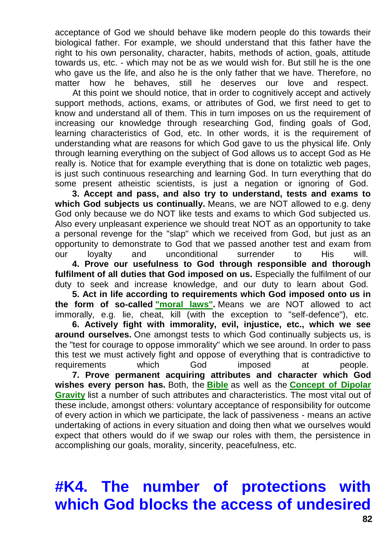acceptance of God we should behave like modern people do this towards their biological father. For example, we should understand that this father have the right to his own personality, character, habits, methods of action, goals, attitude towards us, etc. - which may not be as we would wish for. But still he is the one who gave us the life, and also he is the only father that we have. Therefore, no matter how he behaves, still he deserves our love and respect.

At this point we should notice, that in order to cognitively accept and actively support methods, actions, exams, or attributes of God, we first need to get to know and understand all of them. This in turn imposes on us the requirement of increasing our knowledge through researching God, finding goals of God, learning characteristics of God, etc. In other words, it is the requirement of understanding what are reasons for which God gave to us the physical life. Only through learning everything on the subject of God allows us to accept God as He really is. Notice that for example everything that is done on totaliztic web pages, is just such continuous researching and learning God. In turn everything that do some present atheistic scientists, is just a negation or ignoring of God.

**3. Accept and pass, and also try to understand, tests and exams to which God subjects us continually.** Means, we are NOT allowed to e.g. deny God only because we do NOT like tests and exams to which God subjected us. Also every unpleasant experience we should treat NOT as an opportunity to take a personal revenge for the "slap" which we received from God, but just as an opportunity to demonstrate to God that we passed another test and exam from our loyalty and unconditional surrender to His will. **4. Prove our usefulness to God through responsible and thorough fulfilment of all duties that God imposed on us.** Especially the fulfilment of our

duty to seek and increase knowledge, and our duty to learn about God. **5. Act in life according to requirements which God imposed onto us in** 

**the form of so-called ["moral laws".](http://tornado.zxq.net/totalizm.htm)** Means we are NOT allowed to act immorally, e.g. lie, cheat, kill (with the exception to "self-defence"), etc.

**6. Actively fight with immorality, evil, injustice, etc., which we see around ourselves.** One amongst tests to which God continually subjects us, is the "test for courage to oppose immorality" which we see around. In order to pass this test we must actively fight and oppose of everything that is contradictive to requirements which God imposed at people.

**7. Prove permanent acquiring attributes and character which God wishes every person has.** Both, the **[Bible](http://tornado.zxq.net/bible.htm)** as well as the **[Concept of Dipolar](http://tornado.zxq.net/dipolar_gravity.htm)  [Gravity](http://tornado.zxq.net/dipolar_gravity.htm)** list a number of such attributes and characteristics. The most vital out of these include, amongst others: voluntary acceptance of responsibility for outcome of every action in which we participate, the lack of passiveness - means an active undertaking of actions in every situation and doing then what we ourselves would expect that others would do if we swap our roles with them, the persistence in accomplishing our goals, morality, sincerity, peacefulness, etc.

# **#K4. The number of protections with which God blocks the access of undesired**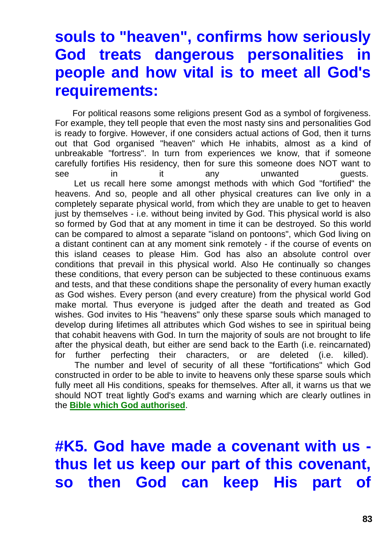## **souls to "heaven", confirms how seriously God treats dangerous personalities people and how vital is to meet all God's requirements:**

For political reasons some religions present God as a symbol of forgiveness. For example, they tell people that even the most nasty sins and personalities God is ready to forgive. However, if one considers actual actions of God, then it turns out that God organised "heaven" which He inhabits, almost as a kind of unbreakable "fortress". In turn from experiences we know, that if someone carefully fortifies His residency, then for sure this someone does NOT want to see in it any unwanted quests. Let us recall here some amongst methods with which God "fortified" the heavens. And so, people and all other physical creatures can live only in a completely separate physical world, from which they are unable to get to heaven just by themselves - i.e. without being invited by God. This physical world is also so formed by God that at any moment in time it can be destroyed. So this world can be compared to almost a separate "island on pontoons", which God living on a distant continent can at any moment sink remotely - if the course of events on this island ceases to please Him. God has also an absolute control over conditions that prevail in this physical world. Also He continually so changes these conditions, that every person can be subjected to these continuous exams and tests, and that these conditions shape the personality of every human exactly as God wishes. Every person (and every creature) from the physical world God make mortal. Thus everyone is judged after the death and treated as God wishes. God invites to His "heavens" only these sparse souls which managed to develop during lifetimes all attributes which God wishes to see in spiritual being that cohabit heavens with God. In turn the majority of souls are not brought to life after the physical death, but either are send back to the Earth (i.e. reincarnated) for further perfecting their characters, or are deleted (i.e. killed).

The number and level of security of all these "fortifications" which God constructed in order to be able to invite to heavens only these sparse souls which fully meet all His conditions, speaks for themselves. After all, it warns us that we should NOT treat lightly God's exams and warning which are clearly outlines in the **[Bible which God authorised](http://tornado.zxq.net/bible.htm)**.

**#K5. God have made a covenant with us thus let us keep our part of this covenant, so then God can keep His part of**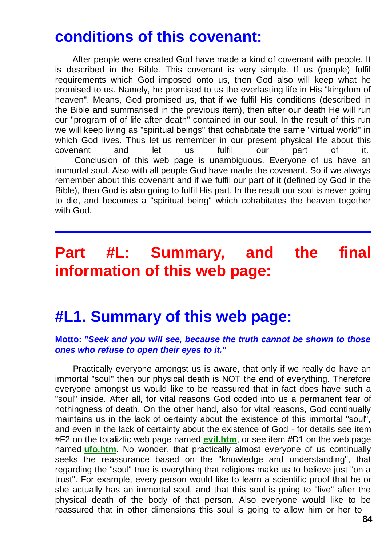### **conditions of this covenant:**

After people were created God have made a kind of covenant with people. It is described in the Bible. This covenant is very simple. If us (people) fulfil requirements which God imposed onto us, then God also will keep what he promised to us. Namely, he promised to us the everlasting life in His "kingdom of heaven". Means, God promised us, that if we fulfil His conditions (described in the Bible and summarised in the previous item), then after our death He will run our "program of of life after death" contained in our soul. In the result of this run we will keep living as "spiritual beings" that cohabitate the same "virtual world" in which God lives. Thus let us remember in our present physical life about this covenant and let us fulfil our part of it. Conclusion of this web page is unambiguous. Everyone of us have an immortal soul. Also with all people God have made the covenant. So if we always remember about this covenant and if we fulfil our part of it (defined by God in the Bible), then God is also going to fulfil His part. In the result our soul is never going to die, and becomes a "spiritual being" which cohabitates the heaven together with God.

### **Part #L: Summary, and the final information of this web page:**

### **#L1. Summary of this web page:**

#### **Motto:** *"Seek and you will see, because the truth cannot be shown to those ones who refuse to open their eyes to it."*

Practically everyone amongst us is aware, that only if we really do have an immortal "soul" then our physical death is NOT the end of everything. Therefore everyone amongst us would like to be reassured that in fact does have such a "soul" inside. After all, for vital reasons God coded into us a permanent fear of nothingness of death. On the other hand, also for vital reasons, God continually maintains us in the lack of certainty about the existence of this immortal "soul", and even in the lack of certainty about the existence of God - for details see item #F2 on the totaliztic web page named **[evil.htm](http://tornado.zxq.net/evil.htm)**, or see item #D1 on the web page named **[ufo.htm](http://tornado.zxq.net/ufo.htm)**. No wonder, that practically almost everyone of us continually seeks the reassurance based on the "knowledge and understanding", that regarding the "soul" true is everything that religions make us to believe just "on a trust". For example, every person would like to learn a scientific proof that he or she actually has an immortal soul, and that this soul is going to "live" after the physical death of the body of that person. Also everyone would like to be reassured that in other dimensions this soul is going to allow him or her to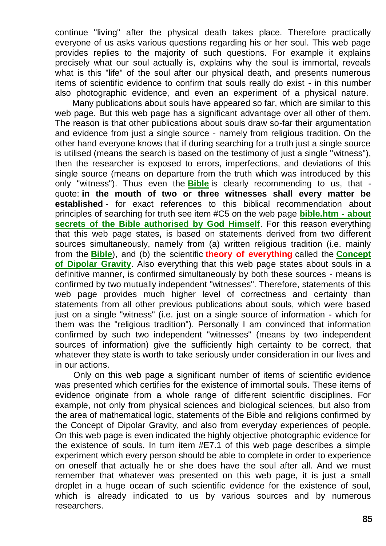continue "living" after the physical death takes place. Therefore practically everyone of us asks various questions regarding his or her soul. This web page provides replies to the majority of such questions. For example it explains precisely what our soul actually is, explains why the soul is immortal, reveals what is this "life" of the soul after our physical death, and presents numerous items of scientific evidence to confirm that souls really do exist - in this number also photographic evidence, and even an experiment of a physical nature.

Many publications about souls have appeared so far, which are similar to this web page. But this web page has a significant advantage over all other of them. The reason is that other publications about souls draw so-far their argumentation and evidence from just a single source - namely from religious tradition. On the other hand everyone knows that if during searching for a truth just a single source is utilised (means the search is based on the testimony of just a single "witness"), then the researcher is exposed to errors, imperfections, and deviations of this single source (means on departure from the truth which was introduced by this only "witness"). Thus even the **[Bible](http://tornado.zxq.net/bible.htm)** is clearly recommending to us, that quote: **in the mouth of two or three witnesses shall every matter be established** - for exact references to this biblical recommendation about principles of searching for truth see item #C5 on the web page **[bible.htm -](http://tornado.zxq.net/bible.htm) about [secrets of the Bible authorised by God Himself](http://tornado.zxq.net/bible.htm)**. For this reason everything that this web page states, is based on statements derived from two different sources simultaneously, namely from (a) written religious tradition (i.e. mainly from the **[Bible](http://tornado.zxq.net/bible.htm)**), and (b) the scientific **theory of everything** called the **[Concept](http://tornado.zxq.net/dipolar_gravity.htm)  [of Dipolar Gravity](http://tornado.zxq.net/dipolar_gravity.htm)**. Also everything that this web page states about souls in a definitive manner, is confirmed simultaneously by both these sources - means is confirmed by two mutually independent "witnesses". Therefore, statements of this web page provides much higher level of correctness and certainty than statements from all other previous publications about souls, which were based just on a single "witness" (i.e. just on a single source of information - which for them was the "religious tradition"). Personally I am convinced that information confirmed by such two independent "witnesses" (means by two independent sources of information) give the sufficiently high certainty to be correct, that whatever they state is worth to take seriously under consideration in our lives and in our actions.

Only on this web page a significant number of items of scientific evidence was presented which certifies for the existence of immortal souls. These items of evidence originate from a whole range of different scientific disciplines. For example, not only from physical sciences and biological sciences, but also from the area of mathematical logic, statements of the Bible and religions confirmed by the Concept of Dipolar Gravity, and also from everyday experiences of people. On this web page is even indicated the highly objective photographic evidence for the existence of souls. In turn item #E7.1 of this web page describes a simple experiment which every person should be able to complete in order to experience on oneself that actually he or she does have the soul after all. And we must remember that whatever was presented on this web page, it is just a small droplet in a huge ocean of such scientific evidence for the existence of soul, which is already indicated to us by various sources and by numerous researchers.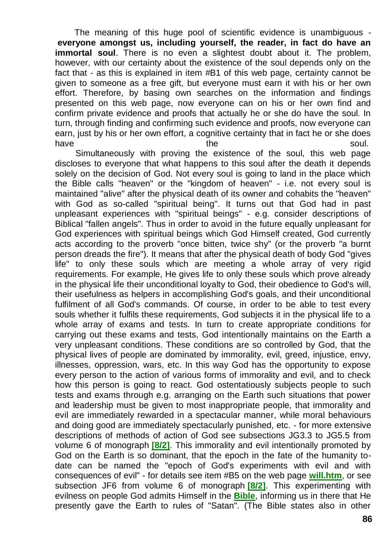The meaning of this huge pool of scientific evidence is unambiguous **everyone amongst us, including yourself, the reader, in fact do have an immortal soul**. There is no even a slightest doubt about it. The problem, however, with our certainty about the existence of the soul depends only on the fact that - as this is explained in item #B1 of this web page, certainty cannot be given to someone as a free gift, but everyone must earn it with his or her own effort. Therefore, by basing own searches on the information and findings presented on this web page, now everyone can on his or her own find and confirm private evidence and proofs that actually he or she do have the soul. In turn, through finding and confirming such evidence and proofs, now everyone can earn, just by his or her own effort, a cognitive certainty that in fact he or she does have the soul.

Simultaneously with proving the existence of the soul, this web page discloses to everyone that what happens to this soul after the death it depends solely on the decision of God. Not every soul is going to land in the place which the Bible calls "heaven" or the "kingdom of heaven" - i.e. not every soul is maintained "alive" after the physical death of its owner and cohabits the "heaven" with God as so-called "spiritual being". It turns out that God had in past unpleasant experiences with "spiritual beings" - e.g. consider descriptions of Biblical "fallen angels". Thus in order to avoid in the future equally unpleasant for God experiences with spiritual beings which God Himself created, God currently acts according to the proverb "once bitten, twice shy" (or the proverb "a burnt person dreads the fire"). It means that after the physical death of body God "gives life" to only these souls which are meeting a whole array of very rigid requirements. For example, He gives life to only these souls which prove already in the physical life their unconditional loyalty to God, their obedience to God's will, their usefulness as helpers in accomplishing God's goals, and their unconditional fulfilment of all God's commands. Of course, in order to be able to test every souls whether it fulfils these requirements, God subjects it in the physical life to a whole array of exams and tests. In turn to create appropriate conditions for carrying out these exams and tests, God intentionally maintains on the Earth a very unpleasant conditions. These conditions are so controlled by God, that the physical lives of people are dominated by immorality, evil, greed, injustice, envy, illnesses, oppression, wars, etc. In this way God has the opportunity to expose every person to the action of various forms of immorality and evil, and to check how this person is going to react. God ostentatiously subjects people to such tests and exams through e.g. arranging on the Earth such situations that power and leadership must be given to most inappropriate people, that immorality and evil are immediately rewarded in a spectacular manner, while moral behaviours and doing good are immediately spectacularly punished, etc. - for more extensive descriptions of methods of action of God see subsections JG3.3 to JG5.5 from volume 6 of monograph **[\[8/2\]](http://tornado.zxq.net/text_8_2.htm)**. This immorality and evil intentionally promoted by God on the Earth is so dominant, that the epoch in the fate of the humanity todate can be named the "epoch of God's experiments with evil and with consequences of evil" - for details see item #B5 on the web page **[will.htm](http://tornado.zxq.net/will.htm)**, or see subsection JF6 from volume 6 of monograph **[\[8/2\]](http://tornado.zxq.net/text_8_2.htm)**. This experimenting with evilness on people God admits Himself in the **[Bible](http://tornado.zxq.net/bible.htm)**, informing us in there that He presently gave the Earth to rules of "Satan". (The Bible states also in other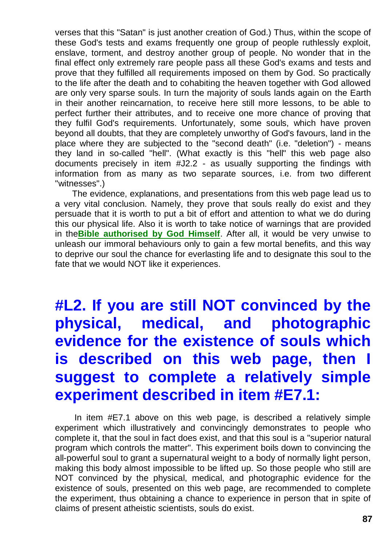verses that this "Satan" is just another creation of God.) Thus, within the scope of these God's tests and exams frequently one group of people ruthlessly exploit, enslave, torment, and destroy another group of people. No wonder that in the final effect only extremely rare people pass all these God's exams and tests and prove that they fulfilled all requirements imposed on them by God. So practically to the life after the death and to cohabiting the heaven together with God allowed are only very sparse souls. In turn the majority of souls lands again on the Earth in their another reincarnation, to receive here still more lessons, to be able to perfect further their attributes, and to receive one more chance of proving that they fulfil God's requirements. Unfortunately, some souls, which have proven beyond all doubts, that they are completely unworthy of God's favours, land in the place where they are subjected to the "second death" (i.e. "deletion") - means they land in so-called "hell". (What exactly is this "hell" this web page also documents precisely in item #J2.2 - as usually supporting the findings with information from as many as two separate sources, i.e. from two different "witnesses".)

The evidence, explanations, and presentations from this web page lead us to a very vital conclusion. Namely, they prove that souls really do exist and they persuade that it is worth to put a bit of effort and attention to what we do during this our physical life. Also it is worth to take notice of warnings that are provided in the**[Bible authorised by God Himself](http://tornado.zxq.net/bible.htm)**. After all, it would be very unwise to unleash our immoral behaviours only to gain a few mortal benefits, and this way to deprive our soul the chance for everlasting life and to designate this soul to the fate that we would NOT like it experiences.

# **#L2. If you are still NOT convinced by the physical, medical, and photographic evidence for the existence of souls which is described on this web page, then I suggest to complete a relatively simple experiment described in item #E7.1:**

In item #E7.1 above on this web page, is described a relatively simple experiment which illustratively and convincingly demonstrates to people who complete it, that the soul in fact does exist, and that this soul is a "superior natural program which controls the matter". This experiment boils down to convincing the all-powerful soul to grant a supernatural weight to a body of normally light person, making this body almost impossible to be lifted up. So those people who still are NOT convinced by the physical, medical, and photographic evidence for the existence of souls, presented on this web page, are recommended to complete the experiment, thus obtaining a chance to experience in person that in spite of claims of present atheistic scientists, souls do exist.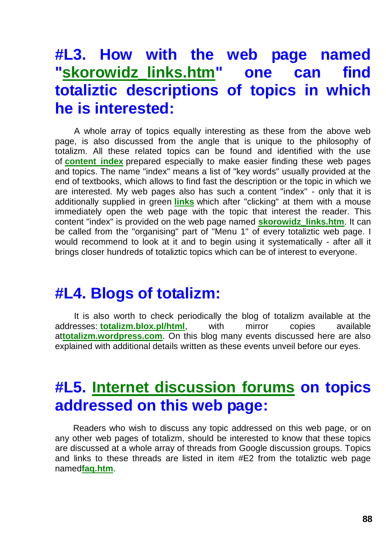### **#L3. How with the web page named ["skorowidz\\_links.htm"](http://tornado.zxq.net/skorowidz_links.htm) one can find totaliztic descriptions of topics in which he is interested:**

A whole array of topics equally interesting as these from the above web page, is also discussed from the angle that is unique to the philosophy of totalizm. All these related topics can be found and identified with the use of **[content index](http://tornado.zxq.net/skorowidz_links.htm)** prepared especially to make easier finding these web pages and topics. The name "index" means a list of "key words" usually provided at the end of textbooks, which allows to find fast the description or the topic in which we are interested. My web pages also has such a content "index" - only that it is additionally supplied in green **[links](http://tornado.zxq.net/newzealand.htm)** which after "clicking" at them with a mouse immediately open the web page with the topic that interest the reader. This content "index" is provided on the web page named **[skorowidz\\_links.htm](http://tornado.zxq.net/skorowidz.htm)**. It can be called from the "organising" part of "Menu 1" of every totaliztic web page. I would recommend to look at it and to begin using it systematically - after all it brings closer hundreds of totaliztic topics which can be of interest to everyone.

### **#L4. Blogs of totalizm:**

It is also worth to check periodically the blog of totalizm available at the addresses: **[totalizm.blox.pl/html](http://totalizm.blox.pl/html/)**, with mirror copies available at**[totalizm.wordpress.com](http://totalizm.wordpress.com/)**. On this blog many events discussed here are also explained with additional details written as these events unveil before our eyes.

### **#L5. [Internet discussion forums](http://www.totalizm.eu/) on topics addressed on this web page:**

Readers who wish to discuss any topic addressed on this web page, or on any other web pages of totalizm, should be interested to know that these topics are discussed at a whole array of threads from Google discussion groups. Topics and links to these threads are listed in item #E2 from the totaliztic web page named**[faq.htm](http://tornado.zxq.net/faq.htm)**.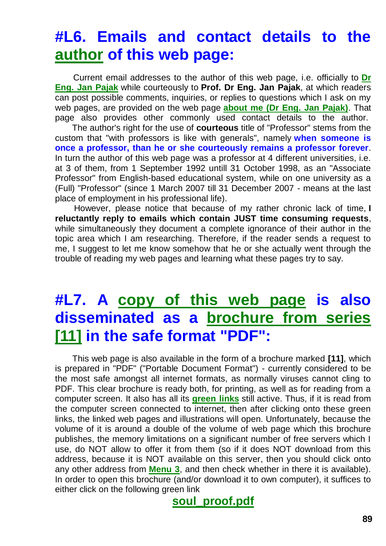# **#L6. Emails and contact details to the [author](http://tornado.zxq.net/pajak_jan_uk.htm) of this web page:**

Current email addresses to the author of this web page, i.e. officially to **[Dr](http://images.google.co.nz/images?hl=en&q=Jan+Pajak&btnG=Search+Images&gbv=1)  [Eng. Jan Pajak](http://images.google.co.nz/images?hl=en&q=Jan+Pajak&btnG=Search+Images&gbv=1)** while courteously to **Prof. Dr Eng. Jan Pajak**, at which readers can post possible comments, inquiries, or replies to questions which I ask on my web pages, are provided on the web page **[about me \(Dr Eng. Jan Pajak\)](http://tornado.zxq.net/pajak_jan_uk.htm)**. That page also provides other commonly used contact details to the author.

The author's right for the use of **courteous** title of "Professor" stems from the custom that "with professors is like with generals", namely **when someone is once a professor, than he or she courteously remains a professor forever**. In turn the author of this web page was a professor at 4 different universities, i.e. at 3 of them, from 1 September 1992 untill 31 October 1998, as an "Associate Professor" from English-based educational system, while on one university as a (Full) "Professor" (since 1 March 2007 till 31 December 2007 - means at the last place of employment in his professional life).

However, please notice that because of my rather chronic lack of time, **I reluctantly reply to emails which contain JUST time consuming requests**, while simultaneously they document a complete ignorance of their author in the topic area which I am researching. Therefore, if the reader sends a request to me, I suggest to let me know somehow that he or she actually went through the trouble of reading my web pages and learning what these pages try to say.

# **#L7. A [copy of this web page](http://tornado.zxq.net/soul_proof.pdf) is also disseminated as a [brochure from series](http://tornado.zxq.net/text_11.htm)  [\[11\]](http://tornado.zxq.net/text_11.htm) in the safe format "PDF":**

This web page is also available in the form of a brochure marked **[11]**, which is prepared in "PDF" ("Portable Document Format") - currently considered to be the most safe amongst all internet formats, as normally viruses cannot cling to PDF. This clear brochure is ready both, for printing, as well as for reading from a computer screen. It also has all its **[green links](http://tornado.zxq.net/god_proof.htm)** still active. Thus, if it is read from the computer screen connected to internet, then after clicking onto these green links, the linked web pages and illustrations will open. Unfortunately, because the volume of it is around a double of the volume of web page which this brochure publishes, the memory limitations on a significant number of free servers which I use, do NOT allow to offer it from them (so if it does NOT download from this address, because it is NOT available on this server, then you should click onto any other address from **[Menu 3](http://tornado.zxq.net/menu.htm)**, and then check whether in there it is available). In order to open this brochure (and/or download it to own computer), it suffices to either click on the following green link

**[soul\\_proof.pdf](http://tornado.zxq.net/soul_proof.pdf)**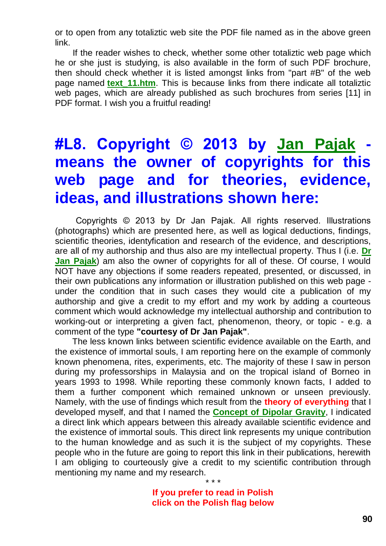or to open from any totaliztic web site the PDF file named as in the above green link.

If the reader wishes to check, whether some other totaliztic web page which he or she just is studying, is also available in the form of such PDF brochure, then should check whether it is listed amongst links from "part #B" of the web page named **[text\\_11.htm](http://tornado.zxq.net/text_11.htm)**. This is because links from there indicate all totaliztic web pages, which are already published as such brochures from series [11] in PDF format. I wish you a fruitful reading!

# **#L8. Copyright © 2013 by [Jan Pajak](http://tornado.zxq.net/pajak_jan_uk.htm) means the owner of copyrights for this web page and for theories, evidence, ideas, and illustrations shown here:**

Copyrights © 2013 by Dr Jan Pajak. All rights reserved. Illustrations (photographs) which are presented here, as well as logical deductions, findings, scientific theories, identyfication and research of the evidence, and descriptions, are all of my authorship and thus also are my intellectual property. Thus I (i.e. **[Dr](http://tornado.zxq.net/pajak_jan_uk.htm)  [Jan Pajak](http://tornado.zxq.net/pajak_jan_uk.htm)**) am also the owner of copyrights for all of these. Of course, I would NOT have any objections if some readers repeated, presented, or discussed, in their own publications any information or illustration published on this web page under the condition that in such cases they would cite a publication of my authorship and give a credit to my effort and my work by adding a courteous comment which would acknowledge my intellectual authorship and contribution to working-out or interpreting a given fact, phenomenon, theory, or topic - e.g. a comment of the type **"courtesy of Dr Jan Pajak"**.

The less known links between scientific evidence available on the Earth, and the existence of immortal souls, I am reporting here on the example of commonly known phenomena, rites, experiments, etc. The majority of these I saw in person during my professorships in Malaysia and on the tropical island of Borneo in years 1993 to 1998. While reporting these commonly known facts, I added to them a further component which remained unknown or unseen previously. Namely, with the use of findings which result from the **theory of everything** that I developed myself, and that I named the **[Concept of Dipolar Gravity](http://tornado.zxq.net/dipolar_gravity.htm)**, I indicated a direct link which appears between this already available scientific evidence and the existence of immortal souls. This direct link represents my unique contribution to the human knowledge and as such it is the subject of my copyrights. These people who in the future are going to report this link in their publications, herewith I am obliging to courteously give a credit to my scientific contribution through mentioning my name and my research.

> **If you prefer to read in Polish click on the Polish flag below**

\* \* \*